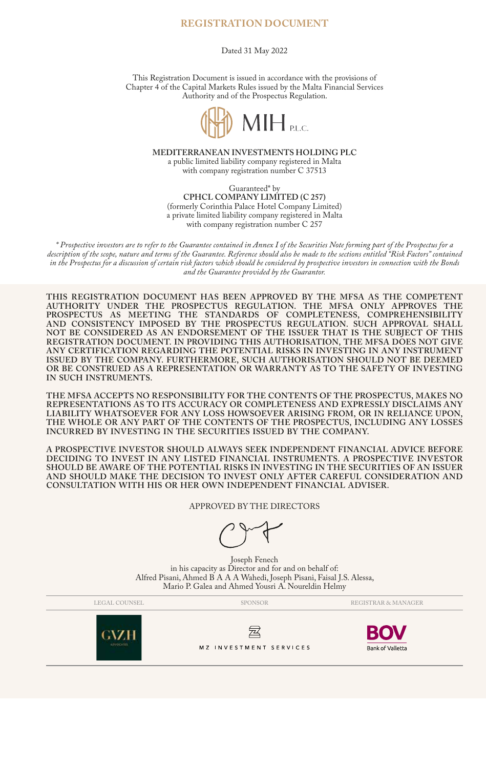# **REGISTRATION DOCUMENT**

Dated 31 May 2022

This Registration Document is issued in accordance with the provisions of Chapter 4 of the Capital Markets Rules issued by the Malta Financial Services Authority and of the Prospectus Regulation.



**MEDITERRANEAN INVESTMENTS HOLDING PLC** a public limited liability company registered in Malta with company registration number C 37513

Guaranteed\* by **CPHCL COMPANY LIMITED (C 257)** (formerly Corinthia Palace Hotel Company Limited) a private limited liability company registered in Malta with company registration number C 257

*\* Prospective investors are to refer to the Guarantee contained in Annex I of the Securities Note forming part of the Prospectus for a description of the scope, nature and terms of the Guarantee. Reference should also be made to the sections entitled "Risk Factors" contained in the Prospectus for a discussion of certain risk factors which should be considered by prospective investors in connection with the Bonds and the Guarantee provided by the Guarantor.*

**THIS REGISTRATION DOCUMENT HAS BEEN APPROVED BY THE MFSA AS THE COMPETENT AUTHORITY UNDER THE PROSPECTUS REGULATION. THE MFSA ONLY APPROVES THE PROSPECTUS AS MEETING THE STANDARDS OF COMPLETENESS, COMPREHENSIBILITY AND CONSISTENCY IMPOSED BY THE PROSPECTUS REGULATION. SUCH APPROVAL SHALL NOT BE CONSIDERED AS AN ENDORSEMENT OF THE ISSUER THAT IS THE SUBJECT OF THIS REGISTRATION DOCUMENT. IN PROVIDING THIS AUTHORISATION, THE MFSA DOES NOT GIVE ANY CERTIFICATION REGARDING THE POTENTIAL RISKS IN INVESTING IN ANY INSTRUMENT ISSUED BY THE COMPANY. FURTHERMORE, SUCH AUTHORISATION SHOULD NOT BE DEEMED OR BE CONSTRUED AS A REPRESENTATION OR WARRANTY AS TO THE SAFETY OF INVESTING IN SUCH INSTRUMENTS.**

**THE MFSA ACCEPTS NO RESPONSIBILITY FOR THE CONTENTS OF THE PROSPECTUS, MAKES NO REPRESENTATIONS AS TO ITS ACCURACY OR COMPLETENESS AND EXPRESSLY DISCLAIMS ANY LIABILITY WHATSOEVER FOR ANY LOSS HOWSOEVER ARISING FROM, OR IN RELIANCE UPON, THE WHOLE OR ANY PART OF THE CONTENTS OF THE PROSPECTUS, INCLUDING ANY LOSSES INCURRED BY INVESTING IN THE SECURITIES ISSUED BY THE COMPANY.**

**A PROSPECTIVE INVESTOR SHOULD ALWAYS SEEK INDEPENDENT FINANCIAL ADVICE BEFORE DECIDING TO INVEST IN ANY LISTED FINANCIAL INSTRUMENTS. A PROSPECTIVE INVESTOR SHOULD BE AWARE OF THE POTENTIAL RISKS IN INVESTING IN THE SECURITIES OF AN ISSUER AND SHOULD MAKE THE DECISION TO INVEST ONLY AFTER CAREFUL CONSIDERATION AND CONSULTATION WITH HIS OR HER OWN INDEPENDENT FINANCIAL ADVISER.**

APPROVED BY THE DIRECTORS

Joseph Fenech in his capacity as Director and for and on behalf of: Alfred Pisani, Ahmed B A A A Wahedi, Joseph Pisani, Faisal J.S. Alessa, Mario P. Galea and Ahmed Yousri A. Noureldin Helmy

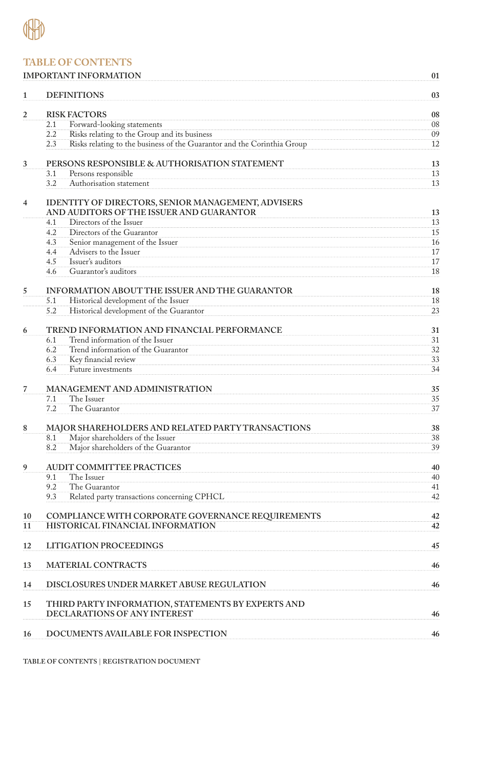

# **TABLE OF CONTENTS**

| <b>IMPORTANT INFORMATION</b> |  |
|------------------------------|--|
|                              |  |

| $\mathbf{1}$   | <b>DEFINITIONS</b>                                                                                    | 03              |
|----------------|-------------------------------------------------------------------------------------------------------|-----------------|
| $\overline{2}$ | <b>RISK FACTORS</b>                                                                                   | 08              |
|                | 2.1<br>Forward-looking statements                                                                     | 08              |
|                | 2.2<br>Risks relating to the Group and its business                                                   | 09              |
|                | 2.3<br>Risks relating to the business of the Guarantor and the Corinthia Group                        | 12              |
| 3              | PERSONS RESPONSIBLE & AUTHORISATION STATEMENT                                                         | 13              |
|                | 3.1<br>Persons responsible                                                                            | 13              |
|                | 3.2<br>Authorisation statement                                                                        | 13              |
| $\overline{4}$ | <b>IDENTITY OF DIRECTORS, SENIOR MANAGEMENT, ADVISERS</b><br>AND AUDITORS OF THE ISSUER AND GUARANTOR | 13              |
|                | Directors of the Issuer<br>4.1                                                                        | 13              |
|                | 4.2<br>Directors of the Guarantor                                                                     | $\overline{15}$ |
|                | 4.3<br>Senior management of the Issuer                                                                | 16              |
|                | Advisers to the Issuer<br>4.4                                                                         | 17              |
|                | 4.5<br>Issuer's auditors                                                                              | 17              |
|                | 4.6<br>Guarantor's auditors                                                                           | 18              |
| 5              | INFORMATION ABOUT THE ISSUER AND THE GUARANTOR                                                        | 18              |
|                | $5.1$<br>Historical development of the Issuer                                                         | 18              |
|                | 5.2<br>Historical development of the Guarantor                                                        | 23              |
| 6              | TREND INFORMATION AND FINANCIAL PERFORMANCE                                                           | 31              |
|                | Trend information of the Issuer<br>6.1                                                                | 31              |
|                | 6.2<br>Trend information of the Guarantor                                                             | 32              |
|                | 6.3<br>Key financial review                                                                           | 33              |
|                | 6.4<br>Future investments                                                                             | 34              |
| 7              | MANAGEMENT AND ADMINISTRATION                                                                         | 35              |
|                | 7.1<br>The Issuer                                                                                     | $\overline{35}$ |
|                | 7.2<br>The Guarantor                                                                                  | 37              |
| 8              | MAJOR SHAREHOLDERS AND RELATED PARTY TRANSACTIONS                                                     | 38              |
|                | Major shareholders of the Issuer<br>8.1                                                               | 38              |
|                | Major shareholders of the Guarantor<br>8.2                                                            | 39              |
| 9              | <b>AUDIT COMMITTEE PRACTICES</b>                                                                      | 40              |
|                | The Issuer<br>9.1                                                                                     | 40              |
|                | The Guarantor<br>9.2                                                                                  | 41              |
|                | Related party transactions concerning CPHCL<br>9.3                                                    | 42              |
| 10             | COMPLIANCE WITH CORPORATE GOVERNANCE REQUIREMENTS                                                     | 42              |
| 11             | HISTORICAL FINANCIAL INFORMATION                                                                      | 42              |
| 12             | <b>LITIGATION PROCEEDINGS</b>                                                                         | 45              |
|                |                                                                                                       |                 |
| 13             | <b>MATERIAL CONTRACTS</b>                                                                             | 46              |
| 14             | DISCLOSURES UNDER MARKET ABUSE REGULATION                                                             | 46              |
| 15             | THIRD PARTY INFORMATION, STATEMENTS BY EXPERTS AND<br>DECLARATIONS OF ANY INTEREST                    | 46              |
|                |                                                                                                       |                 |
| 16             | DOCUMENTS AVAILABLE FOR INSPECTION                                                                    | 46              |

**TABLE OF CONTENTS** | **REGISTRATION DOCUMENT**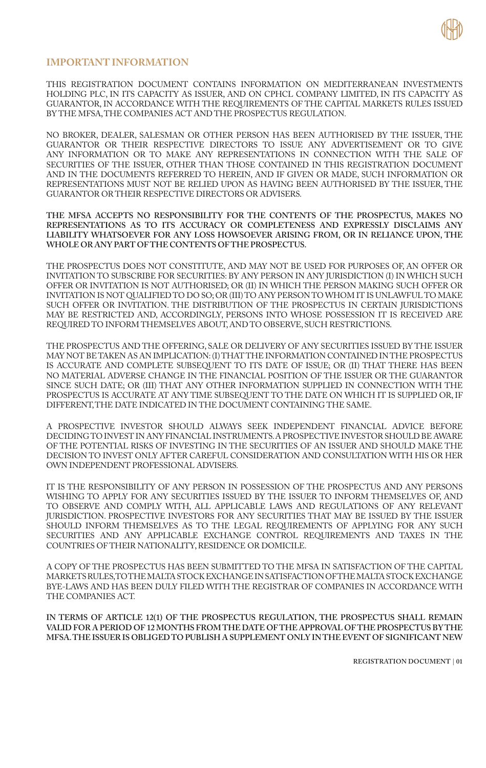

# **IMPORTANT INFORMATION**

THIS REGISTRATION DOCUMENT CONTAINS INFORMATION ON MEDITERRANEAN INVESTMENTS HOLDING PLC, IN ITS CAPACITY AS ISSUER, AND ON CPHCL COMPANY LIMITED, IN ITS CAPACITY AS GUARANTOR, IN ACCORDANCE WITH THE REQUIREMENTS OF THE CAPITAL MARKETS RULES ISSUED BY THE MFSA, THE COMPANIES ACT AND THE PROSPECTUS REGULATION.

NO BROKER, DEALER, SALESMAN OR OTHER PERSON HAS BEEN AUTHORISED BY THE ISSUER, THE GUARANTOR OR THEIR RESPECTIVE DIRECTORS TO ISSUE ANY ADVERTISEMENT OR TO GIVE ANY INFORMATION OR TO MAKE ANY REPRESENTATIONS IN CONNECTION WITH THE SALE OF SECURITIES OF THE ISSUER, OTHER THAN THOSE CONTAINED IN THIS REGISTRATION DOCUMENT AND IN THE DOCUMENTS REFERRED TO HEREIN, AND IF GIVEN OR MADE, SUCH INFORMATION OR REPRESENTATIONS MUST NOT BE RELIED UPON AS HAVING BEEN AUTHORISED BY THE ISSUER, THE GUARANTOR OR THEIR RESPECTIVE DIRECTORS OR ADVISERS.

**THE MFSA ACCEPTS NO RESPONSIBILITY FOR THE CONTENTS OF THE PROSPECTUS, MAKES NO REPRESENTATIONS AS TO ITS ACCURACY OR COMPLETENESS AND EXPRESSLY DISCLAIMS ANY LIABILITY WHATSOEVER FOR ANY LOSS HOWSOEVER ARISING FROM, OR IN RELIANCE UPON, THE WHOLE OR ANY PART OF THE CONTENTS OF THE PROSPECTUS.**

THE PROSPECTUS DOES NOT CONSTITUTE, AND MAY NOT BE USED FOR PURPOSES OF, AN OFFER OR INVITATION TO SUBSCRIBE FOR SECURITIES: BY ANY PERSON IN ANY JURISDICTION (I) IN WHICH SUCH OFFER OR INVITATION IS NOT AUTHORISED; OR (II) IN WHICH THE PERSON MAKING SUCH OFFER OR INVITATION IS NOT QUALIFIED TO DO SO; OR (III) TO ANY PERSON TO WHOM IT IS UNLAWFUL TO MAKE SUCH OFFER OR INVITATION. THE DISTRIBUTION OF THE PROSPECTUS IN CERTAIN JURISDICTIONS MAY BE RESTRICTED AND, ACCORDINGLY, PERSONS INTO WHOSE POSSESSION IT IS RECEIVED ARE REQUIRED TO INFORM THEMSELVES ABOUT, AND TO OBSERVE, SUCH RESTRICTIONS.

THE PROSPECTUS AND THE OFFERING, SALE OR DELIVERY OF ANY SECURITIES ISSUED BY THE ISSUER MAY NOT BE TAKEN AS AN IMPLICATION: (I) THAT THE INFORMATION CONTAINED IN THE PROSPECTUS IS ACCURATE AND COMPLETE SUBSEQUENT TO ITS DATE OF ISSUE; OR (II) THAT THERE HAS BEEN NO MATERIAL ADVERSE CHANGE IN THE FINANCIAL POSITION OF THE ISSUER OR THE GUARANTOR SINCE SUCH DATE; OR (III) THAT ANY OTHER INFORMATION SUPPLIED IN CONNECTION WITH THE PROSPECTUS IS ACCURATE AT ANY TIME SUBSEQUENT TO THE DATE ON WHICH IT IS SUPPLIED OR, IF DIFFERENT, THE DATE INDICATED IN THE DOCUMENT CONTAINING THE SAME.

A PROSPECTIVE INVESTOR SHOULD ALWAYS SEEK INDEPENDENT FINANCIAL ADVICE BEFORE DECIDING TO INVEST IN ANY FINANCIAL INSTRUMENTS. A PROSPECTIVE INVESTOR SHOULD BE AWARE OF THE POTENTIAL RISKS OF INVESTING IN THE SECURITIES OF AN ISSUER AND SHOULD MAKE THE DECISION TO INVEST ONLY AFTER CAREFUL CONSIDERATION AND CONSULTATION WITH HIS OR HER OWN INDEPENDENT PROFESSIONAL ADVISERS.

IT IS THE RESPONSIBILITY OF ANY PERSON IN POSSESSION OF THE PROSPECTUS AND ANY PERSONS WISHING TO APPLY FOR ANY SECURITIES ISSUED BY THE ISSUER TO INFORM THEMSELVES OF, AND TO OBSERVE AND COMPLY WITH, ALL APPLICABLE LAWS AND REGULATIONS OF ANY RELEVANT JURISDICTION. PROSPECTIVE INVESTORS FOR ANY SECURITIES THAT MAY BE ISSUED BY THE ISSUER SHOULD INFORM THEMSELVES AS TO THE LEGAL REQUIREMENTS OF APPLYING FOR ANY SUCH SECURITIES AND ANY APPLICABLE EXCHANGE CONTROL REQUIREMENTS AND TAXES IN THE COUNTRIES OF THEIR NATIONALITY, RESIDENCE OR DOMICILE.

A COPY OF THE PROSPECTUS HAS BEEN SUBMITTED TO THE MFSA IN SATISFACTION OF THE CAPITAL MARKETS RULES, TO THE MALTA STOCK EXCHANGE IN SATISFACTION OF THE MALTA STOCK EXCHANGE BYE-LAWS AND HAS BEEN DULY FILED WITH THE REGISTRAR OF COMPANIES IN ACCORDANCE WITH THE COMPANIES ACT.

**IN TERMS OF ARTICLE 12(1) OF THE PROSPECTUS REGULATION, THE PROSPECTUS SHALL REMAIN VALID FOR A PERIOD OF 12 MONTHS FROM THE DATE OF THE APPROVAL OF THE PROSPECTUS BY THE MFSA. THE ISSUER IS OBLIGED TO PUBLISH A SUPPLEMENT ONLY IN THE EVENT OF SIGNIFICANT NEW**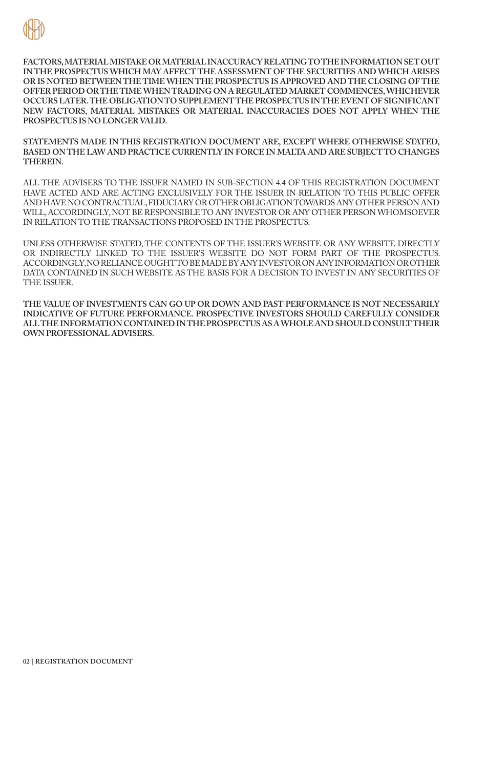

**FACTORS, MATERIAL MISTAKE OR MATERIAL INACCURACY RELATING TO THE INFORMATION SET OUT IN THE PROSPECTUS WHICH MAY AFFECT THE ASSESSMENT OF THE SECURITIES AND WHICH ARISES OR IS NOTED BETWEEN THE TIME WHEN THE PROSPECTUS IS APPROVED AND THE CLOSING OF THE OFFER PERIOD OR THE TIME WHEN TRADING ON A REGULATED MARKET COMMENCES, WHICHEVER OCCURS LATER. THE OBLIGATION TO SUPPLEMENT THE PROSPECTUS IN THE EVENT OF SIGNIFICANT NEW FACTORS, MATERIAL MISTAKES OR MATERIAL INACCURACIES DOES NOT APPLY WHEN THE PROSPECTUS IS NO LONGER VALID.**

**STATEMENTS MADE IN THIS REGISTRATION DOCUMENT ARE, EXCEPT WHERE OTHERWISE STATED, BASED ON THE LAW AND PRACTICE CURRENTLY IN FORCE IN MALTA AND ARE SUBJECT TO CHANGES THEREIN.**

ALL THE ADVISERS TO THE ISSUER NAMED IN SUB-SECTION 4.4 OF THIS REGISTRATION DOCUMENT HAVE ACTED AND ARE ACTING EXCLUSIVELY FOR THE ISSUER IN RELATION TO THIS PUBLIC OFFER AND HAVE NO CONTRACTUAL, FIDUCIARY OR OTHER OBLIGATION TOWARDS ANY OTHER PERSON AND WILL, ACCORDINGLY, NOT BE RESPONSIBLE TO ANY INVESTOR OR ANY OTHER PERSON WHOMSOEVER IN RELATION TO THE TRANSACTIONS PROPOSED IN THE PROSPECTUS.

UNLESS OTHERWISE STATED, THE CONTENTS OF THE ISSUER'S WEBSITE OR ANY WEBSITE DIRECTLY OR INDIRECTLY LINKED TO THE ISSUER'S WEBSITE DO NOT FORM PART OF THE PROSPECTUS. ACCORDINGLY, NO RELIANCE OUGHT TO BE MADE BY ANY INVESTOR ON ANY INFORMATION OR OTHER DATA CONTAINED IN SUCH WEBSITE AS THE BASIS FOR A DECISION TO INVEST IN ANY SECURITIES OF THE ISSUER.

**THE VALUE OF INVESTMENTS CAN GO UP OR DOWN AND PAST PERFORMANCE IS NOT NECESSARILY INDICATIVE OF FUTURE PERFORMANCE. PROSPECTIVE INVESTORS SHOULD CAREFULLY CONSIDER ALL THE INFORMATION CONTAINED IN THE PROSPECTUS AS A WHOLE AND SHOULD CONSULT THEIR OWN PROFESSIONAL ADVISERS.**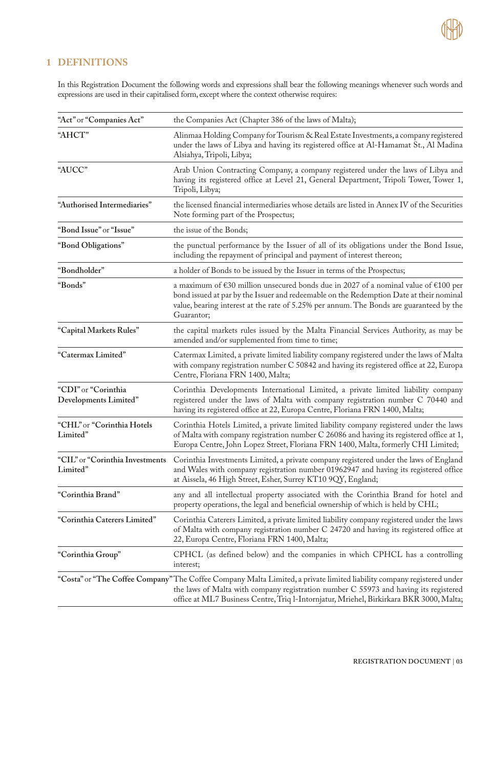

# **1 DEFINITIONS**

In this Registration Document the following words and expressions shall bear the following meanings whenever such words and expressions are used in their capitalised form, except where the context otherwise requires:

| "Act" or "Companies Act"                     | the Companies Act (Chapter 386 of the laws of Malta);                                                                                                                                                                                                                                                                             |  |
|----------------------------------------------|-----------------------------------------------------------------------------------------------------------------------------------------------------------------------------------------------------------------------------------------------------------------------------------------------------------------------------------|--|
| "AHCT"                                       | Alinmaa Holding Company for Tourism & Real Estate Investments, a company registered<br>under the laws of Libya and having its registered office at Al-Hamamat St., Al Madina<br>Alsiahya, Tripoli, Libya;                                                                                                                         |  |
| "AUCC"                                       | Arab Union Contracting Company, a company registered under the laws of Libya and<br>having its registered office at Level 21, General Department, Tripoli Tower, Tower 1,<br>Tripoli, Libya;                                                                                                                                      |  |
| "Authorised Intermediaries"                  | the licensed financial intermediaries whose details are listed in Annex IV of the Securities<br>Note forming part of the Prospectus;                                                                                                                                                                                              |  |
| "Bond Issue" or "Issue"                      | the issue of the Bonds;                                                                                                                                                                                                                                                                                                           |  |
| "Bond Obligations"                           | the punctual performance by the Issuer of all of its obligations under the Bond Issue,<br>including the repayment of principal and payment of interest thereon;                                                                                                                                                                   |  |
| "Bondholder"                                 | a holder of Bonds to be issued by the Issuer in terms of the Prospectus;                                                                                                                                                                                                                                                          |  |
| "Bonds"                                      | a maximum of $\text{\textsterling}30$ million unsecured bonds due in 2027 of a nominal value of $\text{\textsterling}100$ per<br>bond issued at par by the Issuer and redeemable on the Redemption Date at their nominal<br>value, bearing interest at the rate of 5.25% per annum. The Bonds are guaranteed by the<br>Guarantor; |  |
| "Capital Markets Rules"                      | the capital markets rules issued by the Malta Financial Services Authority, as may be<br>amended and/or supplemented from time to time;                                                                                                                                                                                           |  |
| "Catermax Limited"                           | Catermax Limited, a private limited liability company registered under the laws of Malta<br>with company registration number C 50842 and having its registered office at 22, Europa<br>Centre, Floriana FRN 1400, Malta;                                                                                                          |  |
| "CDI" or "Corinthia<br>Developments Limited" | Corinthia Developments International Limited, a private limited liability company<br>registered under the laws of Malta with company registration number C 70440 and<br>having its registered office at 22, Europa Centre, Floriana FRN 1400, Malta;                                                                              |  |
| "CHL" or "Corinthia Hotels<br>Limited"       | Corinthia Hotels Limited, a private limited liability company registered under the laws<br>of Malta with company registration number C 26086 and having its registered office at 1,<br>Europa Centre, John Lopez Street, Floriana FRN 1400, Malta, formerly CHI Limited;                                                          |  |
| "CIL" or "Corinthia Investments<br>Limited"  | Corinthia Investments Limited, a private company registered under the laws of England<br>and Wales with company registration number 01962947 and having its registered office<br>at Aissela, 46 High Street, Esher, Surrey KT10 9QY, England;                                                                                     |  |
| "Corinthia Brand"                            | any and all intellectual property associated with the Corinthia Brand for hotel and<br>property operations, the legal and beneficial ownership of which is held by CHL;                                                                                                                                                           |  |
| "Corinthia Caterers Limited"                 | Corinthia Caterers Limited, a private limited liability company registered under the laws<br>of Malta with company registration number C 24720 and having its registered office at<br>22, Europa Centre, Floriana FRN 1400, Malta;                                                                                                |  |
| "Corinthia Group"                            | CPHCL (as defined below) and the companies in which CPHCL has a controlling<br>interest;                                                                                                                                                                                                                                          |  |
|                                              | "Costa" or "The Coffee Company" The Coffee Company Malta Limited, a private limited liability company registered under<br>the laws of Malta with company registration number C 55973 and having its registered<br>office at ML7 Business Centre, Triq 1-Intornjatur, Mriehel, Birkirkara BKR 3000, Malta;                         |  |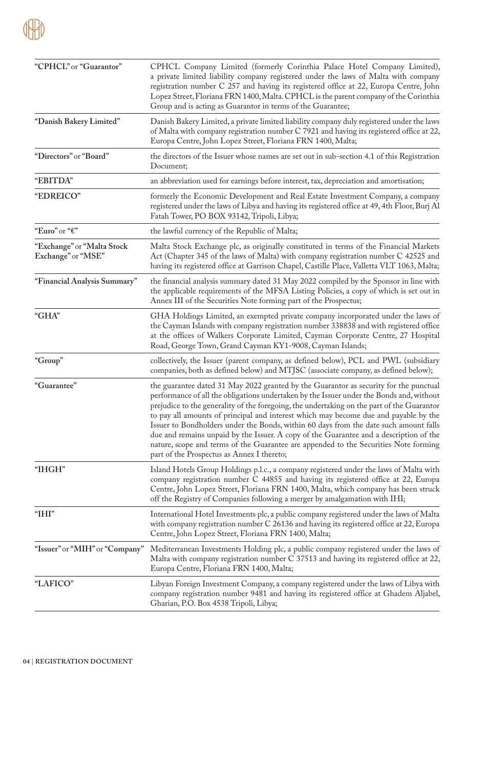| "CPHCL" or "Guarantor"                           | CPHCL Company Limited (formerly Corinthia Palace Hotel Company Limited),<br>a private limited liability company registered under the laws of Malta with company<br>registration number C 257 and having its registered office at 22, Europa Centre, John<br>Lopez Street, Floriana FRN 1400, Malta. CPHCL is the parent company of the Corinthia<br>Group and is acting as Guarantor in terms of the Guarantee;                                                                                                                                                                                                                                                                                  |  |
|--------------------------------------------------|--------------------------------------------------------------------------------------------------------------------------------------------------------------------------------------------------------------------------------------------------------------------------------------------------------------------------------------------------------------------------------------------------------------------------------------------------------------------------------------------------------------------------------------------------------------------------------------------------------------------------------------------------------------------------------------------------|--|
| "Danish Bakery Limited"                          | Danish Bakery Limited, a private limited liability company duly registered under the laws<br>of Malta with company registration number C 7921 and having its registered office at 22,<br>Europa Centre, John Lopez Street, Floriana FRN 1400, Malta;                                                                                                                                                                                                                                                                                                                                                                                                                                             |  |
| "Directors" or "Board"                           | the directors of the Issuer whose names are set out in sub-section 4.1 of this Registration<br>Document;                                                                                                                                                                                                                                                                                                                                                                                                                                                                                                                                                                                         |  |
| "EBITDA"                                         | an abbreviation used for earnings before interest, tax, depreciation and amortisation;                                                                                                                                                                                                                                                                                                                                                                                                                                                                                                                                                                                                           |  |
| "EDREICO"                                        | formerly the Economic Development and Real Estate Investment Company, a company<br>registered under the laws of Libya and having its registered office at 49, 4th Floor, Burj Al<br>Fatah Tower, PO BOX 93142, Tripoli, Libya;                                                                                                                                                                                                                                                                                                                                                                                                                                                                   |  |
| "Euro" or " $\epsilon$ "                         | the lawful currency of the Republic of Malta;                                                                                                                                                                                                                                                                                                                                                                                                                                                                                                                                                                                                                                                    |  |
| "Exchange" or "Malta Stock<br>Exchange" or "MSE" | Malta Stock Exchange plc, as originally constituted in terms of the Financial Markets<br>Act (Chapter 345 of the laws of Malta) with company registration number C 42525 and<br>having its registered office at Garrison Chapel, Castille Place, Valletta VLT 1063, Malta;                                                                                                                                                                                                                                                                                                                                                                                                                       |  |
| "Financial Analysis Summary"                     | the financial analysis summary dated 31 May 2022 compiled by the Sponsor in line with<br>the applicable requirements of the MFSA Listing Policies, a copy of which is set out in<br>Annex III of the Securities Note forming part of the Prospectus;                                                                                                                                                                                                                                                                                                                                                                                                                                             |  |
| "GHA"                                            | GHA Holdings Limited, an exempted private company incorporated under the laws of<br>the Cayman Islands with company registration number 338838 and with registered office<br>at the offices of Walkers Corporate Limited, Cayman Corporate Centre, 27 Hospital<br>Road, George Town, Grand Cayman KY1-9008, Cayman Islands;                                                                                                                                                                                                                                                                                                                                                                      |  |
| "Group"                                          | collectively, the Issuer (parent company, as defined below), PCL and PWL (subsidiary<br>companies, both as defined below) and MTJSC (associate company, as defined below);                                                                                                                                                                                                                                                                                                                                                                                                                                                                                                                       |  |
| "Guarantee"                                      | the guarantee dated 31 May 2022 granted by the Guarantor as security for the punctual<br>performance of all the obligations undertaken by the Issuer under the Bonds and, without<br>prejudice to the generality of the foregoing, the undertaking on the part of the Guarantor<br>to pay all amounts of principal and interest which may become due and payable by the<br>Issuer to Bondholders under the Bonds, within 60 days from the date such amount falls<br>due and remains unpaid by the Issuer. A copy of the Guarantee and a description of the<br>nature, scope and terms of the Guarantee are appended to the Securities Note forming<br>part of the Prospectus as Annex I thereto; |  |
| "IHGH"                                           | Island Hotels Group Holdings p.l.c., a company registered under the laws of Malta with<br>company registration number C 44855 and having its registered office at 22, Europa<br>Centre, John Lopez Street, Floriana FRN 1400, Malta, which company has been struck<br>off the Registry of Companies following a merger by amalgamation with IHI;                                                                                                                                                                                                                                                                                                                                                 |  |
| "IHI"                                            | International Hotel Investments plc, a public company registered under the laws of Malta<br>with company registration number C 26136 and having its registered office at 22, Europa<br>Centre, John Lopez Street, Floriana FRN 1400, Malta;                                                                                                                                                                                                                                                                                                                                                                                                                                                      |  |
| "Issuer" or "MIH" or "Company"                   | Mediterranean Investments Holding plc, a public company registered under the laws of<br>Malta with company registration number C 37513 and having its registered office at 22,<br>Europa Centre, Floriana FRN 1400, Malta;                                                                                                                                                                                                                                                                                                                                                                                                                                                                       |  |
| "LAFICO"                                         | Libyan Foreign Investment Company, a company registered under the laws of Libya with<br>company registration number 9481 and having its registered office at Ghadem Aljabel,<br>Gharian, P.O. Box 4538 Tripoli, Libya;                                                                                                                                                                                                                                                                                                                                                                                                                                                                           |  |
|                                                  |                                                                                                                                                                                                                                                                                                                                                                                                                                                                                                                                                                                                                                                                                                  |  |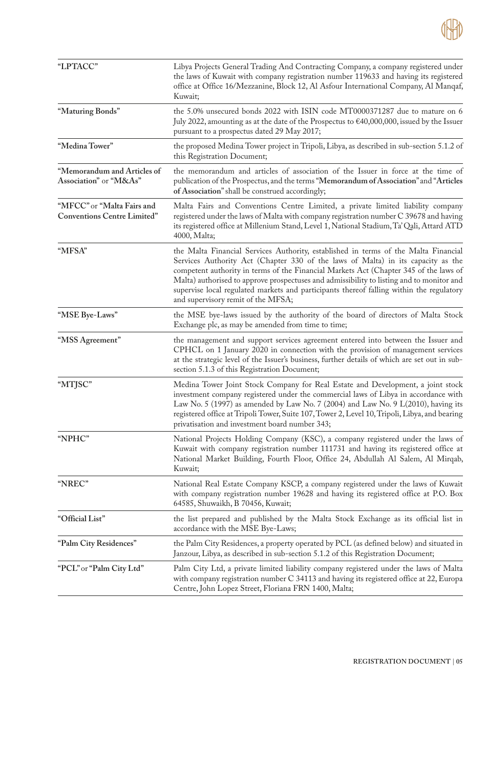

| "LPTACC"                                                         | Libya Projects General Trading And Contracting Company, a company registered under<br>the laws of Kuwait with company registration number 119633 and having its registered<br>office at Office 16/Mezzanine, Block 12, Al Asfour International Company, Al Manqaf,<br>Kuwait;                                                                                                                                                                                                                   |  |
|------------------------------------------------------------------|-------------------------------------------------------------------------------------------------------------------------------------------------------------------------------------------------------------------------------------------------------------------------------------------------------------------------------------------------------------------------------------------------------------------------------------------------------------------------------------------------|--|
| "Maturing Bonds"                                                 | the 5.0% unsecured bonds 2022 with ISIN code MT0000371287 due to mature on 6<br>July 2022, amounting as at the date of the Prospectus to €40,000,000, issued by the Issuer<br>pursuant to a prospectus dated 29 May 2017;                                                                                                                                                                                                                                                                       |  |
| "Medina Tower"                                                   | the proposed Medina Tower project in Tripoli, Libya, as described in sub-section 5.1.2 of<br>this Registration Document;                                                                                                                                                                                                                                                                                                                                                                        |  |
| "Memorandum and Articles of<br>Association" or "M&As"            | the memorandum and articles of association of the Issuer in force at the time of<br>publication of the Prospectus, and the terms "Memorandum of Association" and "Articles<br>of Association" shall be construed accordingly;                                                                                                                                                                                                                                                                   |  |
| "MFCC" or "Malta Fairs and<br><b>Conventions Centre Limited"</b> | Malta Fairs and Conventions Centre Limited, a private limited liability company<br>registered under the laws of Malta with company registration number C 39678 and having<br>its registered office at Millenium Stand, Level 1, National Stadium, Ta' Qali, Attard ATD<br>4000, Malta;                                                                                                                                                                                                          |  |
| "MFSA"                                                           | the Malta Financial Services Authority, established in terms of the Malta Financial<br>Services Authority Act (Chapter 330 of the laws of Malta) in its capacity as the<br>competent authority in terms of the Financial Markets Act (Chapter 345 of the laws of<br>Malta) authorised to approve prospectuses and admissibility to listing and to monitor and<br>supervise local regulated markets and participants thereof falling within the regulatory<br>and supervisory remit of the MFSA; |  |
| "MSE Bye-Laws"                                                   | the MSE bye-laws issued by the authority of the board of directors of Malta Stock<br>Exchange plc, as may be amended from time to time;                                                                                                                                                                                                                                                                                                                                                         |  |
| "MSS Agreement"                                                  | the management and support services agreement entered into between the Issuer and<br>CPHCL on 1 January 2020 in connection with the provision of management services<br>at the strategic level of the Issuer's business, further details of which are set out in sub-<br>section 5.1.3 of this Registration Document;                                                                                                                                                                           |  |
| "MTJSC"                                                          | Medina Tower Joint Stock Company for Real Estate and Development, a joint stock<br>investment company registered under the commercial laws of Libya in accordance with<br>Law No. 5 (1997) as amended by Law No. 7 (2004) and Law No. 9 L(2010), having its<br>registered office at Tripoli Tower, Suite 107, Tower 2, Level 10, Tripoli, Libya, and bearing<br>privatisation and investment board number 343;                                                                                  |  |
| "NPHC"                                                           | National Projects Holding Company (KSC), a company registered under the laws of<br>Kuwait with company registration number 111731 and having its registered office at<br>National Market Building, Fourth Floor, Office 24, Abdullah Al Salem, Al Mirqab,<br>Kuwait;                                                                                                                                                                                                                            |  |
| "NREC"                                                           | National Real Estate Company KSCP, a company registered under the laws of Kuwait<br>with company registration number 19628 and having its registered office at P.O. Box<br>64585, Shuwaikh, B 70456, Kuwait;                                                                                                                                                                                                                                                                                    |  |
| "Official List"                                                  | the list prepared and published by the Malta Stock Exchange as its official list in<br>accordance with the MSE Bye-Laws;                                                                                                                                                                                                                                                                                                                                                                        |  |
| "Palm City Residences"                                           | the Palm City Residences, a property operated by PCL (as defined below) and situated in<br>Janzour, Libya, as described in sub-section 5.1.2 of this Registration Document;                                                                                                                                                                                                                                                                                                                     |  |
| "PCL" or "Palm City Ltd"                                         | Palm City Ltd, a private limited liability company registered under the laws of Malta<br>with company registration number C 34113 and having its registered office at 22, Europa<br>Centre, John Lopez Street, Floriana FRN 1400, Malta;                                                                                                                                                                                                                                                        |  |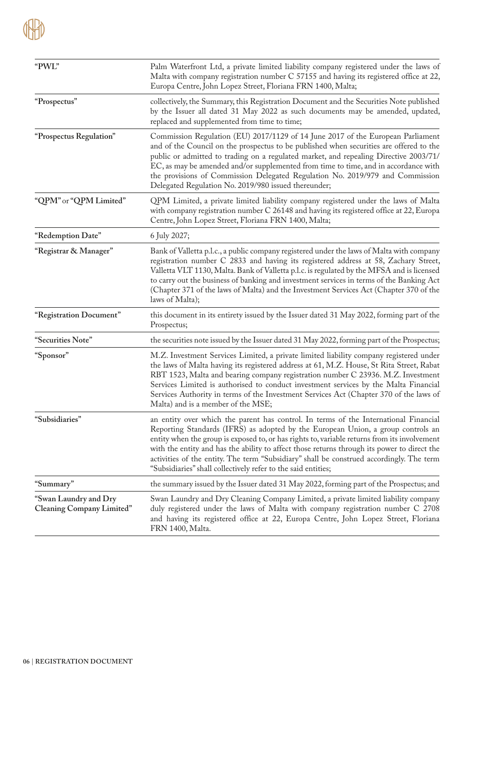

| "PWL"                                                                                                                                                                                                                                                                                                                                                                                                                                                                                                                                                  | Palm Waterfront Ltd, a private limited liability company registered under the laws of<br>Malta with company registration number C 57155 and having its registered office at 22,<br>Europa Centre, John Lopez Street, Floriana FRN 1400, Malta;                                                                                                                                                                                                                                                      |  |
|--------------------------------------------------------------------------------------------------------------------------------------------------------------------------------------------------------------------------------------------------------------------------------------------------------------------------------------------------------------------------------------------------------------------------------------------------------------------------------------------------------------------------------------------------------|-----------------------------------------------------------------------------------------------------------------------------------------------------------------------------------------------------------------------------------------------------------------------------------------------------------------------------------------------------------------------------------------------------------------------------------------------------------------------------------------------------|--|
| "Prospectus"                                                                                                                                                                                                                                                                                                                                                                                                                                                                                                                                           | collectively, the Summary, this Registration Document and the Securities Note published<br>by the Issuer all dated 31 May 2022 as such documents may be amended, updated,<br>replaced and supplemented from time to time;                                                                                                                                                                                                                                                                           |  |
| "Prospectus Regulation"                                                                                                                                                                                                                                                                                                                                                                                                                                                                                                                                | Commission Regulation (EU) 2017/1129 of 14 June 2017 of the European Parliament<br>and of the Council on the prospectus to be published when securities are offered to the<br>public or admitted to trading on a regulated market, and repealing Directive 2003/71/<br>EC, as may be amended and/or supplemented from time to time, and in accordance with<br>the provisions of Commission Delegated Regulation No. 2019/979 and Commission<br>Delegated Regulation No. 2019/980 issued thereunder; |  |
| "QPM" or "QPM Limited"                                                                                                                                                                                                                                                                                                                                                                                                                                                                                                                                 | QPM Limited, a private limited liability company registered under the laws of Malta<br>with company registration number C 26148 and having its registered office at 22, Europa<br>Centre, John Lopez Street, Floriana FRN 1400, Malta;                                                                                                                                                                                                                                                              |  |
| "Redemption Date"                                                                                                                                                                                                                                                                                                                                                                                                                                                                                                                                      | 6 July 2027;                                                                                                                                                                                                                                                                                                                                                                                                                                                                                        |  |
| "Registrar & Manager"                                                                                                                                                                                                                                                                                                                                                                                                                                                                                                                                  | Bank of Valletta p.l.c., a public company registered under the laws of Malta with company<br>registration number C 2833 and having its registered address at 58, Zachary Street,<br>Valletta VLT 1130, Malta. Bank of Valletta p.l.c. is regulated by the MFSA and is licensed<br>to carry out the business of banking and investment services in terms of the Banking Act<br>(Chapter 371 of the laws of Malta) and the Investment Services Act (Chapter 370 of the<br>laws of Malta);             |  |
| "Registration Document"                                                                                                                                                                                                                                                                                                                                                                                                                                                                                                                                | this document in its entirety issued by the Issuer dated 31 May 2022, forming part of the<br>Prospectus;                                                                                                                                                                                                                                                                                                                                                                                            |  |
| "Securities Note"                                                                                                                                                                                                                                                                                                                                                                                                                                                                                                                                      | the securities note issued by the Issuer dated 31 May 2022, forming part of the Prospectus;                                                                                                                                                                                                                                                                                                                                                                                                         |  |
| "Sponsor"<br>M.Z. Investment Services Limited, a private limited liability company registered under<br>the laws of Malta having its registered address at 61, M.Z. House, St Rita Street, Rabat<br>RBT 1523, Malta and bearing company registration number C 23936. M.Z. Investment<br>Services Limited is authorised to conduct investment services by the Malta Financial<br>Services Authority in terms of the Investment Services Act (Chapter 370 of the laws of<br>Malta) and is a member of the MSE;                                            |                                                                                                                                                                                                                                                                                                                                                                                                                                                                                                     |  |
| "Subsidiaries"<br>an entity over which the parent has control. In terms of the International Financial<br>Reporting Standards (IFRS) as adopted by the European Union, a group controls an<br>entity when the group is exposed to, or has rights to, variable returns from its involvement<br>with the entity and has the ability to affect those returns through its power to direct the<br>activities of the entity. The term "Subsidiary" shall be construed accordingly. The term<br>"Subsidiaries" shall collectively refer to the said entities; |                                                                                                                                                                                                                                                                                                                                                                                                                                                                                                     |  |
| "Summary"                                                                                                                                                                                                                                                                                                                                                                                                                                                                                                                                              | the summary issued by the Issuer dated 31 May 2022, forming part of the Prospectus; and                                                                                                                                                                                                                                                                                                                                                                                                             |  |
| "Swan Laundry and Dry<br>Cleaning Company Limited"                                                                                                                                                                                                                                                                                                                                                                                                                                                                                                     | Swan Laundry and Dry Cleaning Company Limited, a private limited liability company<br>duly registered under the laws of Malta with company registration number C 2708<br>and having its registered office at 22, Europa Centre, John Lopez Street, Floriana<br>FRN 1400, Malta.                                                                                                                                                                                                                     |  |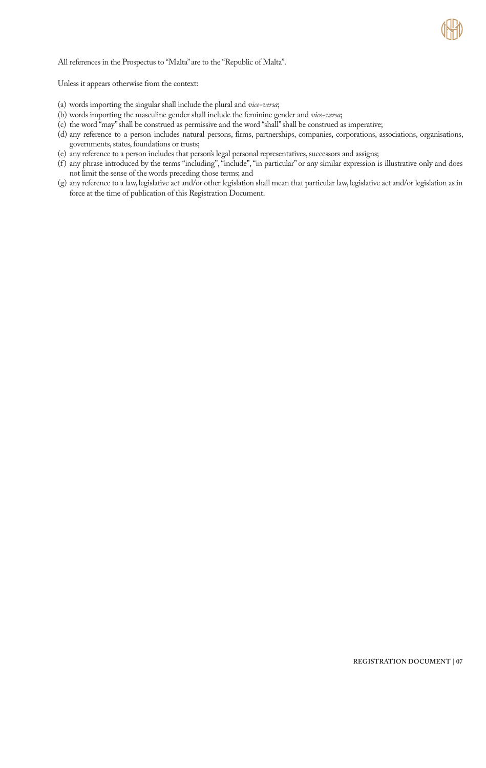

#### All references in the Prospectus to "Malta" are to the "Republic of Malta".

Unless it appears otherwise from the context:

- (a) words importing the singular shall include the plural and *vice-versa*;
- (b) words importing the masculine gender shall include the feminine gender and *vice-versa*;
- (c) the word "may" shall be construed as permissive and the word "shall" shall be construed as imperative;
- (d) any reference to a person includes natural persons, firms, partnerships, companies, corporations, associations, organisations, governments, states, foundations or trusts;
- (e) any reference to a person includes that person's legal personal representatives, successors and assigns;
- (f) any phrase introduced by the terms "including", "include", "in particular" or any similar expression is illustrative only and does not limit the sense of the words preceding those terms; and
- (g) any reference to a law, legislative act and/or other legislation shall mean that particular law, legislative act and/or legislation as in force at the time of publication of this Registration Document.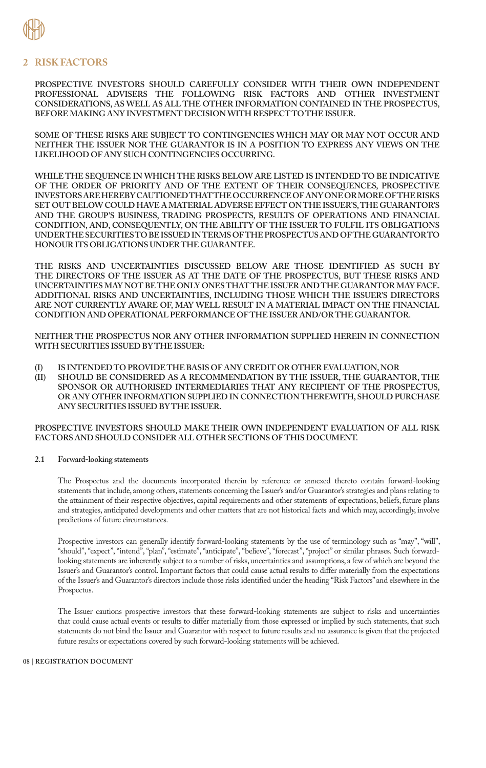

# **2 RISK FACTORS**

**PROSPECTIVE INVESTORS SHOULD CAREFULLY CONSIDER WITH THEIR OWN INDEPENDENT PROFESSIONAL ADVISERS THE FOLLOWING RISK FACTORS AND OTHER INVESTMENT CONSIDERATIONS, AS WELL AS ALL THE OTHER INFORMATION CONTAINED IN THE PROSPECTUS, BEFORE MAKING ANY INVESTMENT DECISION WITH RESPECT TO THE ISSUER.**

**SOME OF THESE RISKS ARE SUBJECT TO CONTINGENCIES WHICH MAY OR MAY NOT OCCUR AND NEITHER THE ISSUER NOR THE GUARANTOR IS IN A POSITION TO EXPRESS ANY VIEWS ON THE LIKELIHOOD OF ANY SUCH CONTINGENCIES OCCURRING.**

**WHILE THE SEQUENCE IN WHICH THE RISKS BELOW ARE LISTED IS INTENDED TO BE INDICATIVE OF THE ORDER OF PRIORITY AND OF THE EXTENT OF THEIR CONSEQUENCES, PROSPECTIVE INVESTORS ARE HEREBY CAUTIONED THAT THE OCCURRENCE OF ANY ONE OR MORE OF THE RISKS SET OUT BELOW COULD HAVE A MATERIAL ADVERSE EFFECT ON THE ISSUER'S, THE GUARANTOR'S AND THE GROUP'S BUSINESS, TRADING PROSPECTS, RESULTS OF OPERATIONS AND FINANCIAL CONDITION, AND, CONSEQUENTLY, ON THE ABILITY OF THE ISSUER TO FULFIL ITS OBLIGATIONS UNDER THE SECURITIES TO BE ISSUED IN TERMS OF THE PROSPECTUS AND OF THE GUARANTOR TO HONOUR ITS OBLIGATIONS UNDER THE GUARANTEE.** 

**THE RISKS AND UNCERTAINTIES DISCUSSED BELOW ARE THOSE IDENTIFIED AS SUCH BY THE DIRECTORS OF THE ISSUER AS AT THE DATE OF THE PROSPECTUS, BUT THESE RISKS AND UNCERTAINTIES MAY NOT BE THE ONLY ONES THAT THE ISSUER AND THE GUARANTOR MAY FACE. ADDITIONAL RISKS AND UNCERTAINTIES, INCLUDING THOSE WHICH THE ISSUER'S DIRECTORS ARE NOT CURRENTLY AWARE OF, MAY WELL RESULT IN A MATERIAL IMPACT ON THE FINANCIAL CONDITION AND OPERATIONAL PERFORMANCE OF THE ISSUER AND/OR THE GUARANTOR.**

**NEITHER THE PROSPECTUS NOR ANY OTHER INFORMATION SUPPLIED HEREIN IN CONNECTION WITH SECURITIES ISSUED BY THE ISSUER:**

- **(I) IS INTENDED TO PROVIDE THE BASIS OF ANY CREDIT OR OTHER EVALUATION, NOR**
- **(II) SHOULD BE CONSIDERED AS A RECOMMENDATION BY THE ISSUER, THE GUARANTOR, THE SPONSOR OR AUTHORISED INTERMEDIARIES THAT ANY RECIPIENT OF THE PROSPECTUS, OR ANY OTHER INFORMATION SUPPLIED IN CONNECTION THEREWITH, SHOULD PURCHASE ANY SECURITIES ISSUED BY THE ISSUER.**

## **PROSPECTIVE INVESTORS SHOULD MAKE THEIR OWN INDEPENDENT EVALUATION OF ALL RISK FACTORS AND SHOULD CONSIDER ALL OTHER SECTIONS OF THIS DOCUMENT.**

#### **2.1 Forward-looking statements**

The Prospectus and the documents incorporated therein by reference or annexed thereto contain forward-looking statements that include, among others, statements concerning the Issuer's and/or Guarantor's strategies and plans relating to the attainment of their respective objectives, capital requirements and other statements of expectations, beliefs, future plans and strategies, anticipated developments and other matters that are not historical facts and which may, accordingly, involve predictions of future circumstances.

Prospective investors can generally identify forward-looking statements by the use of terminology such as "may", "will", "should", "expect", "intend", "plan", "estimate", "anticipate", "believe", "forecast", "project" or similar phrases. Such forwardlooking statements are inherently subject to a number of risks, uncertainties and assumptions, a few of which are beyond the Issuer's and Guarantor's control. Important factors that could cause actual results to differ materially from the expectations of the Issuer's and Guarantor's directors include those risks identified under the heading "Risk Factors" and elsewhere in the Prospectus.

The Issuer cautions prospective investors that these forward-looking statements are subject to risks and uncertainties that could cause actual events or results to differ materially from those expressed or implied by such statements, that such statements do not bind the Issuer and Guarantor with respect to future results and no assurance is given that the projected future results or expectations covered by such forward-looking statements will be achieved.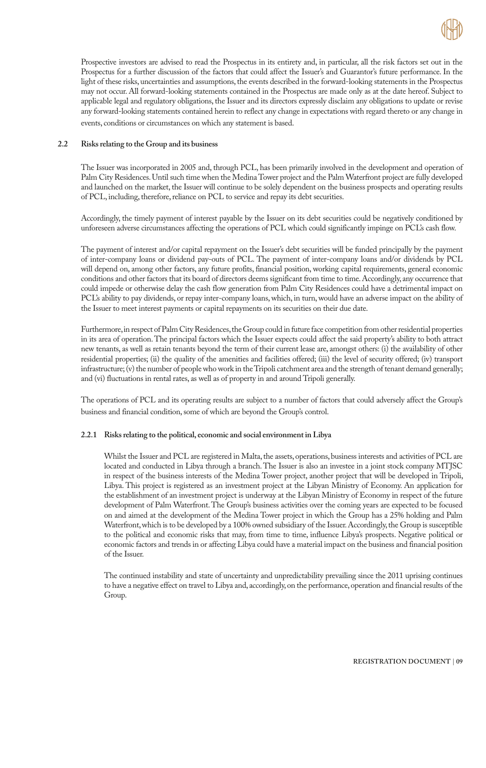

Prospective investors are advised to read the Prospectus in its entirety and, in particular, all the risk factors set out in the Prospectus for a further discussion of the factors that could affect the Issuer's and Guarantor's future performance. In the light of these risks, uncertainties and assumptions, the events described in the forward-looking statements in the Prospectus may not occur. All forward-looking statements contained in the Prospectus are made only as at the date hereof. Subject to applicable legal and regulatory obligations, the Issuer and its directors expressly disclaim any obligations to update or revise any forward-looking statements contained herein to reflect any change in expectations with regard thereto or any change in events, conditions or circumstances on which any statement is based.

## **2.2 Risks relating to the Group and its business**

The Issuer was incorporated in 2005 and, through PCL, has been primarily involved in the development and operation of Palm City Residences. Until such time when the Medina Tower project and the Palm Waterfront project are fully developed and launched on the market, the Issuer will continue to be solely dependent on the business prospects and operating results of PCL, including, therefore, reliance on PCL to service and repay its debt securities.

Accordingly, the timely payment of interest payable by the Issuer on its debt securities could be negatively conditioned by unforeseen adverse circumstances affecting the operations of PCL which could significantly impinge on PCL's cash flow.

The payment of interest and/or capital repayment on the Issuer's debt securities will be funded principally by the payment of inter-company loans or dividend pay-outs of PCL. The payment of inter-company loans and/or dividends by PCL will depend on, among other factors, any future profits, financial position, working capital requirements, general economic conditions and other factors that its board of directors deems significant from time to time. Accordingly, any occurrence that could impede or otherwise delay the cash flow generation from Palm City Residences could have a detrimental impact on PCL's ability to pay dividends, or repay inter-company loans, which, in turn, would have an adverse impact on the ability of the Issuer to meet interest payments or capital repayments on its securities on their due date.

Furthermore, in respect of Palm City Residences, the Group could in future face competition from other residential properties in its area of operation. The principal factors which the Issuer expects could affect the said property's ability to both attract new tenants, as well as retain tenants beyond the term of their current lease are, amongst others: (i) the availability of other residential properties; (ii) the quality of the amenities and facilities offered; (iii) the level of security offered; (iv) transport infrastructure; (v) the number of people who work in the Tripoli catchment area and the strength of tenant demand generally; and (vi) fluctuations in rental rates, as well as of property in and around Tripoli generally.

The operations of PCL and its operating results are subject to a number of factors that could adversely affect the Group's business and financial condition, some of which are beyond the Group's control.

## **2.2.1 Risks relating to the political, economic and social environment in Libya**

Whilst the Issuer and PCL are registered in Malta, the assets, operations, business interests and activities of PCL are located and conducted in Libya through a branch. The Issuer is also an investee in a joint stock company MTJSC in respect of the business interests of the Medina Tower project, another project that will be developed in Tripoli, Libya. This project is registered as an investment project at the Libyan Ministry of Economy. An application for the establishment of an investment project is underway at the Libyan Ministry of Economy in respect of the future development of Palm Waterfront. The Group's business activities over the coming years are expected to be focused on and aimed at the development of the Medina Tower project in which the Group has a 25% holding and Palm Waterfront, which is to be developed by a 100% owned subsidiary of the Issuer. Accordingly, the Group is susceptible to the political and economic risks that may, from time to time, influence Libya's prospects. Negative political or economic factors and trends in or affecting Libya could have a material impact on the business and financial position of the Issuer.

The continued instability and state of uncertainty and unpredictability prevailing since the 2011 uprising continues to have a negative effect on travel to Libya and, accordingly, on the performance, operation and financial results of the Group.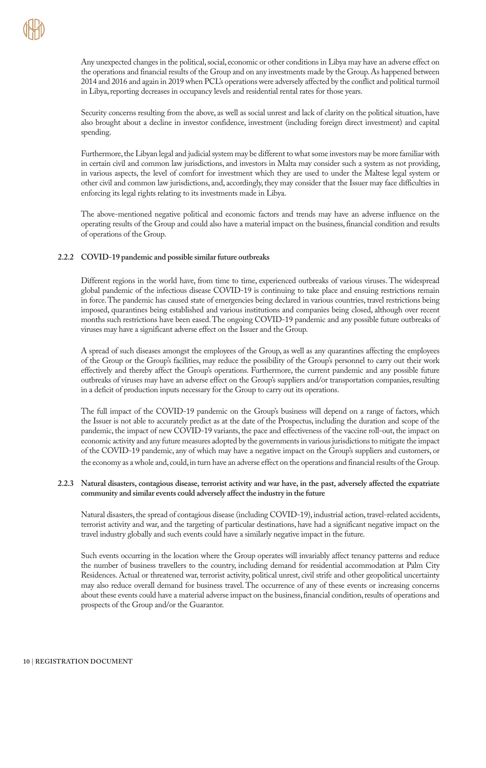Any unexpected changes in the political, social, economic or other conditions in Libya may have an adverse effect on the operations and financial results of the Group and on any investments made by the Group. As happened between 2014 and 2016 and again in 2019 when PCL's operations were adversely affected by the conflict and political turmoil in Libya, reporting decreases in occupancy levels and residential rental rates for those years.

Security concerns resulting from the above, as well as social unrest and lack of clarity on the political situation, have also brought about a decline in investor confidence, investment (including foreign direct investment) and capital spending.

Furthermore, the Libyan legal and judicial system may be different to what some investors may be more familiar with in certain civil and common law jurisdictions, and investors in Malta may consider such a system as not providing, in various aspects, the level of comfort for investment which they are used to under the Maltese legal system or other civil and common law jurisdictions, and, accordingly, they may consider that the Issuer may face difficulties in enforcing its legal rights relating to its investments made in Libya.

The above-mentioned negative political and economic factors and trends may have an adverse influence on the operating results of the Group and could also have a material impact on the business, financial condition and results of operations of the Group.

# **2.2.2 COVID-19 pandemic and possible similar future outbreaks**

Different regions in the world have, from time to time, experienced outbreaks of various viruses. The widespread global pandemic of the infectious disease COVID-19 is continuing to take place and ensuing restrictions remain in force. The pandemic has caused state of emergencies being declared in various countries, travel restrictions being imposed, quarantines being established and various institutions and companies being closed, although over recent months such restrictions have been eased. The ongoing COVID-19 pandemic and any possible future outbreaks of viruses may have a significant adverse effect on the Issuer and the Group.

A spread of such diseases amongst the employees of the Group, as well as any quarantines affecting the employees of the Group or the Group's facilities, may reduce the possibility of the Group's personnel to carry out their work effectively and thereby affect the Group's operations. Furthermore, the current pandemic and any possible future outbreaks of viruses may have an adverse effect on the Group's suppliers and/or transportation companies, resulting in a deficit of production inputs necessary for the Group to carry out its operations.

The full impact of the COVID-19 pandemic on the Group's business will depend on a range of factors, which the Issuer is not able to accurately predict as at the date of the Prospectus, including the duration and scope of the pandemic, the impact of new COVID-19 variants, the pace and effectiveness of the vaccine roll-out, the impact on economic activity and any future measures adopted by the governments in various jurisdictions to mitigate the impact of the COVID-19 pandemic, any of which may have a negative impact on the Group's suppliers and customers, or the economy as a whole and, could, in turn have an adverse effect on the operations and financial results of the Group.

## **2.2.3 Natural disasters, contagious disease, terrorist activity and war have, in the past, adversely affected the expatriate community and similar events could adversely affect the industry in the future**

Natural disasters, the spread of contagious disease (including COVID-19), industrial action, travel-related accidents, terrorist activity and war, and the targeting of particular destinations, have had a significant negative impact on the travel industry globally and such events could have a similarly negative impact in the future.

Such events occurring in the location where the Group operates will invariably affect tenancy patterns and reduce the number of business travellers to the country, including demand for residential accommodation at Palm City Residences. Actual or threatened war, terrorist activity, political unrest, civil strife and other geopolitical uncertainty may also reduce overall demand for business travel. The occurrence of any of these events or increasing concerns about these events could have a material adverse impact on the business, financial condition, results of operations and prospects of the Group and/or the Guarantor.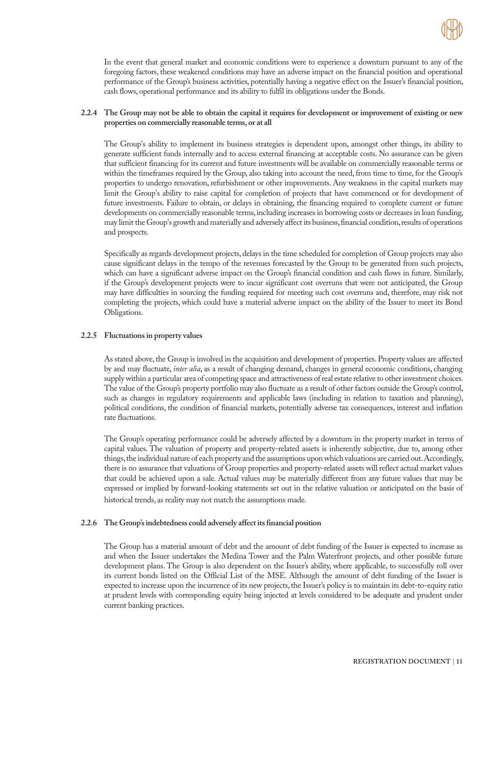

In the event that general market and economic conditions were to experience a downturn pursuant to any of the foregoing factors, these weakened conditions may have an adverse impact on the financial position and operational performance of the Group's business activities, potentially having a negative effect on the Issuer's financial position, cash flows, operational performance and its ability to fulfil its obligations under the Bonds.

## **2.2.4 The Group may not be able to obtain the capital it requires for development or improvement of existing or new properties on commercially reasonable terms, or at all**

The Group's ability to implement its business strategies is dependent upon, amongst other things, its ability to generate sufficient funds internally and to access external financing at acceptable costs. No assurance can be given that sufficient financing for its current and future investments will be available on commercially reasonable terms or within the timeframes required by the Group, also taking into account the need, from time to time, for the Group's properties to undergo renovation, refurbishment or other improvements. Any weakness in the capital markets may limit the Group's ability to raise capital for completion of projects that have commenced or for development of future investments. Failure to obtain, or delays in obtaining, the financing required to complete current or future developments on commercially reasonable terms, including increases in borrowing costs or decreases in loan funding, may limit the Group's growth and materially and adversely affect its business, financial condition, results of operations and prospects.

Specifically as regards development projects, delays in the time scheduled for completion of Group projects may also cause significant delays in the tempo of the revenues forecasted by the Group to be generated from such projects, which can have a significant adverse impact on the Group's financial condition and cash flows in future. Similarly, if the Group's development projects were to incur significant cost overruns that were not anticipated, the Group may have difficulties in sourcing the funding required for meeting such cost overruns and, therefore, may risk not completing the projects, which could have a material adverse impact on the ability of the Issuer to meet its Bond Obligations.

## **2.2.5 Fluctuations in property values**

As stated above, the Group is involved in the acquisition and development of properties. Property values are affected by and may fluctuate, *inter alia*, as a result of changing demand, changes in general economic conditions, changing supply within a particular area of competing space and attractiveness of real estate relative to other investment choices. The value of the Group's property portfolio may also fluctuate as a result of other factors outside the Group's control, such as changes in regulatory requirements and applicable laws (including in relation to taxation and planning), political conditions, the condition of financial markets, potentially adverse tax consequences, interest and inflation rate fluctuations.

The Group's operating performance could be adversely affected by a downturn in the property market in terms of capital values. The valuation of property and property-related assets is inherently subjective, due to, among other things, the individual nature of each property and the assumptions upon which valuations are carried out. Accordingly, there is no assurance that valuations of Group properties and property-related assets will reflect actual market values that could be achieved upon a sale. Actual values may be materially different from any future values that may be expressed or implied by forward-looking statements set out in the relative valuation or anticipated on the basis of historical trends, as reality may not match the assumptions made.

## **2.2.6 The Group's indebtedness could adversely affect its financial position**

The Group has a material amount of debt and the amount of debt funding of the Issuer is expected to increase as and when the Issuer undertakes the Medina Tower and the Palm Waterfront projects, and other possible future development plans. The Group is also dependent on the Issuer's ability, where applicable, to successfully roll over its current bonds listed on the Official List of the MSE. Although the amount of debt funding of the Issuer is expected to increase upon the incurrence of its new projects, the Issuer's policy is to maintain its debt-to-equity ratio at prudent levels with corresponding equity being injected at levels considered to be adequate and prudent under current banking practices.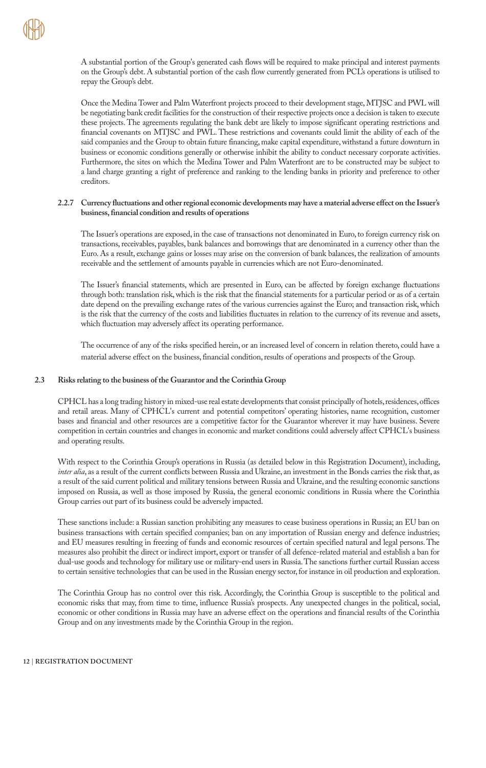A substantial portion of the Group's generated cash flows will be required to make principal and interest payments on the Group's debt. A substantial portion of the cash flow currently generated from PCL's operations is utilised to repay the Group's debt.

Once the Medina Tower and Palm Waterfront projects proceed to their development stage, MTJSC and PWL will be negotiating bank credit facilities for the construction of their respective projects once a decision is taken to execute these projects. The agreements regulating the bank debt are likely to impose significant operating restrictions and financial covenants on MTJSC and PWL. These restrictions and covenants could limit the ability of each of the said companies and the Group to obtain future financing, make capital expenditure, withstand a future downturn in business or economic conditions generally or otherwise inhibit the ability to conduct necessary corporate activities. Furthermore, the sites on which the Medina Tower and Palm Waterfront are to be constructed may be subject to a land charge granting a right of preference and ranking to the lending banks in priority and preference to other creditors.

#### **2.2.7 Currency fluctuations and other regional economic developments may have a material adverse effect on the Issuer's business, financial condition and results of operations**

The Issuer's operations are exposed, in the case of transactions not denominated in Euro, to foreign currency risk on transactions, receivables, payables, bank balances and borrowings that are denominated in a currency other than the Euro. As a result, exchange gains or losses may arise on the conversion of bank balances, the realization of amounts receivable and the settlement of amounts payable in currencies which are not Euro-denominated.

The Issuer's financial statements, which are presented in Euro, can be affected by foreign exchange fluctuations through both: translation risk, which is the risk that the financial statements for a particular period or as of a certain date depend on the prevailing exchange rates of the various currencies against the Euro; and transaction risk, which is the risk that the currency of the costs and liabilities fluctuates in relation to the currency of its revenue and assets, which fluctuation may adversely affect its operating performance.

The occurrence of any of the risks specified herein, or an increased level of concern in relation thereto, could have a material adverse effect on the business, financial condition, results of operations and prospects of the Group.

#### **2.3 Risks relating to the business of the Guarantor and the Corinthia Group**

CPHCL has a long trading history in mixed-use real estate developments that consist principally of hotels, residences, offices and retail areas. Many of CPHCL's current and potential competitors' operating histories, name recognition, customer bases and financial and other resources are a competitive factor for the Guarantor wherever it may have business. Severe competition in certain countries and changes in economic and market conditions could adversely affect CPHCL's business and operating results.

With respect to the Corinthia Group's operations in Russia (as detailed below in this Registration Document), including, *inter alia*, as a result of the current conflicts between Russia and Ukraine, an investment in the Bonds carries the risk that, as a result of the said current political and military tensions between Russia and Ukraine, and the resulting economic sanctions imposed on Russia, as well as those imposed by Russia, the general economic conditions in Russia where the Corinthia Group carries out part of its business could be adversely impacted.

These sanctions include: a Russian sanction prohibiting any measures to cease business operations in Russia; an EU ban on business transactions with certain specified companies; ban on any importation of Russian energy and defence industries; and EU measures resulting in freezing of funds and economic resources of certain specified natural and legal persons. The measures also prohibit the direct or indirect import, export or transfer of all defence-related material and establish a ban for dual-use goods and technology for military use or military-end users in Russia. The sanctions further curtail Russian access to certain sensitive technologies that can be used in the Russian energy sector, for instance in oil production and exploration.

The Corinthia Group has no control over this risk. Accordingly, the Corinthia Group is susceptible to the political and economic risks that may, from time to time, influence Russia's prospects. Any unexpected changes in the political, social, economic or other conditions in Russia may have an adverse effect on the operations and financial results of the Corinthia Group and on any investments made by the Corinthia Group in the region.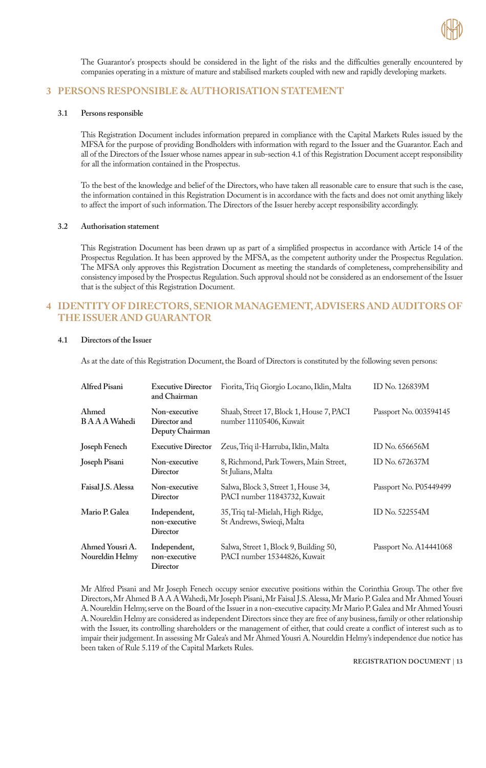

The Guarantor's prospects should be considered in the light of the risks and the difficulties generally encountered by companies operating in a mixture of mature and stabilised markets coupled with new and rapidly developing markets.

# **3 PERSONS RESPONSIBLE & AUTHORISATION STATEMENT**

#### **3.1 Persons responsible**

This Registration Document includes information prepared in compliance with the Capital Markets Rules issued by the MFSA for the purpose of providing Bondholders with information with regard to the Issuer and the Guarantor. Each and all of the Directors of the Issuer whose names appear in sub-section 4.1 of this Registration Document accept responsibility for all the information contained in the Prospectus.

To the best of the knowledge and belief of the Directors, who have taken all reasonable care to ensure that such is the case, the information contained in this Registration Document is in accordance with the facts and does not omit anything likely to affect the import of such information. The Directors of the Issuer hereby accept responsibility accordingly.

#### **3.2 Authorisation statement**

This Registration Document has been drawn up as part of a simplified prospectus in accordance with Article 14 of the Prospectus Regulation. It has been approved by the MFSA, as the competent authority under the Prospectus Regulation. The MFSA only approves this Registration Document as meeting the standards of completeness, comprehensibility and consistency imposed by the Prospectus Regulation. Such approval should not be considered as an endorsement of the Issuer that is the subject of this Registration Document.

# **4 IDENTITY OF DIRECTORS, SENIOR MANAGEMENT, ADVISERS AND AUDITORS OF THE ISSUER AND GUARANTOR**

#### **4.1 Directors of the Issuer**

As at the date of this Registration Document, the Board of Directors is constituted by the following seven persons:

| Alfred Pisani                      | <b>Executive Director</b><br>and Chairman        | Fiorita, Triq Giorgio Locano, Iklin, Malta                             | ID No. 126839M         |
|------------------------------------|--------------------------------------------------|------------------------------------------------------------------------|------------------------|
| Ahmed<br><b>BAAAWahedi</b>         | Non-executive<br>Director and<br>Deputy Chairman | Shaab, Street 17, Block 1, House 7, PACI<br>number 11105406, Kuwait    | Passport No. 003594145 |
| <b>Joseph Fenech</b>               | <b>Executive Director</b>                        | Zeus, Triq il-Harruba, Iklin, Malta                                    | ID No. 656656M         |
| Joseph Pisani                      | Non-executive<br>Director                        | 8, Richmond, Park Towers, Main Street,<br>St Julians, Malta            | ID No. 672637M         |
| Faisal J.S. Alessa                 | Non-executive<br>Director                        | Salwa, Block 3, Street 1, House 34,<br>PACI number 11843732, Kuwait    | Passport No. P05449499 |
| Mario P. Galea                     | Independent,<br>non-executive<br>Director        | 35, Triq tal-Mielah, High Ridge,<br>St Andrews, Swieqi, Malta          | ID No. 522554M         |
| Ahmed Yousri A.<br>Noureldin Helmy | Independent,<br>non-executive<br>Director        | Salwa, Street 1, Block 9, Building 50,<br>PACI number 15344826, Kuwait | Passport No. A14441068 |

Mr Alfred Pisani and Mr Joseph Fenech occupy senior executive positions within the Corinthia Group. The other five Directors, Mr Ahmed B A A A Wahedi, Mr Joseph Pisani, Mr Faisal J.S. Alessa, Mr Mario P. Galea and Mr Ahmed Yousri A. Noureldin Helmy, serve on the Board of the Issuer in a non-executive capacity. Mr Mario P. Galea and Mr Ahmed Yousri A. Noureldin Helmy are considered as independent Directors since they are free of any business, family or other relationship with the Issuer, its controlling shareholders or the management of either, that could create a conflict of interest such as to impair their judgement. In assessing Mr Galea's and Mr Ahmed Yousri A. Noureldin Helmy's independence due notice has been taken of Rule 5.119 of the Capital Markets Rules.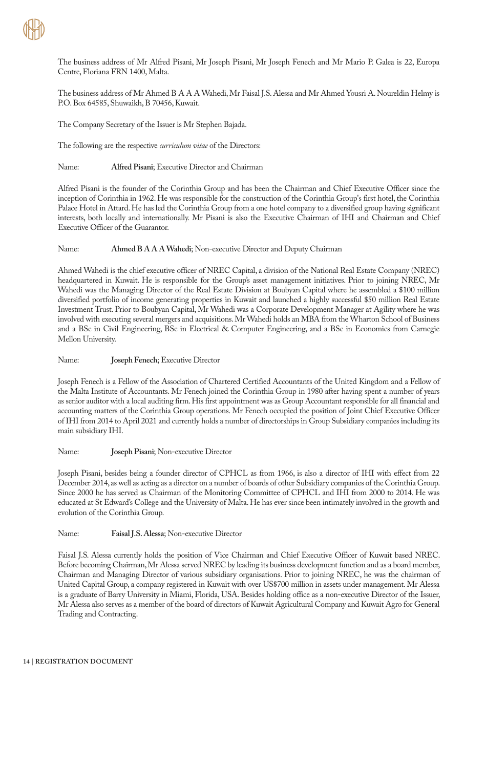

The business address of Mr Alfred Pisani, Mr Joseph Pisani, Mr Joseph Fenech and Mr Mario P. Galea is 22, Europa Centre, Floriana FRN 1400, Malta.

The business address of Mr Ahmed B A A A Wahedi, Mr Faisal J.S. Alessa and Mr Ahmed Yousri A. Noureldin Helmy is P.O. Box 64585, Shuwaikh, B 70456, Kuwait.

The Company Secretary of the Issuer is Mr Stephen Bajada.

The following are the respective *curriculum vitae* of the Directors:

Name: **Alfred Pisani**; Executive Director and Chairman

Alfred Pisani is the founder of the Corinthia Group and has been the Chairman and Chief Executive Officer since the inception of Corinthia in 1962. He was responsible for the construction of the Corinthia Group's first hotel, the Corinthia Palace Hotel in Attard. He has led the Corinthia Group from a one hotel company to a diversified group having significant interests, both locally and internationally. Mr Pisani is also the Executive Chairman of IHI and Chairman and Chief Executive Officer of the Guarantor.

Name: **Ahmed B A A A Wahedi**; Non-executive Director and Deputy Chairman

Ahmed Wahedi is the chief executive officer of NREC Capital, a division of the National Real Estate Company (NREC) headquartered in Kuwait. He is responsible for the Group's asset management initiatives. Prior to joining NREC, Mr Wahedi was the Managing Director of the Real Estate Division at Boubyan Capital where he assembled a \$100 million diversified portfolio of income generating properties in Kuwait and launched a highly successful \$50 million Real Estate Investment Trust. Prior to Boubyan Capital, Mr Wahedi was a Corporate Development Manager at Agility where he was involved with executing several mergers and acquisitions. Mr Wahedi holds an MBA from the Wharton School of Business and a BSc in Civil Engineering, BSc in Electrical & Computer Engineering, and a BSc in Economics from Carnegie Mellon University.

## Name: **Joseph Fenech**; Executive Director

Joseph Fenech is a Fellow of the Association of Chartered Certified Accountants of the United Kingdom and a Fellow of the Malta Institute of Accountants. Mr Fenech joined the Corinthia Group in 1980 after having spent a number of years as senior auditor with a local auditing firm. His first appointment was as Group Accountant responsible for all financial and accounting matters of the Corinthia Group operations. Mr Fenech occupied the position of Joint Chief Executive Officer of IHI from 2014 to April 2021 and currently holds a number of directorships in Group Subsidiary companies including its main subsidiary IHI.

Name: **Joseph Pisani**; Non-executive Director

Joseph Pisani, besides being a founder director of CPHCL as from 1966, is also a director of IHI with effect from 22 December 2014, as well as acting as a director on a number of boards of other Subsidiary companies of the Corinthia Group. Since 2000 he has served as Chairman of the Monitoring Committee of CPHCL and IHI from 2000 to 2014. He was educated at St Edward's College and the University of Malta. He has ever since been intimately involved in the growth and evolution of the Corinthia Group.

Name: **Faisal J.S. Alessa**; Non-executive Director

Faisal J.S. Alessa currently holds the position of Vice Chairman and Chief Executive Officer of Kuwait based NREC. Before becoming Chairman, Mr Alessa served NREC by leading its business development function and as a board member, Chairman and Managing Director of various subsidiary organisations. Prior to joining NREC, he was the chairman of United Capital Group, a company registered in Kuwait with over US\$700 million in assets under management. Mr Alessa is a graduate of Barry University in Miami, Florida, USA. Besides holding office as a non-executive Director of the Issuer, Mr Alessa also serves as a member of the board of directors of Kuwait Agricultural Company and Kuwait Agro for General Trading and Contracting.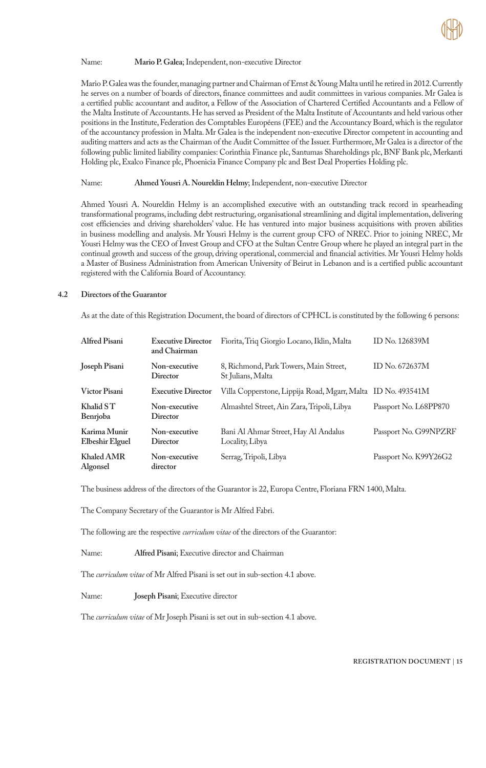

#### Name: **Mario P. Galea**; Independent, non-executive Director

Mario P. Galea was the founder, managing partner and Chairman of Ernst & Young Malta until he retired in 2012. Currently he serves on a number of boards of directors, finance committees and audit committees in various companies. Mr Galea is a certified public accountant and auditor, a Fellow of the Association of Chartered Certified Accountants and a Fellow of the Malta Institute of Accountants. He has served as President of the Malta Institute of Accountants and held various other positions in the Institute, Federation des Comptables Européens (FEE) and the Accountancy Board, which is the regulator of the accountancy profession in Malta. Mr Galea is the independent non-executive Director competent in accounting and auditing matters and acts as the Chairman of the Audit Committee of the Issuer. Furthermore, Mr Galea is a director of the following public limited liability companies: Corinthia Finance plc, Santumas Shareholdings plc, BNF Bank plc, Merkanti Holding plc, Exalco Finance plc, Phoenicia Finance Company plc and Best Deal Properties Holding plc.

#### Name: **Ahmed Yousri A. Noureldin Helmy**; Independent, non-executive Director

Ahmed Yousri A. Noureldin Helmy is an accomplished executive with an outstanding track record in spearheading transformational programs, including debt restructuring, organisational streamlining and digital implementation, delivering cost efficiencies and driving shareholders' value. He has ventured into major business acquisitions with proven abilities in business modelling and analysis. Mr Yousri Helmy is the current group CFO of NREC. Prior to joining NREC, Mr Yousri Helmy was the CEO of Invest Group and CFO at the Sultan Centre Group where he played an integral part in the continual growth and success of the group, driving operational, commercial and financial activities. Mr Yousri Helmy holds a Master of Business Administration from American University of Beirut in Lebanon and is a certified public accountant registered with the California Board of Accountancy.

## **4.2 Directors of the Guarantor**

As at the date of this Registration Document, the board of directors of CPHCL is constituted by the following 6 persons:

| Alfred Pisani                        | <b>Executive Director</b><br>and Chairman | Fiorita, Triq Giorgio Locano, Iklin, Malta                   | <b>ID No. 126839M</b> |
|--------------------------------------|-------------------------------------------|--------------------------------------------------------------|-----------------------|
| Joseph Pisani                        | Non-executive<br><b>Director</b>          | 8, Richmond, Park Towers, Main Street,<br>St Julians, Malta  | ID No. 672637M        |
| Victor Pisani                        | <b>Executive Director</b>                 | Villa Copperstone, Lippija Road, Mgarr, Malta ID No. 493541M |                       |
| Khalid ST<br>Benrjoba                | Non-executive<br><b>Director</b>          | Almashtel Street, Ain Zara, Tripoli, Libya                   | Passport No. L68PP870 |
| Karima Munir<br>Elbeshir Elguel      | Non-executive<br>Director                 | Bani Al Ahmar Street, Hay Al Andalus<br>Locality, Libya      | Passport No. G99NPZRF |
| <b>Khaled AMR</b><br><b>Algonsel</b> | Non-executive<br>director                 | Serrag, Tripoli, Libya                                       | Passport No. K99Y26G2 |

The business address of the directors of the Guarantor is 22, Europa Centre, Floriana FRN 1400, Malta.

The Company Secretary of the Guarantor is Mr Alfred Fabri.

The following are the respective *curriculum vitae* of the directors of the Guarantor:

Name: **Alfred Pisani**; Executive director and Chairman

The *curriculum vitae* of Mr Alfred Pisani is set out in sub-section 4.1 above.

Name: **Joseph Pisani**; Executive director

The *curriculum vitae* of Mr Joseph Pisani is set out in sub-section 4.1 above.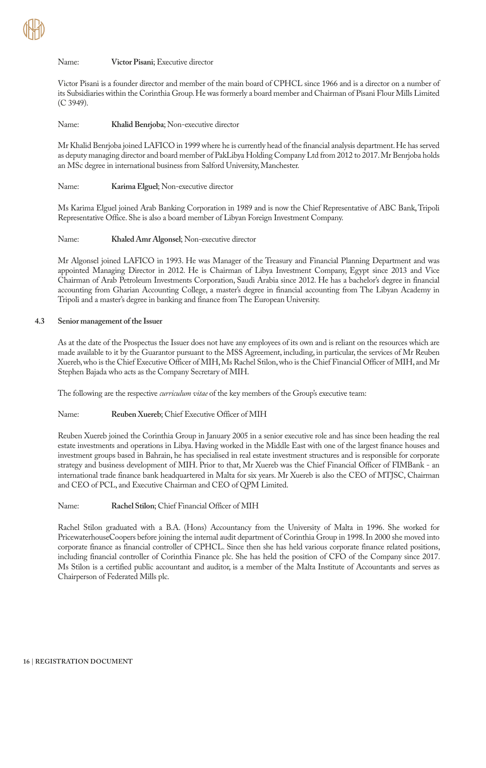#### Name: **Victor Pisani**; Executive director

Victor Pisani is a founder director and member of the main board of CPHCL since 1966 and is a director on a number of its Subsidiaries within the Corinthia Group. He was formerly a board member and Chairman of Pisani Flour Mills Limited (C 3949).

Name: **Khalid Benrjoba**; Non-executive director

Mr Khalid Benrjoba joined LAFICO in 1999 where he is currently head of the financial analysis department. He has served as deputy managing director and board member of PakLibya Holding Company Ltd from 2012 to 2017. Mr Benrjoba holds an MSc degree in international business from Salford University, Manchester.

Name: **Karima Elguel**; Non-executive director

Ms Karima Elguel joined Arab Banking Corporation in 1989 and is now the Chief Representative of ABC Bank, Tripoli Representative Office. She is also a board member of Libyan Foreign Investment Company.

#### Name: **Khaled Amr Algonsel**; Non-executive director

Mr Algonsel joined LAFICO in 1993. He was Manager of the Treasury and Financial Planning Department and was appointed Managing Director in 2012. He is Chairman of Libya Investment Company, Egypt since 2013 and Vice Chairman of Arab Petroleum Investments Corporation, Saudi Arabia since 2012. He has a bachelor's degree in financial accounting from Gharian Accounting College, a master's degree in financial accounting from The Libyan Academy in Tripoli and a master's degree in banking and finance from The European University.

## **4.3 Senior management of the Issuer**

As at the date of the Prospectus the Issuer does not have any employees of its own and is reliant on the resources which are made available to it by the Guarantor pursuant to the MSS Agreement, including, in particular, the services of Mr Reuben Xuereb, who is the Chief Executive Officer of MIH, Ms Rachel Stilon, who is the Chief Financial Officer of MIH, and Mr Stephen Bajada who acts as the Company Secretary of MIH.

The following are the respective *curriculum vitae* of the key members of the Group's executive team:

#### Name: **Reuben Xuereb**; Chief Executive Officer of MIH

Reuben Xuereb joined the Corinthia Group in January 2005 in a senior executive role and has since been heading the real estate investments and operations in Libya. Having worked in the Middle East with one of the largest finance houses and investment groups based in Bahrain, he has specialised in real estate investment structures and is responsible for corporate strategy and business development of MIH. Prior to that, Mr Xuereb was the Chief Financial Officer of FIMBank - an international trade finance bank headquartered in Malta for six years. Mr Xuereb is also the CEO of MTJSC, Chairman and CEO of PCL, and Executive Chairman and CEO of QPM Limited.

Name: **Rachel Stilon**; Chief Financial Officer of MIH

Rachel Stilon graduated with a B.A. (Hons) Accountancy from the University of Malta in 1996. She worked for PricewaterhouseCoopers before joining the internal audit department of Corinthia Group in 1998. In 2000 she moved into corporate finance as financial controller of CPHCL. Since then she has held various corporate finance related positions, including financial controller of Corinthia Finance plc. She has held the position of CFO of the Company since 2017. Ms Stilon is a certified public accountant and auditor, is a member of the Malta Institute of Accountants and serves as Chairperson of Federated Mills plc.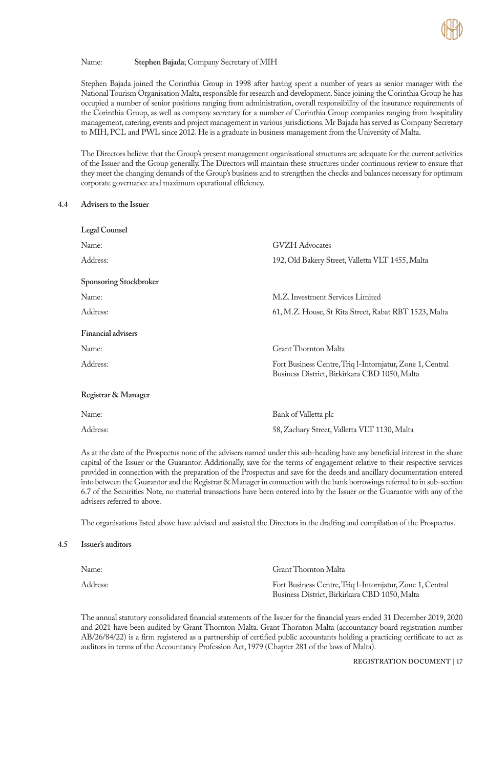

#### Name: **Stephen Bajada**; Company Secretary of MIH

Stephen Bajada joined the Corinthia Group in 1998 after having spent a number of years as senior manager with the National Tourism Organisation Malta, responsible for research and development. Since joining the Corinthia Group he has occupied a number of senior positions ranging from administration, overall responsibility of the insurance requirements of the Corinthia Group, as well as company secretary for a number of Corinthia Group companies ranging from hospitality management, catering, events and project management in various jurisdictions. Mr Bajada has served as Company Secretary to MIH, PCL and PWL since 2012. He is a graduate in business management from the University of Malta.

The Directors believe that the Group's present management organisational structures are adequate for the current activities of the Issuer and the Group generally. The Directors will maintain these structures under continuous review to ensure that they meet the changing demands of the Group's business and to strengthen the checks and balances necessary for optimum corporate governance and maximum operational efficiency.

#### **4.4 Advisers to the Issuer**

| <b>Legal Counsel</b>          |                                                                                                            |
|-------------------------------|------------------------------------------------------------------------------------------------------------|
| Name:                         | <b>GVZH</b> Advocates                                                                                      |
| Address:                      | 192, Old Bakery Street, Valletta VLT 1455, Malta                                                           |
| <b>Sponsoring Stockbroker</b> |                                                                                                            |
| Name:                         | M.Z. Investment Services Limited                                                                           |
| Address:                      | 61, M.Z. House, St Rita Street, Rabat RBT 1523, Malta                                                      |
| <b>Financial advisers</b>     |                                                                                                            |
| Name:                         | <b>Grant Thornton Malta</b>                                                                                |
| Address:                      | Fort Business Centre, Triq l-Intornjatur, Zone 1, Central<br>Business District, Birkirkara CBD 1050, Malta |
| Registrar & Manager           |                                                                                                            |
| Name:                         | Bank of Valletta plc                                                                                       |
| Address:                      | 58, Zachary Street, Valletta VLT 1130, Malta                                                               |

As at the date of the Prospectus none of the advisers named under this sub-heading have any beneficial interest in the share capital of the Issuer or the Guarantor. Additionally, save for the terms of engagement relative to their respective services provided in connection with the preparation of the Prospectus and save for the deeds and ancillary documentation entered into between the Guarantor and the Registrar & Manager in connection with the bank borrowings referred to in sub-section 6.7 of the Securities Note, no material transactions have been entered into by the Issuer or the Guarantor with any of the advisers referred to above.

The organisations listed above have advised and assisted the Directors in the drafting and compilation of the Prospectus.

#### **4.5 Issuer's auditors**

| Name:    | Grant Thornton Malta                                                                                       |
|----------|------------------------------------------------------------------------------------------------------------|
| Address: | Fort Business Centre, Triq 1-Intornjatur, Zone 1, Central<br>Business District, Birkirkara CBD 1050, Malta |

The annual statutory consolidated financial statements of the Issuer for the financial years ended 31 December 2019, 2020 and 2021 have been audited by Grant Thornton Malta. Grant Thornton Malta (accountancy board registration number AB/26/84/22) is a firm registered as a partnership of certified public accountants holding a practicing certificate to act as auditors in terms of the Accountancy Profession Act, 1979 (Chapter 281 of the laws of Malta).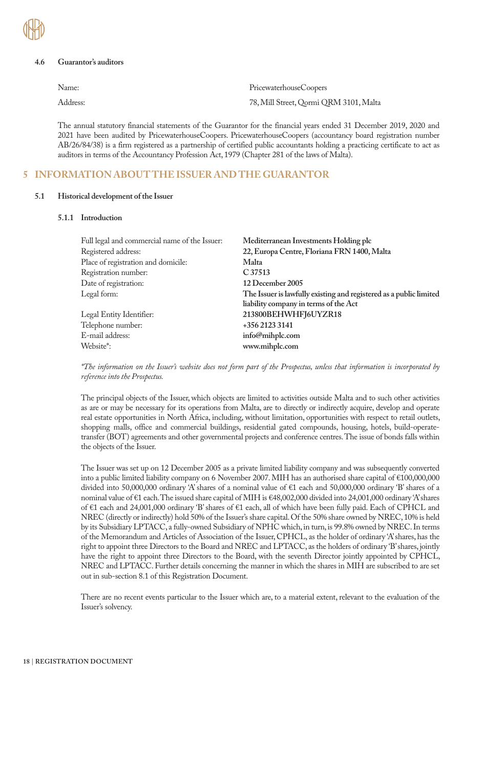

## **4.6 Guarantor's auditors**

| Name:    | PricewaterhouseCoopers                 |
|----------|----------------------------------------|
| Address: | 78, Mill Street, Qormi QRM 3101, Malta |

The annual statutory financial statements of the Guarantor for the financial years ended 31 December 2019, 2020 and 2021 have been audited by PricewaterhouseCoopers. PricewaterhouseCoopers (accountancy board registration number AB/26/84/38) is a firm registered as a partnership of certified public accountants holding a practicing certificate to act as auditors in terms of the Accountancy Profession Act, 1979 (Chapter 281 of the laws of Malta).

# **5 INFORMATION ABOUT THE ISSUER AND THE GUARANTOR**

#### **5.1 Historical development of the Issuer**

#### **5.1.1 Introduction**

| Full legal and commercial name of the Issuer: | Mediterranean Investments Holding plc                              |
|-----------------------------------------------|--------------------------------------------------------------------|
| Registered address:                           | 22, Europa Centre, Floriana FRN 1400, Malta                        |
| Place of registration and domicile:           | Malta                                                              |
| Registration number:                          | C 37513                                                            |
| Date of registration:                         | 12 December 2005                                                   |
| Legal form:                                   | The Issuer is lawfully existing and registered as a public limited |
|                                               | liability company in terms of the Act                              |
| Legal Entity Identifier:                      | 213800BEHWHFJ6UYZR18                                               |
| Telephone number:                             | +356 2123 3141                                                     |
| E-mail address:                               | info@mihplc.com                                                    |
| Website*:                                     | www.mihplc.com                                                     |

*\*The information on the Issuer's website does not form part of the Prospectus, unless that information is incorporated by reference into the Prospectus.*

The principal objects of the Issuer, which objects are limited to activities outside Malta and to such other activities as are or may be necessary for its operations from Malta, are to directly or indirectly acquire, develop and operate real estate opportunities in North Africa, including, without limitation, opportunities with respect to retail outlets, shopping malls, office and commercial buildings, residential gated compounds, housing, hotels, build-operatetransfer (BOT) agreements and other governmental projects and conference centres. The issue of bonds falls within the objects of the Issuer.

The Issuer was set up on 12 December 2005 as a private limited liability company and was subsequently converted into a public limited liability company on 6 November 2007. MIH has an authorised share capital of €100,000,000 divided into 50,000,000 ordinary 'A' shares of a nominal value of €1 each and 50,000,000 ordinary 'B' shares of a nominal value of €1 each. The issued share capital of MIH is €48,002,000 divided into 24,001,000 ordinary 'A' shares of €1 each and 24,001,000 ordinary 'B' shares of €1 each, all of which have been fully paid. Each of CPHCL and NREC (directly or indirectly) hold 50% of the Issuer's share capital. Of the 50% share owned by NREC, 10% is held by its Subsidiary LPTACC, a fully-owned Subsidiary of NPHC which, in turn, is 99.8% owned by NREC. In terms of the Memorandum and Articles of Association of the Issuer, CPHCL, as the holder of ordinary 'A' shares, has the right to appoint three Directors to the Board and NREC and LPTACC, as the holders of ordinary 'B' shares, jointly have the right to appoint three Directors to the Board, with the seventh Director jointly appointed by CPHCL, NREC and LPTACC. Further details concerning the manner in which the shares in MIH are subscribed to are set out in sub-section 8.1 of this Registration Document.

There are no recent events particular to the Issuer which are, to a material extent, relevant to the evaluation of the Issuer's solvency.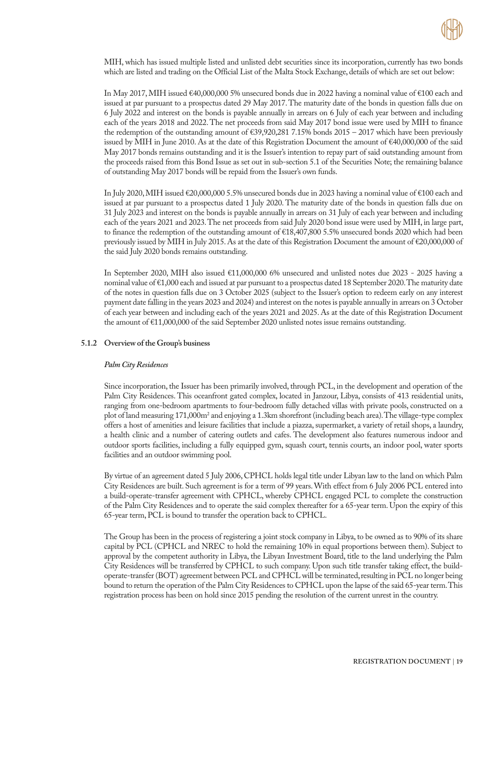

MIH, which has issued multiple listed and unlisted debt securities since its incorporation, currently has two bonds which are listed and trading on the Official List of the Malta Stock Exchange, details of which are set out below:

In May 2017, MIH issued €40,000,000 5% unsecured bonds due in 2022 having a nominal value of €100 each and issued at par pursuant to a prospectus dated 29 May 2017. The maturity date of the bonds in question falls due on 6 July 2022 and interest on the bonds is payable annually in arrears on 6 July of each year between and including each of the years 2018 and 2022. The net proceeds from said May 2017 bond issue were used by MIH to finance the redemption of the outstanding amount of  $\epsilon$ 39,920,281 7.15% bonds 2015 – 2017 which have been previously issued by MIH in June 2010. As at the date of this Registration Document the amount of €40,000,000 of the said May 2017 bonds remains outstanding and it is the Issuer's intention to repay part of said outstanding amount from the proceeds raised from this Bond Issue as set out in sub-section 5.1 of the Securities Note; the remaining balance of outstanding May 2017 bonds will be repaid from the Issuer's own funds.

In July 2020, MIH issued €20,000,000 5.5% unsecured bonds due in 2023 having a nominal value of €100 each and issued at par pursuant to a prospectus dated 1 July 2020. The maturity date of the bonds in question falls due on 31 July 2023 and interest on the bonds is payable annually in arrears on 31 July of each year between and including each of the years 2021 and 2023. The net proceeds from said July 2020 bond issue were used by MIH, in large part, to finance the redemption of the outstanding amount of €18,407,800 5.5% unsecured bonds 2020 which had been previously issued by MIH in July 2015. As at the date of this Registration Document the amount of €20,000,000 of the said July 2020 bonds remains outstanding.

In September 2020, MIH also issued €11,000,000 6% unsecured and unlisted notes due 2023 - 2025 having a nominal value of €1,000 each and issued at par pursuant to a prospectus dated 18 September 2020. The maturity date of the notes in question falls due on 3 October 2025 (subject to the Issuer's option to redeem early on any interest payment date falling in the years 2023 and 2024) and interest on the notes is payable annually in arrears on 3 October of each year between and including each of the years 2021 and 2025. As at the date of this Registration Document the amount of €11,000,000 of the said September 2020 unlisted notes issue remains outstanding.

#### **5.1.2 Overview of the Group's business**

#### *Palm City Residences*

Since incorporation, the Issuer has been primarily involved, through PCL, in the development and operation of the Palm City Residences. This oceanfront gated complex, located in Janzour, Libya, consists of 413 residential units, ranging from one-bedroom apartments to four-bedroom fully detached villas with private pools, constructed on a plot of land measuring 171,000m<sup>2</sup> and enjoying a 1.3km shorefront (including beach area). The village-type complex offers a host of amenities and leisure facilities that include a piazza, supermarket, a variety of retail shops, a laundry, a health clinic and a number of catering outlets and cafes. The development also features numerous indoor and outdoor sports facilities, including a fully equipped gym, squash court, tennis courts, an indoor pool, water sports facilities and an outdoor swimming pool.

By virtue of an agreement dated 5 July 2006, CPHCL holds legal title under Libyan law to the land on which Palm City Residences are built. Such agreement is for a term of 99 years. With effect from 6 July 2006 PCL entered into a build-operate-transfer agreement with CPHCL, whereby CPHCL engaged PCL to complete the construction of the Palm City Residences and to operate the said complex thereafter for a 65-year term. Upon the expiry of this 65-year term, PCL is bound to transfer the operation back to CPHCL.

The Group has been in the process of registering a joint stock company in Libya, to be owned as to 90% of its share capital by PCL (CPHCL and NREC to hold the remaining 10% in equal proportions between them). Subject to approval by the competent authority in Libya, the Libyan Investment Board, title to the land underlying the Palm City Residences will be transferred by CPHCL to such company. Upon such title transfer taking effect, the buildoperate-transfer (BOT) agreement between PCL and CPHCL will be terminated, resulting in PCL no longer being bound to return the operation of the Palm City Residences to CPHCL upon the lapse of the said 65-year term. This registration process has been on hold since 2015 pending the resolution of the current unrest in the country.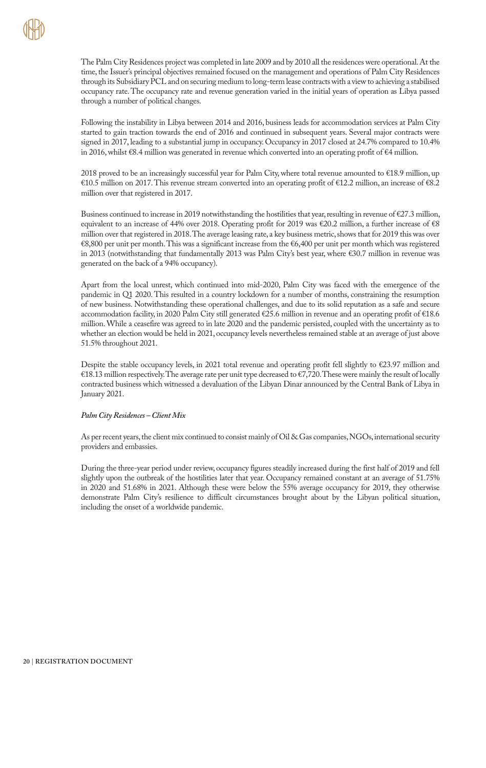The Palm City Residences project was completed in late 2009 and by 2010 all the residences were operational. At the time, the Issuer's principal objectives remained focused on the management and operations of Palm City Residences through its Subsidiary PCL and on securing medium to long-term lease contracts with a view to achieving a stabilised occupancy rate. The occupancy rate and revenue generation varied in the initial years of operation as Libya passed through a number of political changes.

Following the instability in Libya between 2014 and 2016, business leads for accommodation services at Palm City started to gain traction towards the end of 2016 and continued in subsequent years. Several major contracts were signed in 2017, leading to a substantial jump in occupancy. Occupancy in 2017 closed at 24.7% compared to 10.4% in 2016, whilst €8.4 million was generated in revenue which converted into an operating profit of €4 million.

2018 proved to be an increasingly successful year for Palm City, where total revenue amounted to €18.9 million, up €10.5 million on 2017. This revenue stream converted into an operating profit of €12.2 million, an increase of €8.2 million over that registered in 2017.

Business continued to increase in 2019 notwithstanding the hostilities that year, resulting in revenue of  $\epsilon$ 27.3 million, equivalent to an increase of 44% over 2018. Operating profit for 2019 was €20.2 million, a further increase of €8 million over that registered in 2018. The average leasing rate, a key business metric, shows that for 2019 this was over €8,800 per unit per month. This was a significant increase from the €6,400 per unit per month which was registered in 2013 (notwithstanding that fundamentally 2013 was Palm City's best year, where €30.7 million in revenue was generated on the back of a 94% occupancy).

Apart from the local unrest, which continued into mid-2020, Palm City was faced with the emergence of the pandemic in Q1 2020. This resulted in a country lockdown for a number of months, constraining the resumption of new business. Notwithstanding these operational challenges, and due to its solid reputation as a safe and secure accommodation facility, in 2020 Palm City still generated €25.6 million in revenue and an operating profit of €18.6 million. While a ceasefire was agreed to in late 2020 and the pandemic persisted, coupled with the uncertainty as to whether an election would be held in 2021, occupancy levels nevertheless remained stable at an average of just above 51.5% throughout 2021.

Despite the stable occupancy levels, in 2021 total revenue and operating profit fell slightly to €23.97 million and €18.13 million respectively. The average rate per unit type decreased to €7,720. These were mainly the result of locally contracted business which witnessed a devaluation of the Libyan Dinar announced by the Central Bank of Libya in January 2021.

## *Palm City Residences – Client Mix*

As per recent years, the client mix continued to consist mainly of Oil & Gas companies, NGOs, international security providers and embassies.

During the three-year period under review, occupancy figures steadily increased during the first half of 2019 and fell slightly upon the outbreak of the hostilities later that year. Occupancy remained constant at an average of 51.75% in 2020 and 51.68% in 2021. Although these were below the 55% average occupancy for 2019, they otherwise demonstrate Palm City's resilience to difficult circumstances brought about by the Libyan political situation, including the onset of a worldwide pandemic.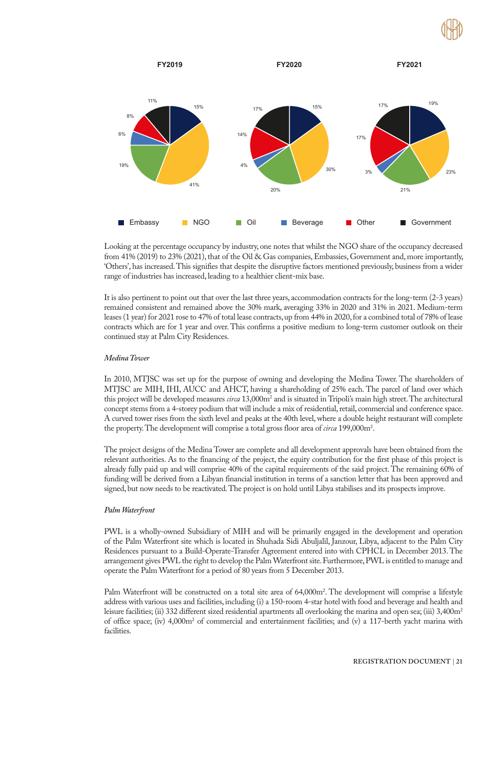



Looking at the percentage occupancy by industry, one notes that whilst the NGO share of the occupancy decreased from 41% (2019) to 23% (2021), that of the Oil & Gas companies, Embassies, Government and, more importantly, 'Others', has increased. This signifies that despite the disruptive factors mentioned previously, business from a wider range of industries has increased, leading to a healthier client-mix base.

It is also pertinent to point out that over the last three years, accommodation contracts for the long-term (2-3 years) remained consistent and remained above the 30% mark, averaging 33% in 2020 and 31% in 2021. Medium-term leases (1 year) for 2021 rose to 47% of total lease contracts, up from 44% in 2020, for a combined total of 78% of lease contracts which are for 1 year and over. This confirms a positive medium to long-term customer outlook on their continued stay at Palm City Residences.

#### *Medina Tower*

In 2010, MTJSC was set up for the purpose of owning and developing the Medina Tower. The shareholders of MTJSC are MIH, IHI, AUCC and AHCT, having a shareholding of 25% each. The parcel of land over which this project will be developed measures *circa* 13,000m<sup>2</sup> and is situated in Tripoli's main high street. The architectural concept stems from a 4-storey podium that will include a mix of residential, retail, commercial and conference space. A curved tower rises from the sixth level and peaks at the 40th level, where a double height restaurant will complete the property. The development will comprise a total gross floor area of *circa* 199,000m2 .

The project designs of the Medina Tower are complete and all development approvals have been obtained from the relevant authorities. As to the financing of the project, the equity contribution for the first phase of this project is already fully paid up and will comprise 40% of the capital requirements of the said project. The remaining 60% of funding will be derived from a Libyan financial institution in terms of a sanction letter that has been approved and signed, but now needs to be reactivated. The project is on hold until Libya stabilises and its prospects improve.

## *Palm Waterfront*

PWL is a wholly-owned Subsidiary of MIH and will be primarily engaged in the development and operation of the Palm Waterfront site which is located in Shuhada Sidi Abuljalil, Janzour, Libya, adjacent to the Palm City Residences pursuant to a Build-Operate-Transfer Agreement entered into with CPHCL in December 2013. The arrangement gives PWL the right to develop the Palm Waterfront site. Furthermore, PWL is entitled to manage and operate the Palm Waterfront for a period of 80 years from 5 December 2013.

Palm Waterfront will be constructed on a total site area of 64,000m2 . The development will comprise a lifestyle address with various uses and facilities, including (i) a 150-room 4-star hotel with food and beverage and health and leisure facilities; (ii) 332 different sized residential apartments all overlooking the marina and open sea; (iii) 3,400m<sup>2</sup> of office space; (iv) 4,000m2 of commercial and entertainment facilities; and (v) a 117-berth yacht marina with facilities.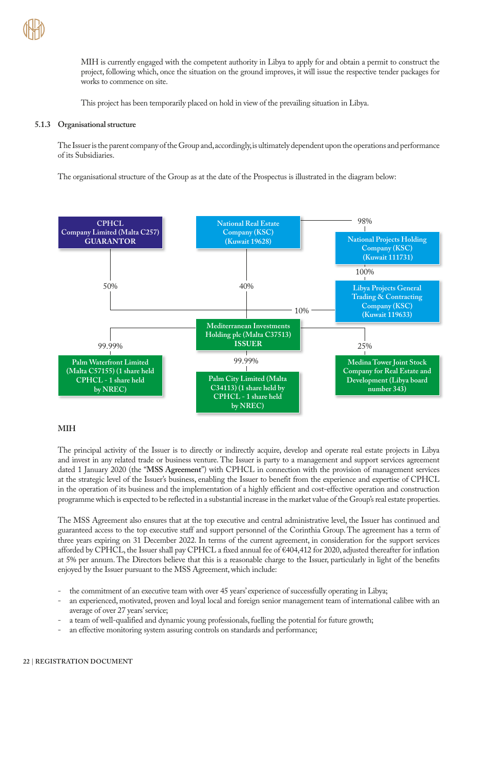MIH is currently engaged with the competent authority in Libya to apply for and obtain a permit to construct the project, following which, once the situation on the ground improves, it will issue the respective tender packages for works to commence on site.

This project has been temporarily placed on hold in view of the prevailing situation in Libya.

#### **5.1.3 Organisational structure**

The Issuer is the parent company of the Group and, accordingly, is ultimately dependent upon the operations and performance of its Subsidiaries.

The organisational structure of the Group as at the date of the Prospectus is illustrated in the diagram below:



# **MIH**

The principal activity of the Issuer is to directly or indirectly acquire, develop and operate real estate projects in Libya and invest in any related trade or business venture. The Issuer is party to a management and support services agreement dated 1 January 2020 (the "**MSS Agreement**") with CPHCL in connection with the provision of management services at the strategic level of the Issuer's business, enabling the Issuer to benefit from the experience and expertise of CPHCL in the operation of its business and the implementation of a highly efficient and cost-effective operation and construction programme which is expected to be reflected in a substantial increase in the market value of the Group's real estate properties.

The MSS Agreement also ensures that at the top executive and central administrative level, the Issuer has continued and guaranteed access to the top executive staff and support personnel of the Corinthia Group. The agreement has a term of three years expiring on 31 December 2022. In terms of the current agreement, in consideration for the support services afforded by CPHCL, the Issuer shall pay CPHCL a fixed annual fee of €404,412 for 2020, adjusted thereafter for inflation at 5% per annum. The Directors believe that this is a reasonable charge to the Issuer, particularly in light of the benefits enjoyed by the Issuer pursuant to the MSS Agreement, which include:

- the commitment of an executive team with over 45 years' experience of successfully operating in Libya;
- an experienced, motivated, proven and loyal local and foreign senior management team of international calibre with an average of over 27 years' service;
- a team of well-qualified and dynamic young professionals, fuelling the potential for future growth;
- an effective monitoring system assuring controls on standards and performance;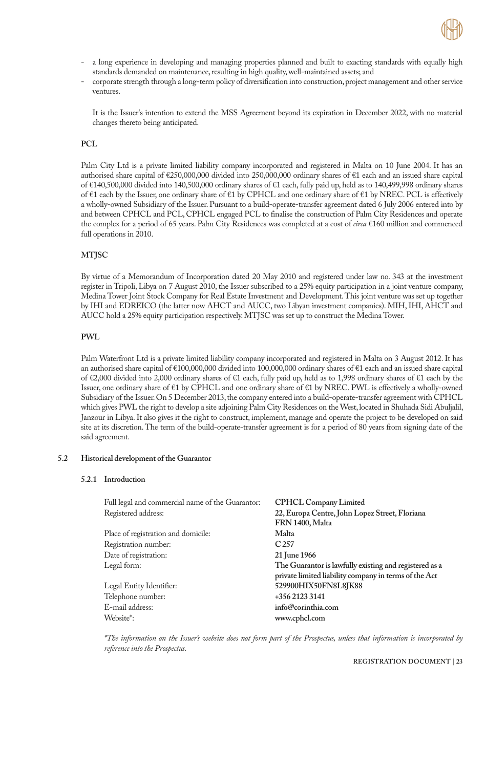

- a long experience in developing and managing properties planned and built to exacting standards with equally high standards demanded on maintenance, resulting in high quality, well-maintained assets; and
- corporate strength through a long-term policy of diversification into construction, project management and other service ventures.

It is the Issuer's intention to extend the MSS Agreement beyond its expiration in December 2022, with no material changes thereto being anticipated.

# **PCL**

Palm City Ltd is a private limited liability company incorporated and registered in Malta on 10 June 2004. It has an authorised share capital of €250,000,000 divided into 250,000,000 ordinary shares of €1 each and an issued share capital of €140,500,000 divided into 140,500,000 ordinary shares of €1 each, fully paid up, held as to 140,499,998 ordinary shares of €1 each by the Issuer, one ordinary share of €1 by CPHCL and one ordinary share of €1 by NREC. PCL is effectively a wholly-owned Subsidiary of the Issuer. Pursuant to a build-operate-transfer agreement dated 6 July 2006 entered into by and between CPHCL and PCL, CPHCL engaged PCL to finalise the construction of Palm City Residences and operate the complex for a period of 65 years. Palm City Residences was completed at a cost of *circa* €160 million and commenced full operations in 2010.

# **MTJSC**

By virtue of a Memorandum of Incorporation dated 20 May 2010 and registered under law no. 343 at the investment register in Tripoli, Libya on 7 August 2010, the Issuer subscribed to a 25% equity participation in a joint venture company, Medina Tower Joint Stock Company for Real Estate Investment and Development. This joint venture was set up together by IHI and EDREICO (the latter now AHCT and AUCC, two Libyan investment companies). MIH, IHI, AHCT and AUCC hold a 25% equity participation respectively. MTJSC was set up to construct the Medina Tower.

# **PWL**

Palm Waterfront Ltd is a private limited liability company incorporated and registered in Malta on 3 August 2012. It has an authorised share capital of €100,000,000 divided into 100,000,000 ordinary shares of €1 each and an issued share capital of €2,000 divided into 2,000 ordinary shares of €1 each, fully paid up, held as to 1,998 ordinary shares of €1 each by the Issuer, one ordinary share of €1 by CPHCL and one ordinary share of €1 by NREC. PWL is effectively a wholly-owned Subsidiary of the Issuer. On 5 December 2013, the company entered into a build-operate-transfer agreement with CPHCL which gives PWL the right to develop a site adjoining Palm City Residences on the West, located in Shuhada Sidi Abuljalil, Janzour in Libya. It also gives it the right to construct, implement, manage and operate the project to be developed on said site at its discretion. The term of the build-operate-transfer agreement is for a period of 80 years from signing date of the said agreement.

## **5.2 Historical development of the Guarantor**

## **5.2.1 Introduction**

| <b>CPHCL Company Limited</b>                           |
|--------------------------------------------------------|
| 22, Europa Centre, John Lopez Street, Floriana         |
| FRN 1400, Malta                                        |
| Malta                                                  |
| C <sub>257</sub>                                       |
| 21 June 1966                                           |
| The Guarantor is lawfully existing and registered as a |
| private limited liability company in terms of the Act  |
| 529900HIX50FN8L8JK88                                   |
| +356 2123 3141                                         |
| info@corinthia.com                                     |
| www.cphcl.com                                          |
|                                                        |

*\*The information on the Issuer's website does not form part of the Prospectus, unless that information is incorporated by reference into the Prospectus.*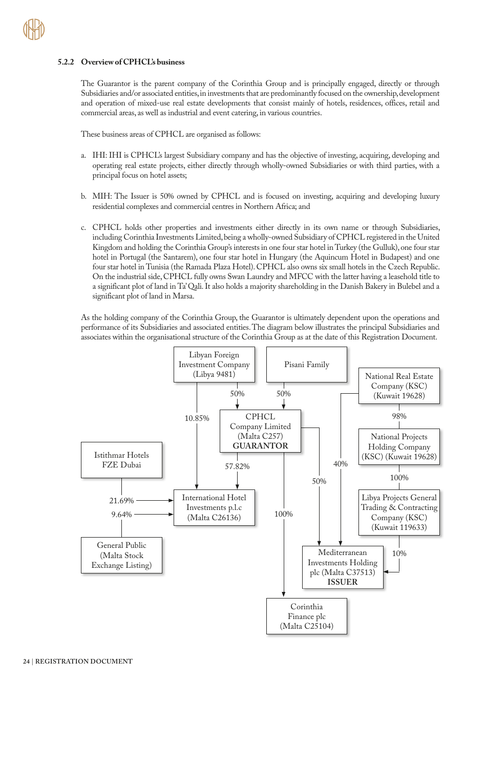## **5.2.2 Overview of CPHCL's business**

The Guarantor is the parent company of the Corinthia Group and is principally engaged, directly or through Subsidiaries and/or associated entities, in investments that are predominantly focused on the ownership, development and operation of mixed-use real estate developments that consist mainly of hotels, residences, offices, retail and commercial areas, as well as industrial and event catering, in various countries.

These business areas of CPHCL are organised as follows:

- a. IHI: IHI is CPHCL's largest Subsidiary company and has the objective of investing, acquiring, developing and operating real estate projects, either directly through wholly-owned Subsidiaries or with third parties, with a principal focus on hotel assets;
- b. MIH: The Issuer is 50% owned by CPHCL and is focused on investing, acquiring and developing luxury residential complexes and commercial centres in Northern Africa; and
- c. CPHCL holds other properties and investments either directly in its own name or through Subsidiaries, including Corinthia Investments Limited, being a wholly-owned Subsidiary of CPHCL registered in the United Kingdom and holding the Corinthia Group's interests in one four star hotel in Turkey (the Gulluk), one four star hotel in Portugal (the Santarem), one four star hotel in Hungary (the Aquincum Hotel in Budapest) and one four star hotel in Tunisia (the Ramada Plaza Hotel). CPHCL also owns six small hotels in the Czech Republic. On the industrial side, CPHCL fully owns Swan Laundry and MFCC with the latter having a leasehold title to a significant plot of land in Ta' Qali. It also holds a majority shareholding in the Danish Bakery in Bulebel and a significant plot of land in Marsa.

As the holding company of the Corinthia Group, the Guarantor is ultimately dependent upon the operations and performance of its Subsidiaries and associated entities. The diagram below illustrates the principal Subsidiaries and associates within the organisational structure of the Corinthia Group as at the date of this Registration Document.

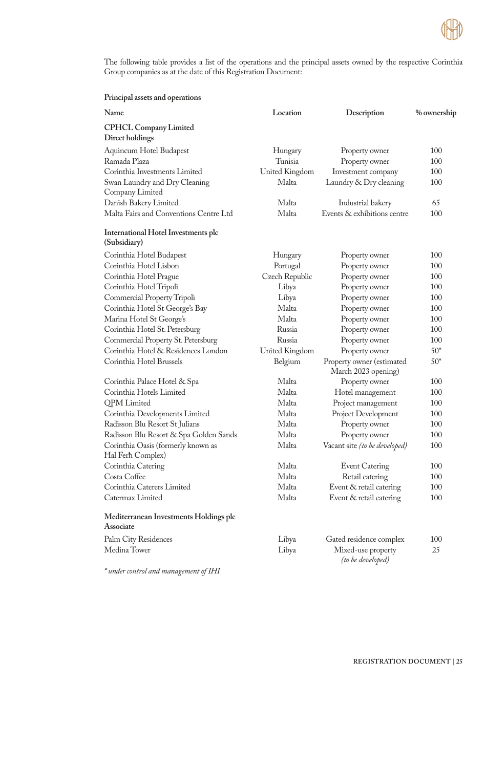

The following table provides a list of the operations and the principal assets owned by the respective Corinthia Group companies as at the date of this Registration Document:

| Name                                                    | Location       | Description                                      | % ownership |
|---------------------------------------------------------|----------------|--------------------------------------------------|-------------|
| <b>CPHCL Company Limited</b><br>Direct holdings         |                |                                                  |             |
| Aquincum Hotel Budapest                                 | Hungary        | Property owner                                   | 100         |
| Ramada Plaza                                            | Tunisia        | Property owner                                   | 100         |
| Corinthia Investments Limited                           | United Kingdom | Investment company                               | 100         |
| Swan Laundry and Dry Cleaning<br>Company Limited        | Malta          | Laundry & Dry cleaning                           | 100         |
| Danish Bakery Limited                                   | Malta          | Industrial bakery                                | 65          |
| Malta Fairs and Conventions Centre Ltd                  | Malta          | Events & exhibitions centre                      | 100         |
| International Hotel Investments plc<br>(Subsidiary)     |                |                                                  |             |
| Corinthia Hotel Budapest                                | Hungary        | Property owner                                   | 100         |
| Corinthia Hotel Lisbon                                  | Portugal       | Property owner                                   | 100         |
| Corinthia Hotel Prague                                  | Czech Republic | Property owner                                   | 100         |
| Corinthia Hotel Tripoli                                 | Libya          | Property owner                                   | 100         |
| Commercial Property Tripoli                             | Libya          | Property owner                                   | 100         |
| Corinthia Hotel St George's Bay                         | Malta          | Property owner                                   | 100         |
| Marina Hotel St George's                                | Malta          | Property owner                                   | 100         |
| Corinthia Hotel St. Petersburg                          | Russia         | Property owner                                   | 100         |
| Commercial Property St. Petersburg                      | Russia         | Property owner                                   | 100         |
| Corinthia Hotel & Residences London                     | United Kingdom | Property owner                                   | $50*$       |
| Corinthia Hotel Brussels                                | Belgium        | Property owner (estimated<br>March 2023 opening) | $50*$       |
| Corinthia Palace Hotel & Spa                            | Malta          | Property owner                                   | 100         |
| Corinthia Hotels Limited                                | Malta          | Hotel management                                 | 100         |
| QPM Limited                                             | Malta          | Project management                               | 100         |
| Corinthia Developments Limited                          | Malta          | Project Development                              | 100         |
| Radisson Blu Resort St Julians                          | Malta          | Property owner                                   | 100         |
| Radisson Blu Resort & Spa Golden Sands                  | Malta          | Property owner                                   | 100         |
| Corinthia Oasis (formerly known as<br>Hal Ferh Complex) | Malta          | Vacant site (to be developed)                    | 100         |
| Corinthia Catering                                      | Malta          | <b>Event Catering</b>                            | 100         |
| Costa Coffee                                            | Malta          | Retail catering                                  | 100         |
| Corinthia Caterers Limited                              | Malta          | Event & retail catering                          | 100         |
| Catermax Limited                                        | Malta          | Event & retail catering                          | 100         |
| Mediterranean Investments Holdings plc<br>Associate     |                |                                                  |             |
| Palm City Residences                                    | Libya          | Gated residence complex                          | 100         |
| Medina Tower                                            | Libya          | Mixed-use property<br>(to be developed)          | 25          |

*\* under control and management of IHI*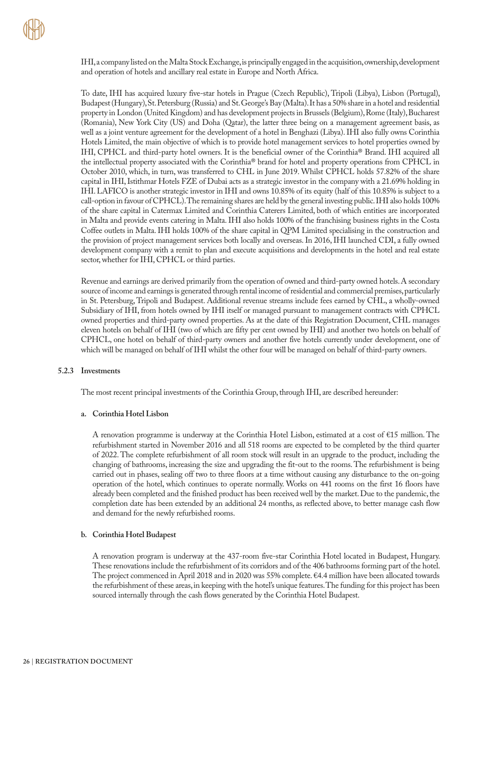IHI, a company listed on the Malta Stock Exchange, is principally engaged in the acquisition, ownership, development and operation of hotels and ancillary real estate in Europe and North Africa.

To date, IHI has acquired luxury five-star hotels in Prague (Czech Republic), Tripoli (Libya), Lisbon (Portugal), Budapest (Hungary), St. Petersburg (Russia) and St. George's Bay (Malta). It has a 50% share in a hotel and residential property in London (United Kingdom) and has development projects in Brussels (Belgium), Rome (Italy), Bucharest (Romania), New York City (US) and Doha (Qatar), the latter three being on a management agreement basis, as well as a joint venture agreement for the development of a hotel in Benghazi (Libya). IHI also fully owns Corinthia Hotels Limited, the main objective of which is to provide hotel management services to hotel properties owned by IHI, CPHCL and third-party hotel owners. It is the beneficial owner of the Corinthia® Brand. IHI acquired all the intellectual property associated with the Corinthia® brand for hotel and property operations from CPHCL in October 2010, which, in turn, was transferred to CHL in June 2019. Whilst CPHCL holds 57.82% of the share capital in IHI, Istithmar Hotels FZE of Dubai acts as a strategic investor in the company with a 21.69% holding in IHI. LAFICO is another strategic investor in IHI and owns 10.85% of its equity (half of this 10.85% is subject to a call-option in favour of CPHCL). The remaining shares are held by the general investing public. IHI also holds 100% of the share capital in Catermax Limited and Corinthia Caterers Limited, both of which entities are incorporated in Malta and provide events catering in Malta. IHI also holds 100% of the franchising business rights in the Costa Coffee outlets in Malta. IHI holds 100% of the share capital in QPM Limited specialising in the construction and the provision of project management services both locally and overseas. In 2016, IHI launched CDI, a fully owned development company with a remit to plan and execute acquisitions and developments in the hotel and real estate sector, whether for IHI, CPHCL or third parties.

Revenue and earnings are derived primarily from the operation of owned and third-party owned hotels. A secondary source of income and earnings is generated through rental income of residential and commercial premises, particularly in St. Petersburg, Tripoli and Budapest. Additional revenue streams include fees earned by CHL, a wholly-owned Subsidiary of IHI, from hotels owned by IHI itself or managed pursuant to management contracts with CPHCL owned properties and third-party owned properties. As at the date of this Registration Document, CHL manages eleven hotels on behalf of IHI (two of which are fifty per cent owned by IHI) and another two hotels on behalf of CPHCL, one hotel on behalf of third-party owners and another five hotels currently under development, one of which will be managed on behalf of IHI whilst the other four will be managed on behalf of third-party owners.

## **5.2.3 Investments**

The most recent principal investments of the Corinthia Group, through IHI, are described hereunder:

#### **a. Corinthia Hotel Lisbon**

A renovation programme is underway at the Corinthia Hotel Lisbon, estimated at a cost of €15 million. The refurbishment started in November 2016 and all 518 rooms are expected to be completed by the third quarter of 2022. The complete refurbishment of all room stock will result in an upgrade to the product, including the changing of bathrooms, increasing the size and upgrading the fit-out to the rooms. The refurbishment is being carried out in phases, sealing off two to three floors at a time without causing any disturbance to the on-going operation of the hotel, which continues to operate normally. Works on 441 rooms on the first 16 floors have already been completed and the finished product has been received well by the market. Due to the pandemic, the completion date has been extended by an additional 24 months, as reflected above, to better manage cash flow and demand for the newly refurbished rooms.

## **b. Corinthia Hotel Budapest**

A renovation program is underway at the 437-room five-star Corinthia Hotel located in Budapest, Hungary. These renovations include the refurbishment of its corridors and of the 406 bathrooms forming part of the hotel. The project commenced in April 2018 and in 2020 was 55% complete. €4.4 million have been allocated towards the refurbishment of these areas, in keeping with the hotel's unique features. The funding for this project has been sourced internally through the cash flows generated by the Corinthia Hotel Budapest.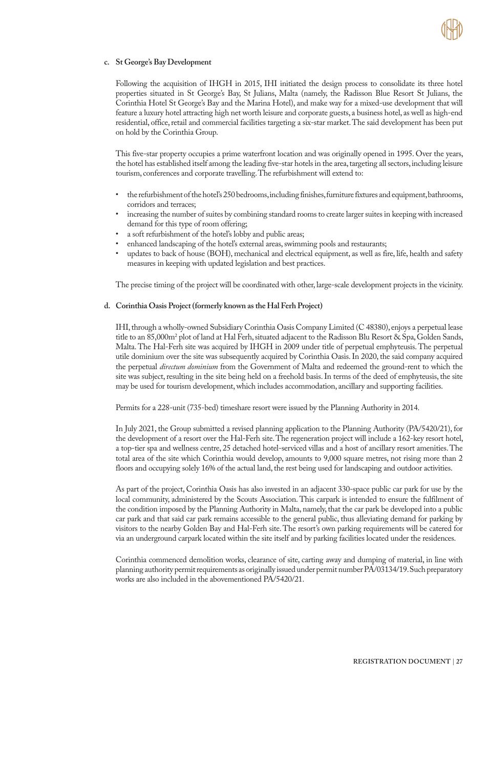

# **c. St George's Bay Development**

Following the acquisition of IHGH in 2015, IHI initiated the design process to consolidate its three hotel properties situated in St George's Bay, St Julians, Malta (namely, the Radisson Blue Resort St Julians, the Corinthia Hotel St George's Bay and the Marina Hotel), and make way for a mixed-use development that will feature a luxury hotel attracting high net worth leisure and corporate guests, a business hotel, as well as high-end residential, office, retail and commercial facilities targeting a six-star market. The said development has been put on hold by the Corinthia Group.

This five-star property occupies a prime waterfront location and was originally opened in 1995. Over the years, the hotel has established itself among the leading five-star hotels in the area, targeting all sectors, including leisure tourism, conferences and corporate travelling. The refurbishment will extend to:

- the refurbishment of the hotel's 250 bedrooms, including finishes, furniture fixtures and equipment, bathrooms, corridors and terraces;
- increasing the number of suites by combining standard rooms to create larger suites in keeping with increased demand for this type of room offering;
- a soft refurbishment of the hotel's lobby and public areas;
- enhanced landscaping of the hotel's external areas, swimming pools and restaurants;
- updates to back of house (BOH), mechanical and electrical equipment, as well as fire, life, health and safety measures in keeping with updated legislation and best practices.

The precise timing of the project will be coordinated with other, large-scale development projects in the vicinity.

# **d. Corinthia Oasis Project (formerly known as the Hal Ferh Project)**

IHI, through a wholly-owned Subsidiary Corinthia Oasis Company Limited (C 48380), enjoys a perpetual lease title to an 85,000m2 plot of land at Hal Ferh, situated adjacent to the Radisson Blu Resort & Spa, Golden Sands, Malta. The Hal-Ferh site was acquired by IHGH in 2009 under title of perpetual emphyteusis. The perpetual utile dominium over the site was subsequently acquired by Corinthia Oasis. In 2020, the said company acquired the perpetual *directum dominium* from the Government of Malta and redeemed the ground-rent to which the site was subject, resulting in the site being held on a freehold basis. In terms of the deed of emphyteusis, the site may be used for tourism development, which includes accommodation, ancillary and supporting facilities.

Permits for a 228-unit (735-bed) timeshare resort were issued by the Planning Authority in 2014.

In July 2021, the Group submitted a revised planning application to the Planning Authority (PA/5420/21), for the development of a resort over the Hal-Ferh site. The regeneration project will include a 162-key resort hotel, a top-tier spa and wellness centre, 25 detached hotel-serviced villas and a host of ancillary resort amenities. The total area of the site which Corinthia would develop, amounts to 9,000 square metres, not rising more than 2 floors and occupying solely 16% of the actual land, the rest being used for landscaping and outdoor activities.

As part of the project, Corinthia Oasis has also invested in an adjacent 330-space public car park for use by the local community, administered by the Scouts Association. This carpark is intended to ensure the fulfilment of the condition imposed by the Planning Authority in Malta, namely, that the car park be developed into a public car park and that said car park remains accessible to the general public, thus alleviating demand for parking by visitors to the nearby Golden Bay and Hal-Ferh site. The resort's own parking requirements will be catered for via an underground carpark located within the site itself and by parking facilities located under the residences.

Corinthia commenced demolition works, clearance of site, carting away and dumping of material, in line with planning authority permit requirements as originally issued under permit number PA/03134/19. Such preparatory works are also included in the abovementioned PA/5420/21.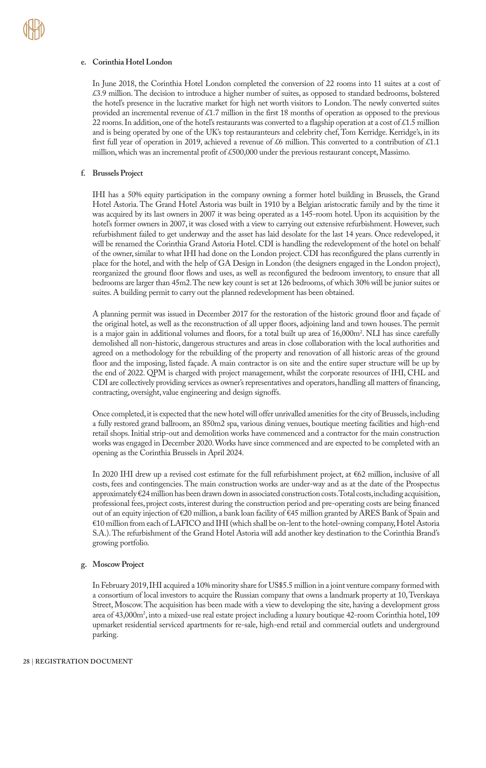# **e. Corinthia Hotel London**

In June 2018, the Corinthia Hotel London completed the conversion of 22 rooms into 11 suites at a cost of £3.9 million. The decision to introduce a higher number of suites, as opposed to standard bedrooms, bolstered the hotel's presence in the lucrative market for high net worth visitors to London. The newly converted suites provided an incremental revenue of £1.7 million in the first 18 months of operation as opposed to the previous 22 rooms. In addition, one of the hotel's restaurants was converted to a flagship operation at a cost of  $\& 1.5$  million and is being operated by one of the UK's top restauranteurs and celebrity chef, Tom Kerridge. Kerridge's, in its first full year of operation in 2019, achieved a revenue of £6 million. This converted to a contribution of  $\text{\pounds}1.1$ million, which was an incremental profit of £500,000 under the previous restaurant concept, Massimo.

#### **f. Brussels Project**

IHI has a 50% equity participation in the company owning a former hotel building in Brussels, the Grand Hotel Astoria. The Grand Hotel Astoria was built in 1910 by a Belgian aristocratic family and by the time it was acquired by its last owners in 2007 it was being operated as a 145-room hotel. Upon its acquisition by the hotel's former owners in 2007, it was closed with a view to carrying out extensive refurbishment. However, such refurbishment failed to get underway and the asset has laid desolate for the last 14 years. Once redeveloped, it will be renamed the Corinthia Grand Astoria Hotel. CDI is handling the redevelopment of the hotel on behalf of the owner, similar to what IHI had done on the London project. CDI has reconfigured the plans currently in place for the hotel, and with the help of GA Design in London (the designers engaged in the London project), reorganized the ground floor flows and uses, as well as reconfigured the bedroom inventory, to ensure that all bedrooms are larger than 45m2. The new key count is set at 126 bedrooms, of which 30% will be junior suites or suites. A building permit to carry out the planned redevelopment has been obtained.

A planning permit was issued in December 2017 for the restoration of the historic ground floor and façade of the original hotel, as well as the reconstruction of all upper floors, adjoining land and town houses. The permit is a major gain in additional volumes and floors, for a total built up area of 16,000m<sup>2</sup>. NLI has since carefully demolished all non-historic, dangerous structures and areas in close collaboration with the local authorities and agreed on a methodology for the rebuilding of the property and renovation of all historic areas of the ground floor and the imposing, listed façade. A main contractor is on site and the entire super structure will be up by the end of 2022. QPM is charged with project management, whilst the corporate resources of IHI, CHL and CDI are collectively providing services as owner's representatives and operators, handling all matters of financing, contracting, oversight, value engineering and design signoffs.

Once completed, it is expected that the new hotel will offer unrivalled amenities for the city of Brussels, including a fully restored grand ballroom, an 850m2 spa, various dining venues, boutique meeting facilities and high-end retail shops. Initial strip-out and demolition works have commenced and a contractor for the main construction works was engaged in December 2020. Works have since commenced and are expected to be completed with an opening as the Corinthia Brussels in April 2024.

In 2020 IHI drew up a revised cost estimate for the full refurbishment project, at €62 million, inclusive of all costs, fees and contingencies. The main construction works are under-way and as at the date of the Prospectus approximately €24 million has been drawn down in associated construction costs. Total costs, including acquisition, professional fees, project costs, interest during the construction period and pre-operating costs are being financed out of an equity injection of €20 million, a bank loan facility of €45 million granted by ARES Bank of Spain and €10 million from each of LAFICO and IHI (which shall be on-lent to the hotel-owning company, Hotel Astoria S.A.). The refurbishment of the Grand Hotel Astoria will add another key destination to the Corinthia Brand's growing portfolio.

#### **g. Moscow Project**

In February 2019, IHI acquired a 10% minority share for US\$5.5 million in a joint venture company formed with a consortium of local investors to acquire the Russian company that owns a landmark property at 10, Tverskaya Street, Moscow. The acquisition has been made with a view to developing the site, having a development gross area of 43,000m2 , into a mixed-use real estate project including a luxury boutique 42-room Corinthia hotel, 109 upmarket residential serviced apartments for re-sale, high-end retail and commercial outlets and underground parking.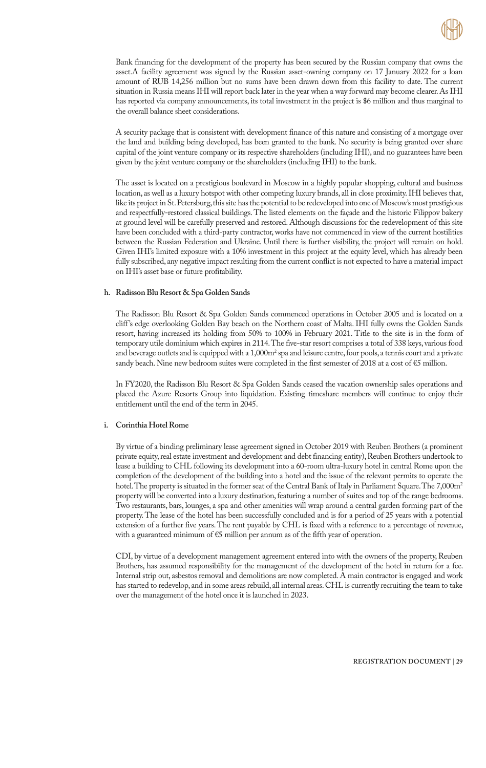

Bank financing for the development of the property has been secured by the Russian company that owns the asset.A facility agreement was signed by the Russian asset-owning company on 17 January 2022 for a loan amount of RUB 14,256 million but no sums have been drawn down from this facility to date. The current situation in Russia means IHI will report back later in the year when a way forward may become clearer. As IHI has reported via company announcements, its total investment in the project is \$6 million and thus marginal to the overall balance sheet considerations.

A security package that is consistent with development finance of this nature and consisting of a mortgage over the land and building being developed, has been granted to the bank. No security is being granted over share capital of the joint venture company or its respective shareholders (including IHI), and no guarantees have been given by the joint venture company or the shareholders (including IHI) to the bank.

The asset is located on a prestigious boulevard in Moscow in a highly popular shopping, cultural and business location, as well as a luxury hotspot with other competing luxury brands, all in close proximity. IHI believes that, like its project in St. Petersburg, this site has the potential to be redeveloped into one of Moscow's most prestigious and respectfully-restored classical buildings. The listed elements on the façade and the historic Filippov bakery at ground level will be carefully preserved and restored. Although discussions for the redevelopment of this site have been concluded with a third-party contractor, works have not commenced in view of the current hostilities between the Russian Federation and Ukraine. Until there is further visibility, the project will remain on hold. Given IHI's limited exposure with a 10% investment in this project at the equity level, which has already been fully subscribed, any negative impact resulting from the current conflict is not expected to have a material impact on IHI's asset base or future profitability.

#### **h. Radisson Blu Resort & Spa Golden Sands**

The Radisson Blu Resort & Spa Golden Sands commenced operations in October 2005 and is located on a cliff 's edge overlooking Golden Bay beach on the Northern coast of Malta. IHI fully owns the Golden Sands resort, having increased its holding from 50% to 100% in February 2021. Title to the site is in the form of temporary utile dominium which expires in 2114. The five-star resort comprises a total of 338 keys, various food and beverage outlets and is equipped with a  $1,\!000\mathrm{m}^2$  spa and leisure centre, four pools, a tennis court and a private sandy beach. Nine new bedroom suites were completed in the first semester of 2018 at a cost of €5 million.

In FY2020, the Radisson Blu Resort & Spa Golden Sands ceased the vacation ownership sales operations and placed the Azure Resorts Group into liquidation. Existing timeshare members will continue to enjoy their entitlement until the end of the term in 2045.

#### **i. Corinthia Hotel Rome**

By virtue of a binding preliminary lease agreement signed in October 2019 with Reuben Brothers (a prominent private equity, real estate investment and development and debt financing entity), Reuben Brothers undertook to lease a building to CHL following its development into a 60-room ultra-luxury hotel in central Rome upon the completion of the development of the building into a hotel and the issue of the relevant permits to operate the hotel. The property is situated in the former seat of the Central Bank of Italy in Parliament Square. The 7,000m<sup>2</sup> property will be converted into a luxury destination, featuring a number of suites and top of the range bedrooms. Two restaurants, bars, lounges, a spa and other amenities will wrap around a central garden forming part of the property. The lease of the hotel has been successfully concluded and is for a period of 25 years with a potential extension of a further five years. The rent payable by CHL is fixed with a reference to a percentage of revenue, with a guaranteed minimum of €5 million per annum as of the fifth year of operation.

CDI, by virtue of a development management agreement entered into with the owners of the property, Reuben Brothers, has assumed responsibility for the management of the development of the hotel in return for a fee. Internal strip out, asbestos removal and demolitions are now completed. A main contractor is engaged and work has started to redevelop, and in some areas rebuild, all internal areas. CHL is currently recruiting the team to take over the management of the hotel once it is launched in 2023.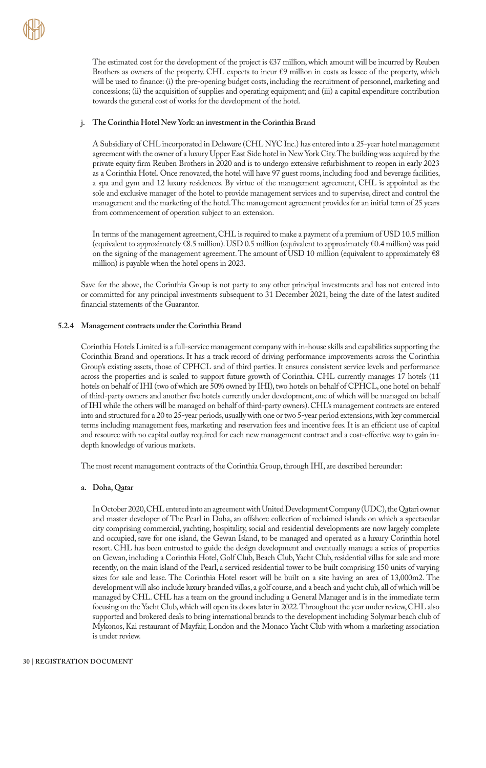The estimated cost for the development of the project is €37 million, which amount will be incurred by Reuben Brothers as owners of the property. CHL expects to incur €9 million in costs as lessee of the property, which will be used to finance: (i) the pre-opening budget costs, including the recruitment of personnel, marketing and concessions; (ii) the acquisition of supplies and operating equipment; and (iii) a capital expenditure contribution towards the general cost of works for the development of the hotel.

## **j. The Corinthia Hotel New York: an investment in the Corinthia Brand**

A Subsidiary of CHL incorporated in Delaware (CHL NYC Inc.) has entered into a 25-year hotel management agreement with the owner of a luxury Upper East Side hotel in New York City. The building was acquired by the private equity firm Reuben Brothers in 2020 and is to undergo extensive refurbishment to reopen in early 2023 as a Corinthia Hotel. Once renovated, the hotel will have 97 guest rooms, including food and beverage facilities, a spa and gym and 12 luxury residences. By virtue of the management agreement, CHL is appointed as the sole and exclusive manager of the hotel to provide management services and to supervise, direct and control the management and the marketing of the hotel. The management agreement provides for an initial term of 25 years from commencement of operation subject to an extension.

In terms of the management agreement, CHL is required to make a payment of a premium of USD 10.5 million (equivalent to approximately €8.5 million). USD 0.5 million (equivalent to approximately €0.4 million) was paid on the signing of the management agreement. The amount of USD 10 million (equivalent to approximately €8 million) is payable when the hotel opens in 2023.

Save for the above, the Corinthia Group is not party to any other principal investments and has not entered into or committed for any principal investments subsequent to 31 December 2021, being the date of the latest audited financial statements of the Guarantor.

#### **5.2.4 Management contracts under the Corinthia Brand**

Corinthia Hotels Limited is a full-service management company with in-house skills and capabilities supporting the Corinthia Brand and operations. It has a track record of driving performance improvements across the Corinthia Group's existing assets, those of CPHCL and of third parties. It ensures consistent service levels and performance across the properties and is scaled to support future growth of Corinthia. CHL currently manages 17 hotels (11 hotels on behalf of IHI (two of which are 50% owned by IHI), two hotels on behalf of CPHCL, one hotel on behalf of third-party owners and another five hotels currently under development, one of which will be managed on behalf of IHI while the others will be managed on behalf of third-party owners). CHL's management contracts are entered into and structured for a 20 to 25-year periods, usually with one or two 5-year period extensions, with key commercial terms including management fees, marketing and reservation fees and incentive fees. It is an efficient use of capital and resource with no capital outlay required for each new management contract and a cost-effective way to gain indepth knowledge of various markets.

The most recent management contracts of the Corinthia Group, through IHI, are described hereunder:

## **a. Doha, Qatar**

In October 2020, CHL entered into an agreement with United Development Company (UDC), the Qatari owner and master developer of The Pearl in Doha, an offshore collection of reclaimed islands on which a spectacular city comprising commercial, yachting, hospitality, social and residential developments are now largely complete and occupied, save for one island, the Gewan Island, to be managed and operated as a luxury Corinthia hotel resort. CHL has been entrusted to guide the design development and eventually manage a series of properties on Gewan, including a Corinthia Hotel, Golf Club, Beach Club, Yacht Club, residential villas for sale and more recently, on the main island of the Pearl, a serviced residential tower to be built comprising 150 units of varying sizes for sale and lease. The Corinthia Hotel resort will be built on a site having an area of 13,000m2. The development will also include luxury branded villas, a golf course, and a beach and yacht club, all of which will be managed by CHL. CHL has a team on the ground including a General Manager and is in the immediate term focusing on the Yacht Club, which will open its doors later in 2022. Throughout the year under review, CHL also supported and brokered deals to bring international brands to the development including Solymar beach club of Mykonos, Kai restaurant of Mayfair, London and the Monaco Yacht Club with whom a marketing association is under review.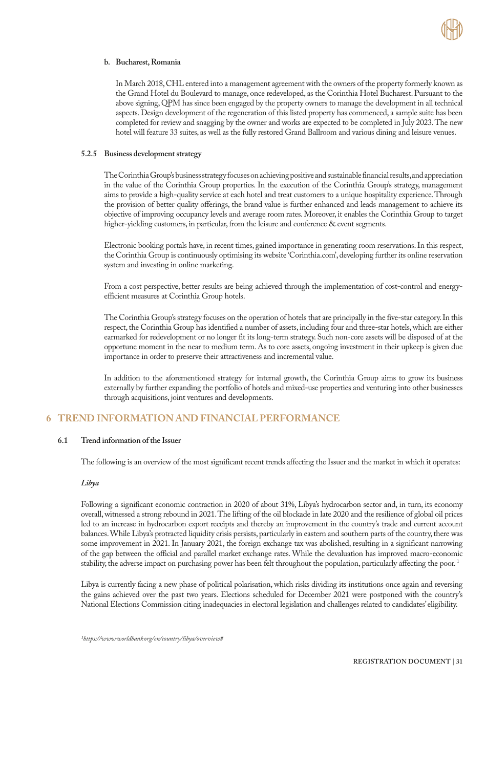

## **b. Bucharest, Romania**

In March 2018, CHL entered into a management agreement with the owners of the property formerly known as the Grand Hotel du Boulevard to manage, once redeveloped, as the Corinthia Hotel Bucharest. Pursuant to the above signing, QPM has since been engaged by the property owners to manage the development in all technical aspects. Design development of the regeneration of this listed property has commenced, a sample suite has been completed for review and snagging by the owner and works are expected to be completed in July 2023. The new hotel will feature 33 suites, as well as the fully restored Grand Ballroom and various dining and leisure venues.

# **5.2.5 Business development strategy**

The Corinthia Group's business strategy focuses on achieving positive and sustainable financial results, and appreciation in the value of the Corinthia Group properties. In the execution of the Corinthia Group's strategy, management aims to provide a high-quality service at each hotel and treat customers to a unique hospitality experience. Through the provision of better quality offerings, the brand value is further enhanced and leads management to achieve its objective of improving occupancy levels and average room rates. Moreover, it enables the Corinthia Group to target higher-yielding customers, in particular, from the leisure and conference & event segments.

Electronic booking portals have, in recent times, gained importance in generating room reservations. In this respect, the Corinthia Group is continuously optimising its website 'Corinthia.com', developing further its online reservation system and investing in online marketing.

From a cost perspective, better results are being achieved through the implementation of cost-control and energyefficient measures at Corinthia Group hotels.

The Corinthia Group's strategy focuses on the operation of hotels that are principally in the five-star category. In this respect, the Corinthia Group has identified a number of assets, including four and three-star hotels, which are either earmarked for redevelopment or no longer fit its long-term strategy. Such non-core assets will be disposed of at the opportune moment in the near to medium term. As to core assets, ongoing investment in their upkeep is given due importance in order to preserve their attractiveness and incremental value.

In addition to the aforementioned strategy for internal growth, the Corinthia Group aims to grow its business externally by further expanding the portfolio of hotels and mixed-use properties and venturing into other businesses through acquisitions, joint ventures and developments.

# **6 TREND INFORMATION AND FINANCIAL PERFORMANCE**

#### **6.1 Trend information of the Issuer**

The following is an overview of the most significant recent trends affecting the Issuer and the market in which it operates:

#### *Libya*

Following a significant economic contraction in 2020 of about 31%, Libya's hydrocarbon sector and, in turn, its economy overall, witnessed a strong rebound in 2021. The lifting of the oil blockade in late 2020 and the resilience of global oil prices led to an increase in hydrocarbon export receipts and thereby an improvement in the country's trade and current account balances. While Libya's protracted liquidity crisis persists, particularly in eastern and southern parts of the country, there was some improvement in 2021. In January 2021, the foreign exchange tax was abolished, resulting in a significant narrowing of the gap between the official and parallel market exchange rates. While the devaluation has improved macro-economic stability, the adverse impact on purchasing power has been felt throughout the population, particularly affecting the poor. 1

Libya is currently facing a new phase of political polarisation, which risks dividing its institutions once again and reversing the gains achieved over the past two years. Elections scheduled for December 2021 were postponed with the country's National Elections Commission citing inadequacies in electoral legislation and challenges related to candidates' eligibility.

*1https://www.worldbank.org/en/country/libya/overview#*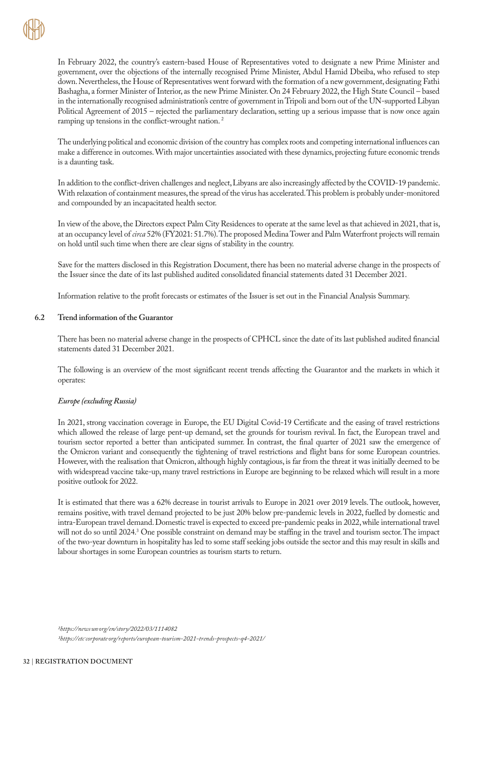In February 2022, the country's eastern-based House of Representatives voted to designate a new Prime Minister and government, over the objections of the internally recognised Prime Minister, Abdul Hamid Dbeiba, who refused to step down. Nevertheless, the House of Representatives went forward with the formation of a new government, designating Fathi Bashagha, a former Minister of Interior, as the new Prime Minister. On 24 February 2022, the High State Council – based in the internationally recognised administration's centre of government in Tripoli and born out of the UN-supported Libyan Political Agreement of 2015 – rejected the parliamentary declaration, setting up a serious impasse that is now once again ramping up tensions in the conflict-wrought nation. 2

The underlying political and economic division of the country has complex roots and competing international influences can make a difference in outcomes. With major uncertainties associated with these dynamics, projecting future economic trends is a daunting task.

In addition to the conflict-driven challenges and neglect, Libyans are also increasingly affected by the COVID-19 pandemic. With relaxation of containment measures, the spread of the virus has accelerated. This problem is probably under-monitored and compounded by an incapacitated health sector.

In view of the above, the Directors expect Palm City Residences to operate at the same level as that achieved in 2021, that is, at an occupancy level of *circa* 52% (FY2021: 51.7%). The proposed Medina Tower and Palm Waterfront projects will remain on hold until such time when there are clear signs of stability in the country.

Save for the matters disclosed in this Registration Document, there has been no material adverse change in the prospects of the Issuer since the date of its last published audited consolidated financial statements dated 31 December 2021.

Information relative to the profit forecasts or estimates of the Issuer is set out in the Financial Analysis Summary.

## **6.2 Trend information of the Guarantor**

There has been no material adverse change in the prospects of CPHCL since the date of its last published audited financial statements dated 31 December 2021.

The following is an overview of the most significant recent trends affecting the Guarantor and the markets in which it operates:

#### *Europe (excluding Russia)*

In 2021, strong vaccination coverage in Europe, the EU Digital Covid-19 Certificate and the easing of travel restrictions which allowed the release of large pent-up demand, set the grounds for tourism revival. In fact, the European travel and tourism sector reported a better than anticipated summer. In contrast, the final quarter of 2021 saw the emergence of the Omicron variant and consequently the tightening of travel restrictions and flight bans for some European countries. However, with the realisation that Omicron, although highly contagious, is far from the threat it was initially deemed to be with widespread vaccine take-up, many travel restrictions in Europe are beginning to be relaxed which will result in a more positive outlook for 2022.

It is estimated that there was a 62% decrease in tourist arrivals to Europe in 2021 over 2019 levels. The outlook, however, remains positive, with travel demand projected to be just 20% below pre-pandemic levels in 2022, fuelled by domestic and intra-European travel demand. Domestic travel is expected to exceed pre-pandemic peaks in 2022, while international travel will not do so until 2024.<sup>3</sup> One possible constraint on demand may be staffing in the travel and tourism sector. The impact of the two-year downturn in hospitality has led to some staff seeking jobs outside the sector and this may result in skills and labour shortages in some European countries as tourism starts to return.

*2https://news.un.org/en/story/2022/03/1114082 3https://etc-corporate.org/reports/european-tourism-2021-trends-prospects-q4-2021/*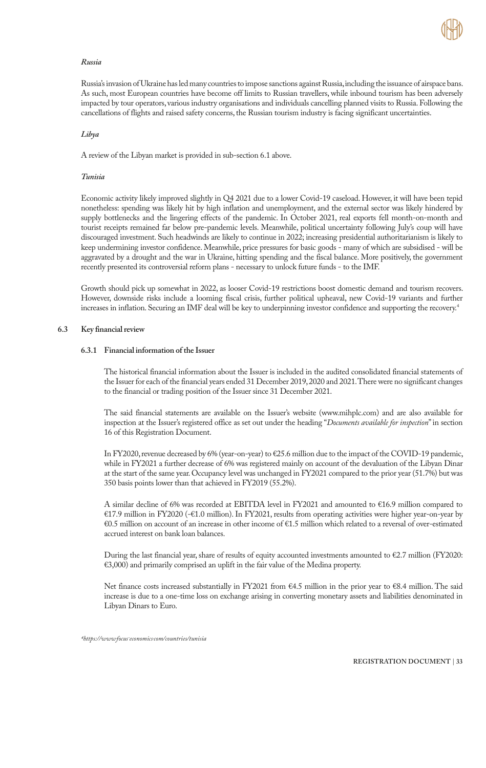

#### *Russia*

Russia's invasion of Ukraine has led many countries to impose sanctions against Russia, including the issuance of airspace bans. As such, most European countries have become off limits to Russian travellers, while inbound tourism has been adversely impacted by tour operators, various industry organisations and individuals cancelling planned visits to Russia. Following the cancellations of flights and raised safety concerns, the Russian tourism industry is facing significant uncertainties.

#### *Libya*

A review of the Libyan market is provided in sub-section 6.1 above.

#### *Tunisia*

Economic activity likely improved slightly in Q4 2021 due to a lower Covid-19 caseload. However, it will have been tepid nonetheless: spending was likely hit by high inflation and unemployment, and the external sector was likely hindered by supply bottlenecks and the lingering effects of the pandemic. In October 2021, real exports fell month-on-month and tourist receipts remained far below pre-pandemic levels. Meanwhile, political uncertainty following July's coup will have discouraged investment. Such headwinds are likely to continue in 2022; increasing presidential authoritarianism is likely to keep undermining investor confidence. Meanwhile, price pressures for basic goods - many of which are subsidised - will be aggravated by a drought and the war in Ukraine, hitting spending and the fiscal balance. More positively, the government recently presented its controversial reform plans - necessary to unlock future funds - to the IMF.

Growth should pick up somewhat in 2022, as looser Covid-19 restrictions boost domestic demand and tourism recovers. However, downside risks include a looming fiscal crisis, further political upheaval, new Covid-19 variants and further increases in inflation. Securing an IMF deal will be key to underpinning investor confidence and supporting the recovery.4

#### **6.3 Key financial review**

#### **6.3.1 Financial information of the Issuer**

The historical financial information about the Issuer is included in the audited consolidated financial statements of the Issuer for each of the financial years ended 31 December 2019, 2020 and 2021. There were no significant changes to the financial or trading position of the Issuer since 31 December 2021.

The said financial statements are available on the Issuer's website (www.mihplc.com) and are also available for inspection at the Issuer's registered office as set out under the heading "*Documents available for inspection*" in section 16 of this Registration Document.

In FY2020, revenue decreased by 6% (year-on-year) to €25.6 million due to the impact of the COVID-19 pandemic, while in FY2021 a further decrease of 6% was registered mainly on account of the devaluation of the Libyan Dinar at the start of the same year. Occupancy level was unchanged in FY2021 compared to the prior year (51.7%) but was 350 basis points lower than that achieved in FY2019 (55.2%).

A similar decline of 6% was recorded at EBITDA level in FY2021 and amounted to €16.9 million compared to €17.9 million in FY2020 (-€1.0 million). In FY2021, results from operating activities were higher year-on-year by €0.5 million on account of an increase in other income of €1.5 million which related to a reversal of over-estimated accrued interest on bank loan balances.

During the last financial year, share of results of equity accounted investments amounted to €2.7 million (FY2020: €3,000) and primarily comprised an uplift in the fair value of the Medina property.

Net finance costs increased substantially in FY2021 from €4.5 million in the prior year to €8.4 million. The said increase is due to a one-time loss on exchange arising in converting monetary assets and liabilities denominated in Libyan Dinars to Euro.

*4https://www.focus-economics.com/countries/tunisia*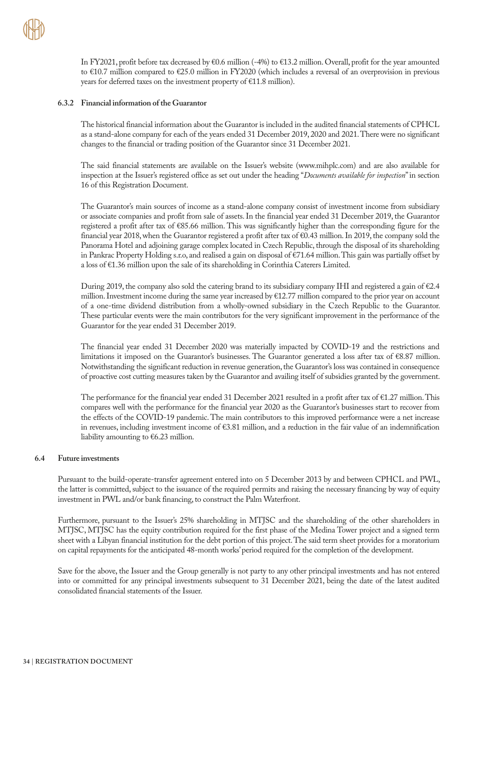

In FY2021, profit before tax decreased by €0.6 million (-4%) to €13.2 million. Overall, profit for the year amounted to €10.7 million compared to €25.0 million in FY2020 (which includes a reversal of an overprovision in previous years for deferred taxes on the investment property of €11.8 million).

#### **6.3.2 Financial information of the Guarantor**

The historical financial information about the Guarantor is included in the audited financial statements of CPHCL as a stand-alone company for each of the years ended 31 December 2019, 2020 and 2021. There were no significant changes to the financial or trading position of the Guarantor since 31 December 2021.

The said financial statements are available on the Issuer's website (www.mihplc.com) and are also available for inspection at the Issuer's registered office as set out under the heading "*Documents available for inspection*" in section 16 of this Registration Document.

The Guarantor's main sources of income as a stand-alone company consist of investment income from subsidiary or associate companies and profit from sale of assets. In the financial year ended 31 December 2019, the Guarantor registered a profit after tax of €85.66 million. This was significantly higher than the corresponding figure for the financial year 2018, when the Guarantor registered a profit after tax of €0.43 million. In 2019, the company sold the Panorama Hotel and adjoining garage complex located in Czech Republic, through the disposal of its shareholding in Pankrac Property Holding s.r.o, and realised a gain on disposal of €71.64 million. This gain was partially offset by a loss of €1.36 million upon the sale of its shareholding in Corinthia Caterers Limited.

During 2019, the company also sold the catering brand to its subsidiary company IHI and registered a gain of  $\epsilon$ 2.4 million. Investment income during the same year increased by €12.77 million compared to the prior year on account of a one-time dividend distribution from a wholly-owned subsidiary in the Czech Republic to the Guarantor. These particular events were the main contributors for the very significant improvement in the performance of the Guarantor for the year ended 31 December 2019.

The financial year ended 31 December 2020 was materially impacted by COVID-19 and the restrictions and limitations it imposed on the Guarantor's businesses. The Guarantor generated a loss after tax of €8.87 million. Notwithstanding the significant reduction in revenue generation, the Guarantor's loss was contained in consequence of proactive cost cutting measures taken by the Guarantor and availing itself of subsidies granted by the government.

The performance for the financial year ended 31 December 2021 resulted in a profit after tax of €1.27 million. This compares well with the performance for the financial year 2020 as the Guarantor's businesses start to recover from the effects of the COVID-19 pandemic. The main contributors to this improved performance were a net increase in revenues, including investment income of €3.81 million, and a reduction in the fair value of an indemnification liability amounting to €6.23 million.

#### **6.4 Future investments**

Pursuant to the build-operate-transfer agreement entered into on 5 December 2013 by and between CPHCL and PWL, the latter is committed, subject to the issuance of the required permits and raising the necessary financing by way of equity investment in PWL and/or bank financing, to construct the Palm Waterfront.

Furthermore, pursuant to the Issuer's 25% shareholding in MTJSC and the shareholding of the other shareholders in MTJSC, MTJSC has the equity contribution required for the first phase of the Medina Tower project and a signed term sheet with a Libyan financial institution for the debt portion of this project. The said term sheet provides for a moratorium on capital repayments for the anticipated 48-month works' period required for the completion of the development.

Save for the above, the Issuer and the Group generally is not party to any other principal investments and has not entered into or committed for any principal investments subsequent to 31 December 2021, being the date of the latest audited consolidated financial statements of the Issuer.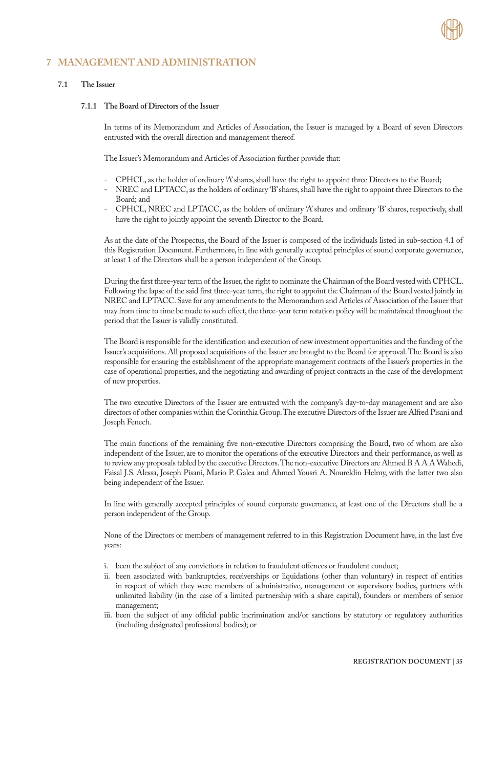

# **7 MANAGEMENT AND ADMINISTRATION**

# **7.1 The Issuer**

# **7.1.1 The Board of Directors of the Issuer**

In terms of its Memorandum and Articles of Association, the Issuer is managed by a Board of seven Directors entrusted with the overall direction and management thereof.

The Issuer's Memorandum and Articles of Association further provide that:

- CPHCL, as the holder of ordinary 'A' shares, shall have the right to appoint three Directors to the Board;
- NREC and LPTACC, as the holders of ordinary 'B' shares, shall have the right to appoint three Directors to the Board; and
- CPHCL, NREC and LPTACC, as the holders of ordinary 'A' shares and ordinary 'B' shares, respectively, shall have the right to jointly appoint the seventh Director to the Board.

As at the date of the Prospectus, the Board of the Issuer is composed of the individuals listed in sub-section 4.1 of this Registration Document. Furthermore, in line with generally accepted principles of sound corporate governance, at least 1 of the Directors shall be a person independent of the Group.

During the first three-year term of the Issuer, the right to nominate the Chairman of the Board vested with CPHCL. Following the lapse of the said first three-year term, the right to appoint the Chairman of the Board vested jointly in NREC and LPTACC. Save for any amendments to the Memorandum and Articles of Association of the Issuer that may from time to time be made to such effect, the three-year term rotation policy will be maintained throughout the period that the Issuer is validly constituted.

The Board is responsible for the identification and execution of new investment opportunities and the funding of the Issuer's acquisitions. All proposed acquisitions of the Issuer are brought to the Board for approval. The Board is also responsible for ensuring the establishment of the appropriate management contracts of the Issuer's properties in the case of operational properties, and the negotiating and awarding of project contracts in the case of the development of new properties.

The two executive Directors of the Issuer are entrusted with the company's day-to-day management and are also directors of other companies within the Corinthia Group. The executive Directors of the Issuer are Alfred Pisani and Joseph Fenech.

The main functions of the remaining five non-executive Directors comprising the Board, two of whom are also independent of the Issuer, are to monitor the operations of the executive Directors and their performance, as well as to review any proposals tabled by the executive Directors. The non-executive Directors are Ahmed B A A A Wahedi, Faisal J.S. Alessa, Joseph Pisani, Mario P. Galea and Ahmed Yousri A. Noureldin Helmy, with the latter two also being independent of the Issuer.

In line with generally accepted principles of sound corporate governance, at least one of the Directors shall be a person independent of the Group.

None of the Directors or members of management referred to in this Registration Document have, in the last five years:

- i. been the subject of any convictions in relation to fraudulent offences or fraudulent conduct;
- ii. been associated with bankruptcies, receiverships or liquidations (other than voluntary) in respect of entities in respect of which they were members of administrative, management or supervisory bodies, partners with unlimited liability (in the case of a limited partnership with a share capital), founders or members of senior management;
- iii. been the subject of any official public incrimination and/or sanctions by statutory or regulatory authorities (including designated professional bodies); or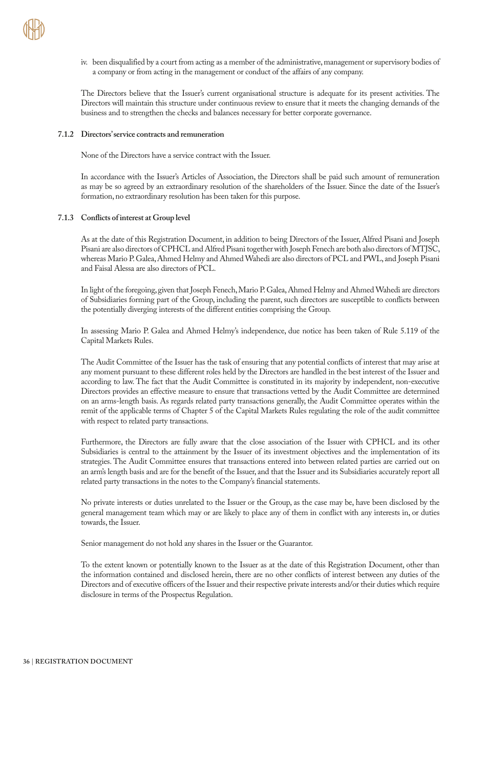iv. been disqualified by a court from acting as a member of the administrative, management or supervisory bodies of a company or from acting in the management or conduct of the affairs of any company.

The Directors believe that the Issuer's current organisational structure is adequate for its present activities. The Directors will maintain this structure under continuous review to ensure that it meets the changing demands of the business and to strengthen the checks and balances necessary for better corporate governance.

#### **7.1.2 Directors' service contracts and remuneration**

None of the Directors have a service contract with the Issuer.

In accordance with the Issuer's Articles of Association, the Directors shall be paid such amount of remuneration as may be so agreed by an extraordinary resolution of the shareholders of the Issuer. Since the date of the Issuer's formation, no extraordinary resolution has been taken for this purpose.

## **7.1.3 Conflicts of interest at Group level**

As at the date of this Registration Document, in addition to being Directors of the Issuer, Alfred Pisani and Joseph Pisani are also directors of CPHCL and Alfred Pisani together with Joseph Fenech are both also directors of MTJSC, whereas Mario P. Galea, Ahmed Helmy and Ahmed Wahedi are also directors of PCL and PWL, and Joseph Pisani and Faisal Alessa are also directors of PCL.

In light of the foregoing, given that Joseph Fenech, Mario P. Galea, Ahmed Helmy and Ahmed Wahedi are directors of Subsidiaries forming part of the Group, including the parent, such directors are susceptible to conflicts between the potentially diverging interests of the different entities comprising the Group.

In assessing Mario P. Galea and Ahmed Helmy's independence, due notice has been taken of Rule 5.119 of the Capital Markets Rules.

The Audit Committee of the Issuer has the task of ensuring that any potential conflicts of interest that may arise at any moment pursuant to these different roles held by the Directors are handled in the best interest of the Issuer and according to law. The fact that the Audit Committee is constituted in its majority by independent, non-executive Directors provides an effective measure to ensure that transactions vetted by the Audit Committee are determined on an arms-length basis. As regards related party transactions generally, the Audit Committee operates within the remit of the applicable terms of Chapter 5 of the Capital Markets Rules regulating the role of the audit committee with respect to related party transactions.

Furthermore, the Directors are fully aware that the close association of the Issuer with CPHCL and its other Subsidiaries is central to the attainment by the Issuer of its investment objectives and the implementation of its strategies. The Audit Committee ensures that transactions entered into between related parties are carried out on an arm's length basis and are for the benefit of the Issuer, and that the Issuer and its Subsidiaries accurately report all related party transactions in the notes to the Company's financial statements.

No private interests or duties unrelated to the Issuer or the Group, as the case may be, have been disclosed by the general management team which may or are likely to place any of them in conflict with any interests in, or duties towards, the Issuer.

Senior management do not hold any shares in the Issuer or the Guarantor.

To the extent known or potentially known to the Issuer as at the date of this Registration Document, other than the information contained and disclosed herein, there are no other conflicts of interest between any duties of the Directors and of executive officers of the Issuer and their respective private interests and/or their duties which require disclosure in terms of the Prospectus Regulation.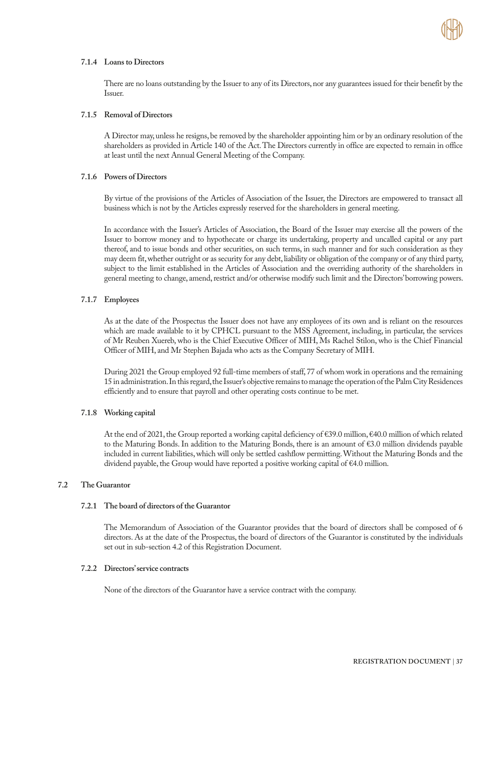

#### **7.1.4 Loans to Directors**

There are no loans outstanding by the Issuer to any of its Directors, nor any guarantees issued for their benefit by the Issuer.

#### **7.1.5 Removal of Directors**

A Director may, unless he resigns, be removed by the shareholder appointing him or by an ordinary resolution of the shareholders as provided in Article 140 of the Act. The Directors currently in office are expected to remain in office at least until the next Annual General Meeting of the Company.

#### **7.1.6 Powers of Directors**

By virtue of the provisions of the Articles of Association of the Issuer, the Directors are empowered to transact all business which is not by the Articles expressly reserved for the shareholders in general meeting.

In accordance with the Issuer's Articles of Association, the Board of the Issuer may exercise all the powers of the Issuer to borrow money and to hypothecate or charge its undertaking, property and uncalled capital or any part thereof, and to issue bonds and other securities, on such terms, in such manner and for such consideration as they may deem fit, whether outright or as security for any debt, liability or obligation of the company or of any third party, subject to the limit established in the Articles of Association and the overriding authority of the shareholders in general meeting to change, amend, restrict and/or otherwise modify such limit and the Directors' borrowing powers.

#### **7.1.7 Employees**

As at the date of the Prospectus the Issuer does not have any employees of its own and is reliant on the resources which are made available to it by CPHCL pursuant to the MSS Agreement, including, in particular, the services of Mr Reuben Xuereb, who is the Chief Executive Officer of MIH, Ms Rachel Stilon, who is the Chief Financial Officer of MIH, and Mr Stephen Bajada who acts as the Company Secretary of MIH.

During 2021 the Group employed 92 full-time members of staff, 77 of whom work in operations and the remaining 15 in administration. In this regard, the Issuer's objective remains to manage the operation of the Palm City Residences efficiently and to ensure that payroll and other operating costs continue to be met.

#### **7.1.8 Working capital**

At the end of 2021, the Group reported a working capital deficiency of €39.0 million, €40.0 million of which related to the Maturing Bonds. In addition to the Maturing Bonds, there is an amount of €3.0 million dividends payable included in current liabilities, which will only be settled cashflow permitting. Without the Maturing Bonds and the dividend payable, the Group would have reported a positive working capital of €4.0 million.

## **7.2 The Guarantor**

#### **7.2.1 The board of directors of the Guarantor**

The Memorandum of Association of the Guarantor provides that the board of directors shall be composed of 6 directors. As at the date of the Prospectus, the board of directors of the Guarantor is constituted by the individuals set out in sub-section 4.2 of this Registration Document.

#### **7.2.2 Directors' service contracts**

None of the directors of the Guarantor have a service contract with the company.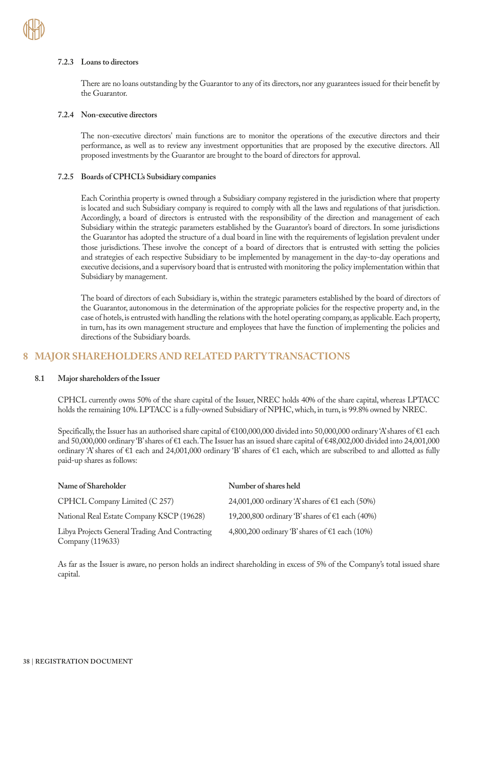# **7.2.3 Loans to directors**

There are no loans outstanding by the Guarantor to any of its directors, nor any guarantees issued for their benefit by the Guarantor.

#### **7.2.4 Non-executive directors**

The non-executive directors' main functions are to monitor the operations of the executive directors and their performance, as well as to review any investment opportunities that are proposed by the executive directors. All proposed investments by the Guarantor are brought to the board of directors for approval.

## **7.2.5 Boards of CPHCL's Subsidiary companies**

Each Corinthia property is owned through a Subsidiary company registered in the jurisdiction where that property is located and such Subsidiary company is required to comply with all the laws and regulations of that jurisdiction. Accordingly, a board of directors is entrusted with the responsibility of the direction and management of each Subsidiary within the strategic parameters established by the Guarantor's board of directors. In some jurisdictions the Guarantor has adopted the structure of a dual board in line with the requirements of legislation prevalent under those jurisdictions. These involve the concept of a board of directors that is entrusted with setting the policies and strategies of each respective Subsidiary to be implemented by management in the day-to-day operations and executive decisions, and a supervisory board that is entrusted with monitoring the policy implementation within that Subsidiary by management.

The board of directors of each Subsidiary is, within the strategic parameters established by the board of directors of the Guarantor, autonomous in the determination of the appropriate policies for the respective property and, in the case of hotels, is entrusted with handling the relations with the hotel operating company, as applicable. Each property, in turn, has its own management structure and employees that have the function of implementing the policies and directions of the Subsidiary boards.

# **8 MAJOR SHAREHOLDERS AND RELATED PARTY TRANSACTIONS**

#### **8.1 Major shareholders of the Issuer**

CPHCL currently owns 50% of the share capital of the Issuer, NREC holds 40% of the share capital, whereas LPTACC holds the remaining 10%. LPTACC is a fully-owned Subsidiary of NPHC, which, in turn, is 99.8% owned by NREC.

Specifically, the Issuer has an authorised share capital of €100,000,000 divided into 50,000,000 ordinary 'A' shares of €1 each and 50,000,000 ordinary 'B' shares of €1 each. The Issuer has an issued share capital of €48,002,000 divided into 24,001,000 ordinary 'A' shares of €1 each and 24,001,000 ordinary 'B' shares of €1 each, which are subscribed to and allotted as fully paid-up shares as follows:

| Name of Shareholder                                                | Number of shares held                                     |
|--------------------------------------------------------------------|-----------------------------------------------------------|
| CPHCL Company Limited (C 257)                                      | 24,001,000 ordinary 'A' shares of $\epsilon$ 1 each (50%) |
| National Real Estate Company KSCP (19628)                          | 19,200,800 ordinary 'B' shares of $\epsilon$ 1 each (40%) |
| Libya Projects General Trading And Contracting<br>Company (119633) | 4,800,200 ordinary 'B' shares of $\epsilon$ 1 each (10%)  |

As far as the Issuer is aware, no person holds an indirect shareholding in excess of 5% of the Company's total issued share capital.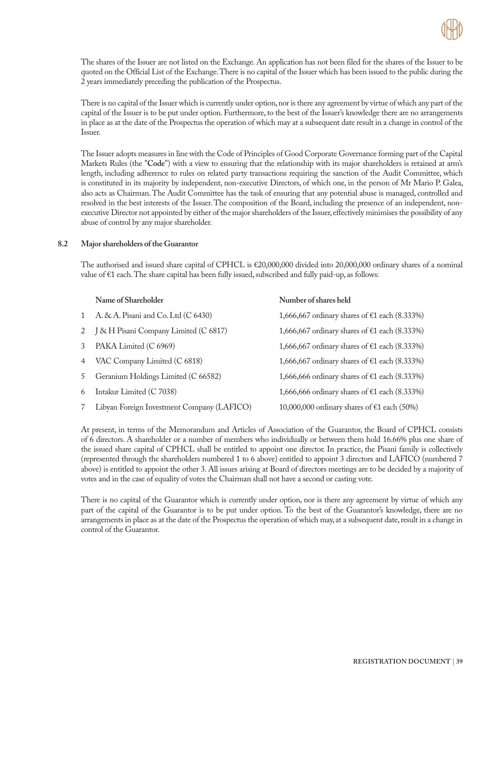

The shares of the Issuer are not listed on the Exchange. An application has not been filed for the shares of the Issuer to be quoted on the Official List of the Exchange. There is no capital of the Issuer which has been issued to the public during the 2 years immediately preceding the publication of the Prospectus.

There is no capital of the Issuer which is currently under option, nor is there any agreement by virtue of which any part of the capital of the Issuer is to be put under option. Furthermore, to the best of the Issuer's knowledge there are no arrangements in place as at the date of the Prospectus the operation of which may at a subsequent date result in a change in control of the Issuer.

The Issuer adopts measures in line with the Code of Principles of Good Corporate Governance forming part of the Capital Markets Rules (the "**Code**") with a view to ensuring that the relationship with its major shareholders is retained at arm's length, including adherence to rules on related party transactions requiring the sanction of the Audit Committee, which is constituted in its majority by independent, non-executive Directors, of which one, in the person of Mr Mario P. Galea, also acts as Chairman. The Audit Committee has the task of ensuring that any potential abuse is managed, controlled and resolved in the best interests of the Issuer. The composition of the Board, including the presence of an independent, nonexecutive Director not appointed by either of the major shareholders of the Issuer, effectively minimises the possibility of any abuse of control by any major shareholder.

#### **8.2 Major shareholders of the Guarantor**

The authorised and issued share capital of CPHCL is €20,000,000 divided into 20,000,000 ordinary shares of a nominal value of €1 each. The share capital has been fully issued, subscribed and fully paid-up, as follows:

|                | Name of Shareholder                        | Number of shares held                                              |
|----------------|--------------------------------------------|--------------------------------------------------------------------|
| $\mathbf{1}$   | A. & A. Pisani and Co. Ltd (C 6430)        | 1,666,667 ordinary shares of $E1$ each (8.333%)                    |
|                | 2 J & H Pisani Company Limited (C 6817)    | 1,666,667 ordinary shares of $£1$ each (8.333%)                    |
| 3              | PAKA Limited (C 6969)                      | 1,666,667 ordinary shares of $\text{\textsterling}1$ each (8.333%) |
| $\overline{4}$ | VAC Company Limited (C 6818)               | 1,666,667 ordinary shares of $\text{\textsterling}1$ each (8.333%) |
| 5              | Geranium Holdings Limited (C 66582)        | 1,666,666 ordinary shares of $£1$ each (8.333%)                    |
| 6              | Intakur Limited (C 7038)                   | 1,666,666 ordinary shares of $\text{\textsterling}1$ each (8.333%) |
|                | Libyan Foreign Investment Company (LAFICO) | 10,000,000 ordinary shares of $E1$ each (50%)                      |

At present, in terms of the Memorandum and Articles of Association of the Guarantor, the Board of CPHCL consists of 6 directors. A shareholder or a number of members who individually or between them hold 16.66% plus one share of the issued share capital of CPHCL shall be entitled to appoint one director. In practice, the Pisani family is collectively (represented through the shareholders numbered 1 to 6 above) entitled to appoint 3 directors and LAFICO (numbered 7 above) is entitled to appoint the other 3. All issues arising at Board of directors meetings are to be decided by a majority of votes and in the case of equality of votes the Chairman shall not have a second or casting vote.

There is no capital of the Guarantor which is currently under option, nor is there any agreement by virtue of which any part of the capital of the Guarantor is to be put under option. To the best of the Guarantor's knowledge, there are no arrangements in place as at the date of the Prospectus the operation of which may, at a subsequent date, result in a change in control of the Guarantor.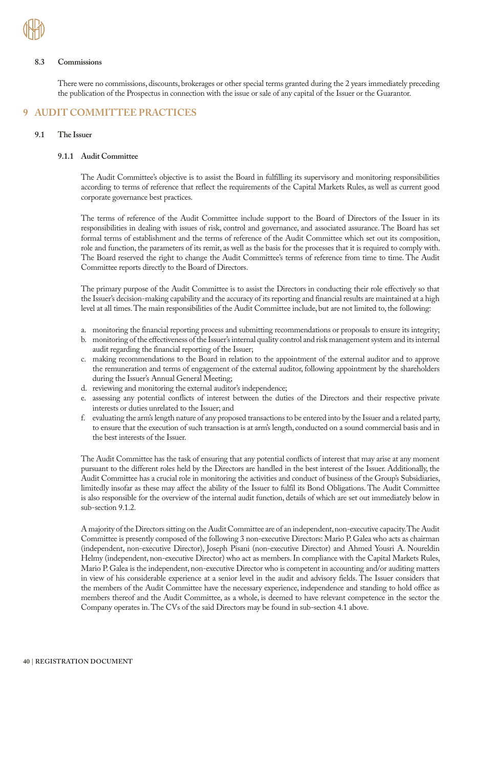#### **8.3 Commissions**

There were no commissions, discounts, brokerages or other special terms granted during the 2 years immediately preceding the publication of the Prospectus in connection with the issue or sale of any capital of the Issuer or the Guarantor.

# **9 AUDIT COMMITTEE PRACTICES**

## **9.1 The Issuer**

#### **9.1.1 Audit Committee**

The Audit Committee's objective is to assist the Board in fulfilling its supervisory and monitoring responsibilities according to terms of reference that reflect the requirements of the Capital Markets Rules, as well as current good corporate governance best practices.

The terms of reference of the Audit Committee include support to the Board of Directors of the Issuer in its responsibilities in dealing with issues of risk, control and governance, and associated assurance. The Board has set formal terms of establishment and the terms of reference of the Audit Committee which set out its composition, role and function, the parameters of its remit, as well as the basis for the processes that it is required to comply with. The Board reserved the right to change the Audit Committee's terms of reference from time to time. The Audit Committee reports directly to the Board of Directors.

The primary purpose of the Audit Committee is to assist the Directors in conducting their role effectively so that the Issuer's decision-making capability and the accuracy of its reporting and financial results are maintained at a high level at all times. The main responsibilities of the Audit Committee include, but are not limited to, the following:

- a. monitoring the financial reporting process and submitting recommendations or proposals to ensure its integrity;
- b. monitoring of the effectiveness of the Issuer's internal quality control and risk management system and its internal audit regarding the financial reporting of the Issuer;
- c. making recommendations to the Board in relation to the appointment of the external auditor and to approve the remuneration and terms of engagement of the external auditor, following appointment by the shareholders during the Issuer's Annual General Meeting;
- d. reviewing and monitoring the external auditor's independence;
- e. assessing any potential conflicts of interest between the duties of the Directors and their respective private interests or duties unrelated to the Issuer; and
- f. evaluating the arm's length nature of any proposed transactions to be entered into by the Issuer and a related party, to ensure that the execution of such transaction is at arm's length, conducted on a sound commercial basis and in the best interests of the Issuer.

The Audit Committee has the task of ensuring that any potential conflicts of interest that may arise at any moment pursuant to the different roles held by the Directors are handled in the best interest of the Issuer. Additionally, the Audit Committee has a crucial role in monitoring the activities and conduct of business of the Group's Subsidiaries, limitedly insofar as these may affect the ability of the Issuer to fulfil its Bond Obligations. The Audit Committee is also responsible for the overview of the internal audit function, details of which are set out immediately below in sub-section 9.1.2.

A majority of the Directors sitting on the Audit Committee are of an independent, non-executive capacity. The Audit Committee is presently composed of the following 3 non-executive Directors: Mario P. Galea who acts as chairman (independent, non-executive Director), Joseph Pisani (non-executive Director) and Ahmed Yousri A. Noureldin Helmy (independent, non-executive Director) who act as members. In compliance with the Capital Markets Rules, Mario P. Galea is the independent, non-executive Director who is competent in accounting and/or auditing matters in view of his considerable experience at a senior level in the audit and advisory fields. The Issuer considers that the members of the Audit Committee have the necessary experience, independence and standing to hold office as members thereof and the Audit Committee, as a whole, is deemed to have relevant competence in the sector the Company operates in. The CVs of the said Directors may be found in sub-section 4.1 above.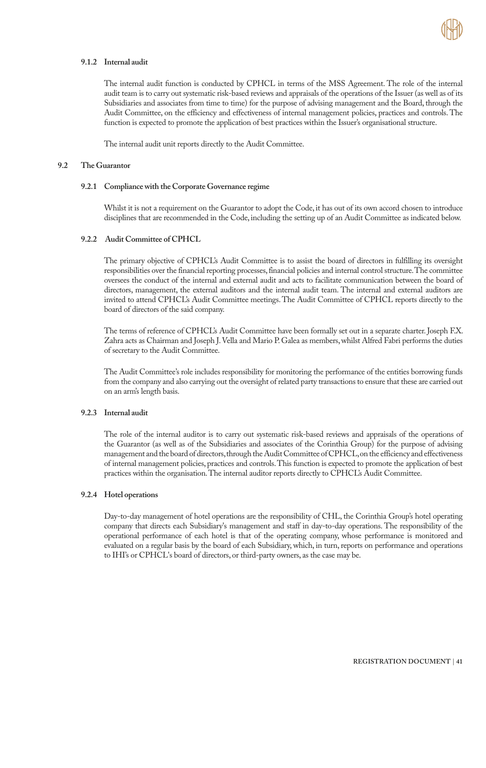

## **9.1.2 Internal audit**

The internal audit function is conducted by CPHCL in terms of the MSS Agreement. The role of the internal audit team is to carry out systematic risk-based reviews and appraisals of the operations of the Issuer (as well as of its Subsidiaries and associates from time to time) for the purpose of advising management and the Board, through the Audit Committee, on the efficiency and effectiveness of internal management policies, practices and controls. The function is expected to promote the application of best practices within the Issuer's organisational structure.

The internal audit unit reports directly to the Audit Committee.

#### **9.2 The Guarantor**

#### **9.2.1 Compliance with the Corporate Governance regime**

Whilst it is not a requirement on the Guarantor to adopt the Code, it has out of its own accord chosen to introduce disciplines that are recommended in the Code, including the setting up of an Audit Committee as indicated below.

# **9.2.2 Audit Committee of CPHCL**

The primary objective of CPHCL's Audit Committee is to assist the board of directors in fulfilling its oversight responsibilities over the financial reporting processes, financial policies and internal control structure. The committee oversees the conduct of the internal and external audit and acts to facilitate communication between the board of directors, management, the external auditors and the internal audit team. The internal and external auditors are invited to attend CPHCL's Audit Committee meetings. The Audit Committee of CPHCL reports directly to the board of directors of the said company.

The terms of reference of CPHCL's Audit Committee have been formally set out in a separate charter. Joseph F.X. Zahra acts as Chairman and Joseph J. Vella and Mario P. Galea as members, whilst Alfred Fabri performs the duties of secretary to the Audit Committee.

The Audit Committee's role includes responsibility for monitoring the performance of the entities borrowing funds from the company and also carrying out the oversight of related party transactions to ensure that these are carried out on an arm's length basis.

#### **9.2.3 Internal audit**

The role of the internal auditor is to carry out systematic risk-based reviews and appraisals of the operations of the Guarantor (as well as of the Subsidiaries and associates of the Corinthia Group) for the purpose of advising management and the board of directors, through the Audit Committee of CPHCL, on the efficiency and effectiveness of internal management policies, practices and controls. This function is expected to promote the application of best practices within the organisation. The internal auditor reports directly to CPHCL's Audit Committee.

#### **9.2.4 Hotel operations**

Day-to-day management of hotel operations are the responsibility of CHL, the Corinthia Group's hotel operating company that directs each Subsidiary's management and staff in day-to-day operations. The responsibility of the operational performance of each hotel is that of the operating company, whose performance is monitored and evaluated on a regular basis by the board of each Subsidiary, which, in turn, reports on performance and operations to IHI's or CPHCL's board of directors, or third-party owners, as the case may be.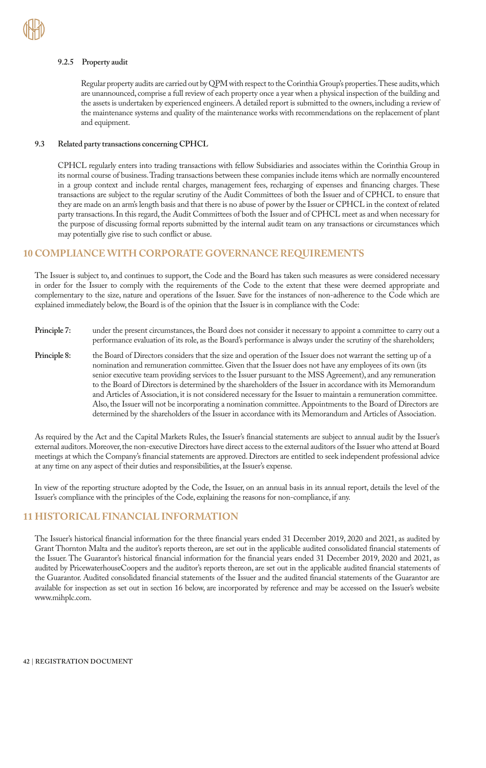#### **9.2.5 Property audit**

Regular property audits are carried out by QPM with respect to the Corinthia Group's properties. These audits, which are unannounced, comprise a full review of each property once a year when a physical inspection of the building and the assets is undertaken by experienced engineers. A detailed report is submitted to the owners, including a review of the maintenance systems and quality of the maintenance works with recommendations on the replacement of plant and equipment.

## **9.3 Related party transactions concerning CPHCL**

CPHCL regularly enters into trading transactions with fellow Subsidiaries and associates within the Corinthia Group in its normal course of business. Trading transactions between these companies include items which are normally encountered in a group context and include rental charges, management fees, recharging of expenses and financing charges. These transactions are subject to the regular scrutiny of the Audit Committees of both the Issuer and of CPHCL to ensure that they are made on an arm's length basis and that there is no abuse of power by the Issuer or CPHCL in the context of related party transactions. In this regard, the Audit Committees of both the Issuer and of CPHCL meet as and when necessary for the purpose of discussing formal reports submitted by the internal audit team on any transactions or circumstances which may potentially give rise to such conflict or abuse.

# **10 COMPLIANCE WITH CORPORATE GOVERNANCE REQUIREMENTS**

The Issuer is subject to, and continues to support, the Code and the Board has taken such measures as were considered necessary in order for the Issuer to comply with the requirements of the Code to the extent that these were deemed appropriate and complementary to the size, nature and operations of the Issuer. Save for the instances of non-adherence to the Code which are explained immediately below, the Board is of the opinion that the Issuer is in compliance with the Code:

- **Principle 7:** under the present circumstances, the Board does not consider it necessary to appoint a committee to carry out a performance evaluation of its role, as the Board's performance is always under the scrutiny of the shareholders;
- **Principle 8:** the Board of Directors considers that the size and operation of the Issuer does not warrant the setting up of a nomination and remuneration committee. Given that the Issuer does not have any employees of its own (its senior executive team providing services to the Issuer pursuant to the MSS Agreement), and any remuneration to the Board of Directors is determined by the shareholders of the Issuer in accordance with its Memorandum and Articles of Association, it is not considered necessary for the Issuer to maintain a remuneration committee. Also, the Issuer will not be incorporating a nomination committee. Appointments to the Board of Directors are determined by the shareholders of the Issuer in accordance with its Memorandum and Articles of Association.

As required by the Act and the Capital Markets Rules, the Issuer's financial statements are subject to annual audit by the Issuer's external auditors. Moreover, the non-executive Directors have direct access to the external auditors of the Issuer who attend at Board meetings at which the Company's financial statements are approved. Directors are entitled to seek independent professional advice at any time on any aspect of their duties and responsibilities, at the Issuer's expense.

In view of the reporting structure adopted by the Code, the Issuer, on an annual basis in its annual report, details the level of the Issuer's compliance with the principles of the Code, explaining the reasons for non-compliance, if any.

# **11 HISTORICAL FINANCIAL INFORMATION**

The Issuer's historical financial information for the three financial years ended 31 December 2019, 2020 and 2021, as audited by Grant Thornton Malta and the auditor's reports thereon, are set out in the applicable audited consolidated financial statements of the Issuer. The Guarantor's historical financial information for the financial years ended 31 December 2019, 2020 and 2021, as audited by PricewaterhouseCoopers and the auditor's reports thereon, are set out in the applicable audited financial statements of the Guarantor. Audited consolidated financial statements of the Issuer and the audited financial statements of the Guarantor are available for inspection as set out in section 16 below, are incorporated by reference and may be accessed on the Issuer's website www.mihplc.com.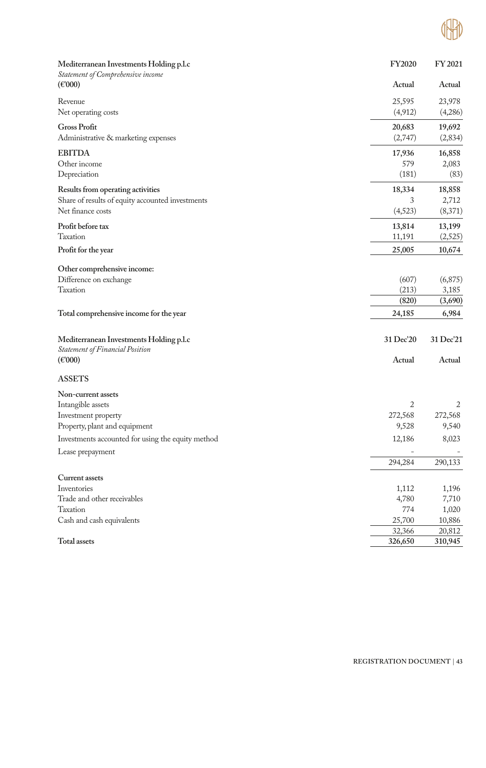

| Mediterranean Investments Holding p.l.c                                        | <b>FY2020</b> | FY 2021   |
|--------------------------------------------------------------------------------|---------------|-----------|
| Statement of Comprehensive income<br>$(\text{\ensuremath{\mathfrak{E}}}\,000)$ | Actual        | Actual    |
| Revenue                                                                        | 25,595        | 23,978    |
| Net operating costs                                                            | (4, 912)      | (4,286)   |
| <b>Gross Profit</b>                                                            | 20,683        | 19,692    |
| Administrative & marketing expenses                                            | (2,747)       | (2,834)   |
| <b>EBITDA</b>                                                                  | 17,936        | 16,858    |
| Other income                                                                   | 579           | 2,083     |
| Depreciation                                                                   | (181)         | (83)      |
| Results from operating activities                                              | 18,334        | 18,858    |
| Share of results of equity accounted investments                               | 3             | 2,712     |
| Net finance costs                                                              | (4,523)       | (8,371)   |
| Profit before tax                                                              | 13,814        | 13,199    |
| Taxation                                                                       | 11,191        | (2,525)   |
| Profit for the year                                                            | 25,005        | 10,674    |
| Other comprehensive income:                                                    |               |           |
| Difference on exchange                                                         | (607)         | (6,875)   |
| Taxation                                                                       | (213)         | 3,185     |
|                                                                                | (820)         | (3,690)   |
| Total comprehensive income for the year                                        | 24,185        | 6,984     |
| Mediterranean Investments Holding p.l.c                                        | 31 Dec'20     | 31 Dec'21 |
| <b>Statement of Financial Position</b>                                         |               |           |
| $(\text{\textsterling}000)$                                                    | Actual        | Actual    |
| <b>ASSETS</b>                                                                  |               |           |
| Non-current assets                                                             |               |           |
| Intangible assets                                                              | 2             | 2         |
| Investment property                                                            | 272,568       | 272,568   |
| Property, plant and equipment                                                  | 9,528         | 9,540     |
| Investments accounted for using the equity method                              | 12,186        | 8,023     |
| Lease prepayment                                                               |               |           |
|                                                                                | 294,284       | 290,133   |
| <b>Current assets</b>                                                          |               |           |
| Inventories                                                                    | 1,112         | 1,196     |
| Trade and other receivables                                                    | 4,780         | 7,710     |
| Taxation                                                                       | 774           | 1,020     |
| Cash and cash equivalents                                                      | 25,700        | 10,886    |
|                                                                                | 32,366        | 20,812    |
| <b>Total assets</b>                                                            | 326,650       | 310,945   |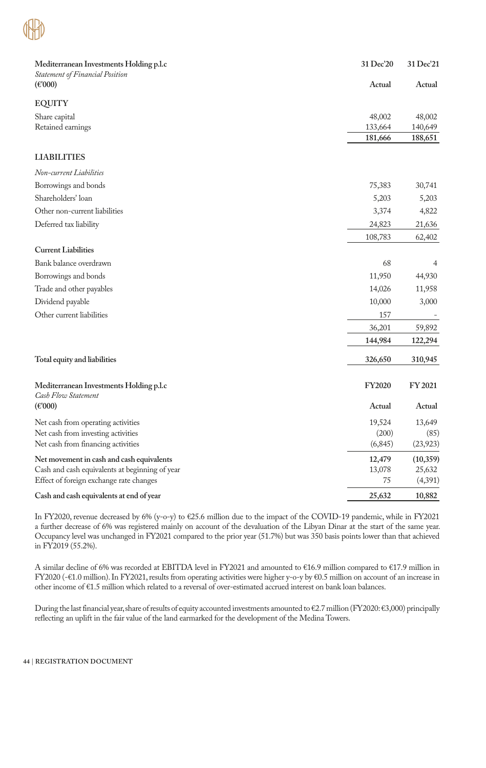

| Mediterranean Investments Holding p.l.c                                     | 31 Dec'20     | 31 Dec'21      |
|-----------------------------------------------------------------------------|---------------|----------------|
| Statement of Financial Position<br>$(\text{\ensuremath{\mathfrak{C}}}'000)$ | Actual        | Actual         |
| <b>EQUITY</b>                                                               |               |                |
| Share capital                                                               | 48,002        | 48,002         |
| Retained earnings                                                           | 133,664       | 140,649        |
|                                                                             | 181,666       | 188,651        |
| <b>LIABILITIES</b>                                                          |               |                |
| Non-current Liabilities                                                     |               |                |
| Borrowings and bonds                                                        | 75,383        | 30,741         |
| Shareholders' loan                                                          | 5,203         | 5,203          |
| Other non-current liabilities                                               | 3,374         | 4,822          |
| Deferred tax liability                                                      | 24,823        | 21,636         |
|                                                                             | 108,783       | 62,402         |
| <b>Current Liabilities</b>                                                  |               |                |
| Bank balance overdrawn                                                      | 68            | $\overline{4}$ |
| Borrowings and bonds                                                        | 11,950        | 44,930         |
| Trade and other payables                                                    | 14,026        | 11,958         |
| Dividend payable                                                            | 10,000        | 3,000          |
| Other current liabilities                                                   | 157           |                |
|                                                                             | 36,201        | 59,892         |
|                                                                             | 144,984       | 122,294        |
| Total equity and liabilities                                                | 326,650       | 310,945        |
| Mediterranean Investments Holding p.l.c<br><b>Cash Flow Statement</b>       | <b>FY2020</b> | FY 2021        |
| $(\text{\textsterling}000)$                                                 | Actual        | Actual         |
| Net cash from operating activities                                          | 19,524        | 13,649         |
| Net cash from investing activities                                          | (200)         | (85)           |
| Net cash from financing activities                                          | (6, 845)      | (23, 923)      |
| Net movement in cash and cash equivalents                                   | 12,479        | (10, 359)      |
| Cash and cash equivalents at beginning of year                              | 13,078        | 25,632         |
| Effect of foreign exchange rate changes                                     | 75            | (4,391)        |
| Cash and cash equivalents at end of year                                    | 25,632        | 10,882         |

In FY2020, revenue decreased by 6% (y-o-y) to €25.6 million due to the impact of the COVID-19 pandemic, while in FY2021 a further decrease of 6% was registered mainly on account of the devaluation of the Libyan Dinar at the start of the same year. Occupancy level was unchanged in FY2021 compared to the prior year (51.7%) but was 350 basis points lower than that achieved in FY2019 (55.2%).

A similar decline of 6% was recorded at EBITDA level in FY2021 and amounted to €16.9 million compared to €17.9 million in FY2020 (-€1.0 million). In FY2021, results from operating activities were higher y-o-y by €0.5 million on account of an increase in other income of €1.5 million which related to a reversal of over-estimated accrued interest on bank loan balances.

During the last financial year, share of results of equity accounted investments amounted to €2.7 million (FY2020: €3,000) principally reflecting an uplift in the fair value of the land earmarked for the development of the Medina Towers.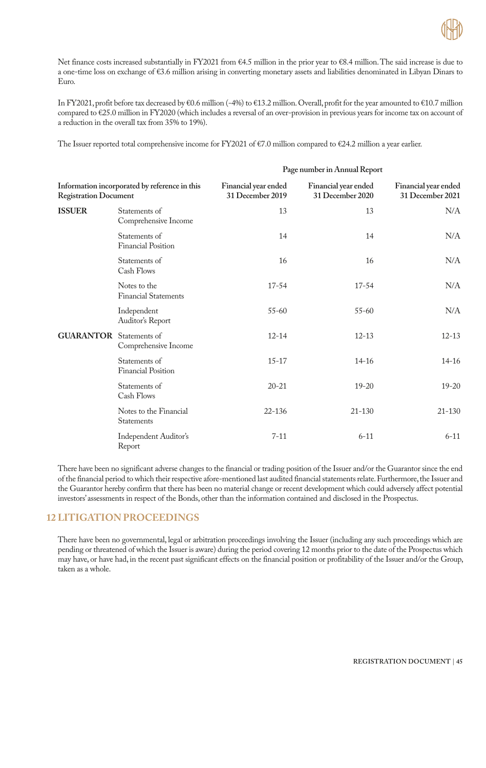

Net finance costs increased substantially in FY2021 from €4.5 million in the prior year to €8.4 million. The said increase is due to a one-time loss on exchange of €3.6 million arising in converting monetary assets and liabilities denominated in Libyan Dinars to Euro.

In FY2021, profit before tax decreased by €0.6 million (-4%) to €13.2 million. Overall, profit for the year amounted to €10.7 million compared to €25.0 million in FY2020 (which includes a reversal of an over-provision in previous years for income tax on account of a reduction in the overall tax from 35% to 19%).

The Issuer reported total comprehensive income for FY2021 of €7.0 million compared to €24.2 million a year earlier.

|                                                                               | Page number in Annual Report                |                                          |                                          |                                          |
|-------------------------------------------------------------------------------|---------------------------------------------|------------------------------------------|------------------------------------------|------------------------------------------|
| Information incorporated by reference in this<br><b>Registration Document</b> |                                             | Financial year ended<br>31 December 2019 | Financial year ended<br>31 December 2020 | Financial year ended<br>31 December 2021 |
| <b>ISSUER</b>                                                                 | Statements of<br>Comprehensive Income       | 13                                       | 13                                       | N/A                                      |
|                                                                               | Statements of<br><b>Financial Position</b>  | 14                                       | 14                                       | N/A                                      |
|                                                                               | Statements of<br>Cash Flows                 | 16                                       | 16                                       | N/A                                      |
|                                                                               | Notes to the<br><b>Financial Statements</b> | $17 - 54$                                | $17 - 54$                                | N/A                                      |
|                                                                               | Independent<br>Auditor's Report             | $55 - 60$                                | $55 - 60$                                | N/A                                      |
| <b>GUARANTOR</b> Statements of                                                | Comprehensive Income                        | $12 - 14$                                | $12 - 13$                                | $12 - 13$                                |
|                                                                               | Statements of<br><b>Financial Position</b>  | $15 - 17$                                | $14 - 16$                                | $14 - 16$                                |
|                                                                               | Statements of<br>Cash Flows                 | $20 - 21$                                | $19 - 20$                                | $19 - 20$                                |
|                                                                               | Notes to the Financial<br><b>Statements</b> | $22 - 136$                               | $21 - 130$                               | $21 - 130$                               |
|                                                                               | Independent Auditor's<br>Report             | $7 - 11$                                 | $6 - 11$                                 | $6 - 11$                                 |

There have been no significant adverse changes to the financial or trading position of the Issuer and/or the Guarantor since the end of the financial period to which their respective afore-mentioned last audited financial statements relate. Furthermore, the Issuer and the Guarantor hereby confirm that there has been no material change or recent development which could adversely affect potential investors' assessments in respect of the Bonds, other than the information contained and disclosed in the Prospectus.

# **12 LITIGATION PROCEEDINGS**

There have been no governmental, legal or arbitration proceedings involving the Issuer (including any such proceedings which are pending or threatened of which the Issuer is aware) during the period covering 12 months prior to the date of the Prospectus which may have, or have had, in the recent past significant effects on the financial position or profitability of the Issuer and/or the Group, taken as a whole.